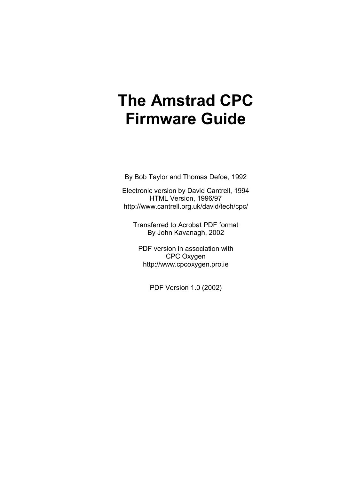By Bob Taylor and Thomas Defoe, 1992

Electronic version by David Cantrell, 1994 HTML Version, 1996/97 http://www.cantrell.org.uk/david/tech/cpc/

Transferred to Acrobat PDF format By John Kavanagh, 2002

PDF version in association with CPC Oxygen http://www.cpcoxygen.pro.ie

PDF Version 1.0 (2002)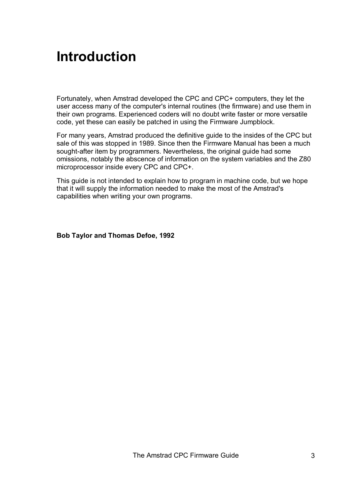# **Introduction**

Fortunately, when Amstrad developed the CPC and CPC+ computers, they let the user access many of the computer's internal routines (the firmware) and use them in their own programs. Experienced coders will no doubt write faster or more versatile code, yet these can easily be patched in using the Firmware Jumpblock.

For many years, Amstrad produced the definitive guide to the insides of the CPC but sale of this was stopped in 1989. Since then the Firmware Manual has been a much sought-after item by programmers. Nevertheless, the original guide had some omissions, notably the abscence of information on the system variables and the Z80 microprocessor inside every CPC and CPC+.

This guide is not intended to explain how to program in machine code, but we hope that it will supply the information needed to make the most of the Amstrad's capabilities when writing your own programs.

**Bob Taylor and Thomas Defoe, 1992**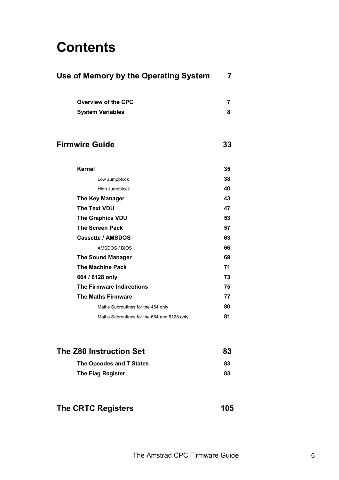# **Contents**

| Use of Memory by the Operating System       |    |  |
|---------------------------------------------|----|--|
| <b>Overview of the CPC</b>                  | 7  |  |
| <b>System Variables</b>                     | 8  |  |
| <b>Firmwire Guide</b>                       | 33 |  |
| <b>Kernel</b>                               | 35 |  |
| Low Jumpblock                               | 38 |  |
| High Jumpblock                              | 40 |  |
| <b>The Key Manager</b>                      | 43 |  |
| <b>The Text VDU</b>                         | 47 |  |
| <b>The Graphics VDU</b>                     | 53 |  |
| <b>The Screen Pack</b>                      | 57 |  |
| <b>Cassette / AMSDOS</b>                    | 63 |  |
| AMSDOS / BIOS                               | 66 |  |
| <b>The Sound Manager</b>                    | 69 |  |
| <b>The Machine Pack</b>                     | 71 |  |
| 664 / 6128 only                             | 73 |  |
| <b>The Firmware Indirections</b>            | 75 |  |
| <b>The Maths Firmware</b>                   | 77 |  |
| Maths Subroutines for the 464 only          | 80 |  |
| Maths Subroutines for the 664 and 6128 only | 81 |  |
| <b>The Z80 Instruction Set</b>              | 83 |  |
| The Opcodes and T States                    | 83 |  |
| The Flag Register                           | 83 |  |
|                                             |    |  |

## The CRTC Registers **105**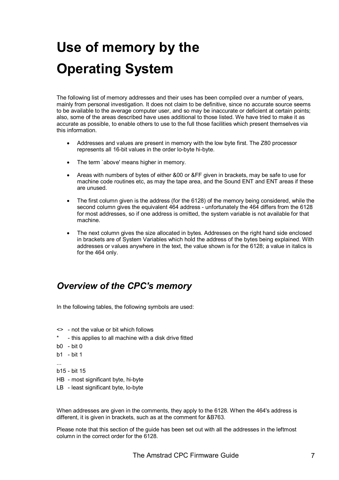# **Use of memory by the Operating System**

The following list of memory addresses and their uses has been compiled over a number of years, mainly from personal investigation. It does not claim to be definitive, since no accurate source seems to be available to the average computer user, and so may be inaccurate or deficient at certain points; also, some of the areas described have uses additional to those listed. We have tried to make it as accurate as possible, to enable others to use to the full those facilities which present themselves via this information.

- Addresses and values are present in memory with the low byte first. The Z80 processor represents all 16-bit values in the order lo-byte hi-byte.
- The term 'above' means higher in memory.
- Areas with numbers of bytes of either &00 or &FF given in brackets, may be safe to use for machine code routines etc, as may the tape area, and the Sound ENT and ENT areas if these are unused.
- The first column given is the address (for the 6128) of the memory being considered, while the second column gives the equivalent 464 address - unfortunately the 464 differs from the 6128 for most addresses, so if one address is omitted, the system variable is not available for that machine.
- The next column gives the size allocated in bytes. Addresses on the right hand side enclosed in brackets are of System Variables which hold the address of the bytes being explained. With addresses or values anywhere in the text, the value shown is for the 6128; a value in italics is for the 464 only.

## *Overview of the CPC's memory*

In the following tables, the following symbols are used:

- <> not the value or bit which follows
- this applies to all machine with a disk drive fitted
- b0 bit 0
- b1 bit 1
- ...
- b15 bit 15
- HB most significant byte, hi-byte
- LB least significant byte, lo-byte

When addresses are given in the comments, they apply to the 6128. When the 464's address is different, it is given in brackets, such as at the comment for &B763.

Please note that this section of the guide has been set out with all the addresses in the leftmost column in the correct order for the 6128.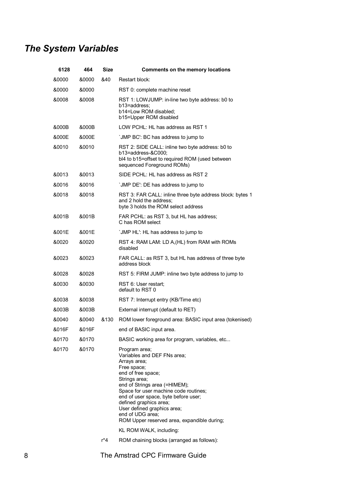# *The System Variables*

| 6128  | 464   | <b>Size</b> | <b>Comments on the memory locations</b>                                                                                                                                                                                                                                                                                                                          |
|-------|-------|-------------|------------------------------------------------------------------------------------------------------------------------------------------------------------------------------------------------------------------------------------------------------------------------------------------------------------------------------------------------------------------|
| &0000 | &0000 | &40         | Restart block:                                                                                                                                                                                                                                                                                                                                                   |
| &0000 | &0000 |             | RST 0: complete machine reset                                                                                                                                                                                                                                                                                                                                    |
| &0008 | &0008 |             | RST 1: LOWJUMP: in-line two byte address: b0 to<br>b13=address:<br>b14=Low ROM disabled;<br>b15=Upper ROM disabled                                                                                                                                                                                                                                               |
| &000B | &000B |             | LOW PCHL: HL has address as RST 1                                                                                                                                                                                                                                                                                                                                |
| &000E | &000E |             | 'JMP BC': BC has address to jump to                                                                                                                                                                                                                                                                                                                              |
| &0010 | &0010 |             | RST 2: SIDE CALL: inline two byte address: b0 to<br>b13=address-&C000<br>bl4 to b15=offset to required ROM (used between<br>sequenced Foreground ROMs)                                                                                                                                                                                                           |
| &0013 | &0013 |             | SIDE PCHL: HL has address as RST 2                                                                                                                                                                                                                                                                                                                               |
| &0016 | &0016 |             | 'JMP DE': DE has address to jump to                                                                                                                                                                                                                                                                                                                              |
| &0018 | &0018 |             | RST 3: FAR CALL: inline three byte address block: bytes 1<br>and 2 hold the address;<br>byte 3 holds the ROM select address                                                                                                                                                                                                                                      |
| &001B | &001B |             | FAR PCHL: as RST 3, but HL has address;<br>C has ROM select                                                                                                                                                                                                                                                                                                      |
| &001E | &001E |             | 'JMP HL': HL has address to jump to                                                                                                                                                                                                                                                                                                                              |
| &0020 | &0020 |             | RST 4: RAM LAM: LD A, (HL) from RAM with ROMs<br>disabled                                                                                                                                                                                                                                                                                                        |
| &0023 | &0023 |             | FAR CALL: as RST 3, but HL has address of three byte<br>address block                                                                                                                                                                                                                                                                                            |
| &0028 | &0028 |             | RST 5: FIRM JUMP: inline two byte address to jump to                                                                                                                                                                                                                                                                                                             |
| &0030 | &0030 |             | RST 6: User restart;<br>default to RST 0                                                                                                                                                                                                                                                                                                                         |
| &0038 | &0038 |             | RST 7: Interrupt entry (KB/Time etc)                                                                                                                                                                                                                                                                                                                             |
| &003B | &003B |             | External interrupt (default to RET)                                                                                                                                                                                                                                                                                                                              |
| &0040 | &0040 | &130        | ROM lower foreground area: BASIC input area (tokenised)                                                                                                                                                                                                                                                                                                          |
| &016F | &016F |             | end of BASIC input area.                                                                                                                                                                                                                                                                                                                                         |
| &0170 | &0170 |             | BASIC working area for program, variables, etc                                                                                                                                                                                                                                                                                                                   |
| &0170 | &0170 |             | Program area;<br>Variables and DEF FNs area;<br>Arrays area;<br>Free space;<br>end of free space;<br>Strings area;<br>end of Strings area (=HIMEM);<br>Space for user machine code routines;<br>end of user space, byte before user;<br>defined graphics area;<br>User defined graphics area;<br>end of UDG area;<br>ROM Upper reserved area, expandible during; |
|       |       | r*4         | KL ROM WALK, including:<br>ROM chaining blocks (arranged as follows):                                                                                                                                                                                                                                                                                            |
|       |       |             |                                                                                                                                                                                                                                                                                                                                                                  |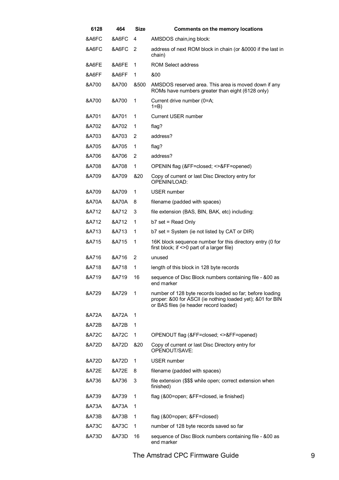| 6128             | 464              | Size | <b>Comments on the memory locations</b>                                                                                                                          |
|------------------|------------------|------|------------------------------------------------------------------------------------------------------------------------------------------------------------------|
| &A6FC            | &A6FC            | 4    | AMSDOS chain, ing block:                                                                                                                                         |
| &A6FC            | &A6FC            | 2    | address of next ROM block in chain (or &0000 if the last in<br>chain)                                                                                            |
| &A6FE            | &A6FE            | 1    | ROM Select address                                                                                                                                               |
| &A6FF            | &A6FF            | 1    | &00                                                                                                                                                              |
| &A700            | &A700            | &500 | AMSDOS reserved area. This area is moved down if any<br>ROMs have numbers greater than eight (6128 only)                                                         |
| &A700            | &A700            | 1    | Current drive number (0=A;<br>$1=$ B)                                                                                                                            |
| &A701            | &A701            | 1    | <b>Current USER number</b>                                                                                                                                       |
| &A702            | &A702            | 1    | flag?                                                                                                                                                            |
| &A703            | &A703            | 2    | address?                                                                                                                                                         |
| &A705            | &A705            | 1    | flag?                                                                                                                                                            |
| &A706            | &A706            | 2    | address?                                                                                                                                                         |
| &A708            | &A708            | 1    | OPENIN flag (&FF=closed; <>&FF=opened)                                                                                                                           |
| &A709            | &A709            | &20  | Copy of current or last Disc Directory entry for<br>OPENIN/LOAD:                                                                                                 |
| &A709            | &A709            | 1    | USER number                                                                                                                                                      |
| <b>&amp;A70A</b> | <b>&amp;A70A</b> | 8    | filename (padded with spaces)                                                                                                                                    |
| &A712            | &A712            | 3    | file extension (BAS, BIN, BAK, etc) including:                                                                                                                   |
| &A712            | &A712            | 1    | $b7$ set = Read Only                                                                                                                                             |
| &A713            | &A713            | 1    | b7 set = System (ie not listed by CAT or DIR)                                                                                                                    |
| &A715            | &A715            | 1    | 16K block sequence number for this directory entry (0 for<br>first block; if <> 0 part of a larger file)                                                         |
| &A716            | &A716            | 2    | unused                                                                                                                                                           |
| &A718            | &A718            | 1    | length of this block in 128 byte records                                                                                                                         |
| &A719            | &A719            | 16   | sequence of Disc Block numbers containing file - &00 as<br>end marker                                                                                            |
| &A729            | &A729            | 1    | number of 128 byte records loaded so far; before loading<br>proper: &00 for ASCII (ie nothing loaded yet); &01 for BIN<br>or BAS files (ie header record loaded) |
| &A72A            | &A72A            | 1    |                                                                                                                                                                  |
| &A72B            | &A72B            | 1    |                                                                                                                                                                  |
| &A72C            | &A72C            | 1    | OPENOUT flag (&FF=closed; <>&FF=opened)                                                                                                                          |
| &A72D            | &A72D            | &20  | Copy of current or last Disc Directory entry for<br>OPENOUT/SAVE:                                                                                                |
| &A72D            | &A72D            | 1    | <b>USER number</b>                                                                                                                                               |
| &A72E            | &A72E            | 8    | filename (padded with spaces)                                                                                                                                    |
| &A736            | &A736            | 3    | file extension (\$\$\$ while open; correct extension when<br>finished)                                                                                           |
| &A739            | &A739            | 1    | flag (&00=open; &FF=closed, ie finished)                                                                                                                         |
| &A73A            | &A73A            | 1    |                                                                                                                                                                  |
| &A73B            | &A73B            | 1    | flag (&00=open; &FF=closed)                                                                                                                                      |
| &A73C            | &A73C            | 1    | number of 128 byte records saved so far                                                                                                                          |
| &A73D            | &A73D            | 16   | sequence of Disc Block numbers containing file - &00 as<br>end marker                                                                                            |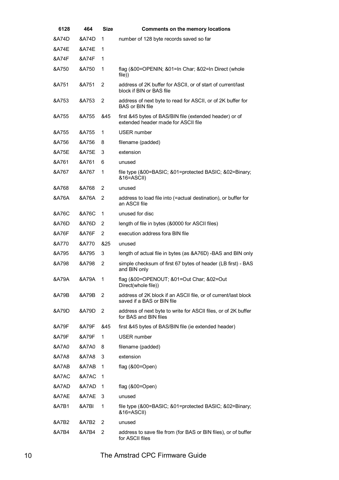| 6128             | 464              | <b>Size</b> | <b>Comments on the memory locations</b>                                                        |
|------------------|------------------|-------------|------------------------------------------------------------------------------------------------|
| &A74D            | &A74D            | 1           | number of 128 byte records saved so far                                                        |
| &A74E            | &A74E            | 1           |                                                                                                |
| &A74F            | &A74F            | 1           |                                                                                                |
| &A750            | &A750            | 1           | flag (&00=OPENIN; &01=In Char; &02=In Direct (whole<br>file))                                  |
| &A751            | &A751            | 2           | address of 2K buffer for ASCII, or of start of current/last<br>block if BIN or BAS file        |
| &A753            | &A753            | 2           | address of next byte to read for ASCII, or of 2K buffer for<br>BAS or BIN file                 |
| &A755            | &A755            | &45         | first &45 bytes of BAS/BIN file (extended header) or of<br>extended header made for ASCII file |
| &A755            | &A755            | 1           | USER number                                                                                    |
| &A756            | &A756            | 8           | filename (padded)                                                                              |
| &A75E            | &A75E            | 3           | extension                                                                                      |
| &A761            | &A761            | 6           | unused                                                                                         |
| &A767            | &A767            | 1           | file type (&00=BASIC; &01=protected BASIC; &02=Binary;<br>&16=ASCII)                           |
| &A768            | &A768            | 2           | unused                                                                                         |
| &A76A            | &A76A            | 2           | address to load file into (=actual destination), or buffer for<br>an ASCII file                |
| &A76C            | &A76C            | 1           | unused for disc                                                                                |
| &A76D            | &A76D            | 2           | length of file in bytes (&0000 for ASCII files)                                                |
| &A76F            | &A76F            | 2           | execution address fora BIN file                                                                |
| &A770            | &A770            | &25         | unused                                                                                         |
| &A795            | &A795            | 3           | length of actual file in bytes (as &A76D) -BAS and BIN only                                    |
| &A798            | &A798            | 2           | simple checksum of first 67 bytes of header (LB first) - BAS<br>and BIN only                   |
| &A79A            | &A79A            | 1           | flag (&00=OPENOUT; &01=Out Char; &02=Out<br>Direct(whole file))                                |
| &A79B            | &A79B            | 2           | address of 2K block if an ASCII file, or of current/last block<br>saved if a BAS or BIN file   |
| &A79D            | &A79D            | 2           | address of next byte to write for ASCII files, or of 2K buffer<br>for BAS and BIN files        |
| &A79F            | &A79F            | &45         | first &45 bytes of BAS/BIN file (ie extended header)                                           |
| &A79F            | &A79F            | 1           | <b>USER</b> number                                                                             |
| <b>&amp;A7A0</b> | <b>&amp;A7A0</b> | 8           | filename (padded)                                                                              |
| <b>&amp;A7A8</b> | &A7A8            | 3           | extension                                                                                      |
| &A7AB            | &A7AB            | 1           | flag $(800=Open)$                                                                              |
| &A7AC            | &A7AC            | 1           |                                                                                                |
| &A7AD            | &A7AD            | 1           | flag $(800=Open)$                                                                              |
| &A7AE            | &A7AE            | 3           | unused                                                                                         |
| &A7B1            | &A7BI            | 1           | file type (&00=BASIC; &01=protected BASIC; &02=Binary;<br>&16=ASCII)                           |
| &A7B2            | &A7B2            | 2           | unused                                                                                         |
| &A7B4            | &A7B4            | 2           | address to save file from (for BAS or BIN files), or of buffer<br>for ASCII files              |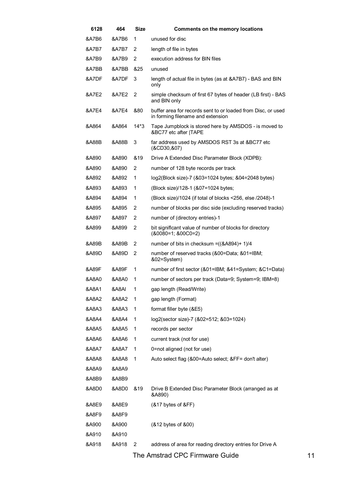| 6128             | 464              | <b>Size</b>    | <b>Comments on the memory locations</b>                                                           |
|------------------|------------------|----------------|---------------------------------------------------------------------------------------------------|
| &A7B6            | &A7B6            | 1              | unused for disc                                                                                   |
| &A7B7            | &A7B7            | 2              | length of file in bytes                                                                           |
| &A7B9            | &A7B9            | $\overline{2}$ | execution address for BIN files                                                                   |
| &A7BB            | &A7BB            | &25            | unused                                                                                            |
| &A7DF            | &A7DF            | 3              | length of actual file in bytes (as at &A7B7) - BAS and BIN<br>only                                |
| &A7E2            | &A7E2            | $\overline{2}$ | simple checksum of first 67 bytes of header (LB first) - BAS<br>and BIN only                      |
| &A7E4            | &A7E4            | &80            | buffer area for records sent to or loaded from Disc, or used<br>in forming filename and extension |
| &A864            | &A864            | $14*3$         | Tape Jumpblock is stored here by AMSDOS - is moved to<br>&BC77 etc after  TAPE                    |
| &A88B            | &A88B            | 3              | far address used by AMSDOS RST 3s at &BC77 etc<br>(&CD30,&07)                                     |
| &A890            | &A890            | &19            | Drive A Extended Disc Parameter Block (XDPB):                                                     |
| &A890            | &A890            | 2              | number of 128 byte records per track                                                              |
| &A892            | &A892            | 1              | log2(Block size)-7 (&03=1024 bytes; &04=2048 bytes)                                               |
| &A893            | &A893            | 1              | (Block size)/128-1 (&07=1024 bytes;                                                               |
| &A894            | &A894            | 1              | (Block size)/1024 (if total of blocks <256, else /2048)-1                                         |
| &A895            | &A895            | 2              | number of blocks per disc side (excluding reserved tracks)                                        |
| &A897            | &A897            | $\overline{2}$ | number of (directory entries)-1                                                                   |
| &A899            | &A899            | 2              | bit significant value of number of blocks for directory<br>$(80080=1; 800C0=2)$                   |
| &A89B            | &A89B            | 2              | number of bits in checksum = $((\&A894)+1)/4$                                                     |
| &A89D            | &A89D            | $\overline{2}$ | number of reserved tracks (&00=Data; &01=IBM;<br>&02=System)                                      |
| &A89F            | &A89F            | 1              | number of first sector (&01=IBM; &41=System; &C1=Data)                                            |
| <b>&amp;A8A0</b> | &A8A0            | 1              | number of sectors per track (Data=9; System=9; IBM=8)                                             |
| &A8A1            | &A8AI            | 1              | gap length (Read/Write)                                                                           |
| &A8A2            | &A8A2            | 1              | gap length (Format)                                                                               |
| &A8A3            | &A8A3            | 1              | format filler byte (&E5)                                                                          |
| &A8A4            | &A8A4            | 1              | log2(sector size)-7 (&02=512; &03=1024)                                                           |
| &A8A5            | &A8A5            | 1              | records per sector                                                                                |
| <b>&amp;A8A6</b> | 8A8A6            | 1              | current track (not for use)                                                                       |
| &A8A7            | &A8A7            | 1              | 0=not aligned (not for use)                                                                       |
| <b>&amp;A8A8</b> | <b>&amp;A8A8</b> | 1              | Auto select flag (&00=Auto select; &FF= don't alter)                                              |
| &A8A9            | &A8A9            |                |                                                                                                   |
| &A8B9            | &A8B9            |                |                                                                                                   |
| &A8D0            | &A8D0            | &19            | Drive B Extended Disc Parameter Block (arranged as at<br>&A890)                                   |
| &A8E9            | &A8E9            |                | (&17 bytes of &FF)                                                                                |
| &A8F9            | &A8F9            |                |                                                                                                   |
| &A900            | &A900            |                | (&12 bytes of &00)                                                                                |
| &A910            | &A910            |                |                                                                                                   |
| &A918            | &A918            | 2              | address of area for reading directory entries for Drive A                                         |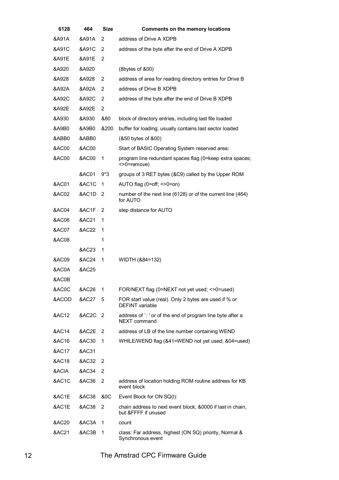| 6128             | 464   | <b>Size</b>    | <b>Comments on the memory locations</b>                                           |
|------------------|-------|----------------|-----------------------------------------------------------------------------------|
| &A91A            | &A91A | 2              | address of Drive A XDPB                                                           |
| &A91C            | &A91C | 2              | address of the byte after the end of Drive A XDPB                                 |
| &A91E            | &A91E | 2              |                                                                                   |
| &A920            | &A920 |                | (8bytes of &00)                                                                   |
| &A928            | &A928 | 2              | address of area for reading directory entries for Drive B                         |
| &A92A            | &A92A | 2              | address of Drive B XDPB                                                           |
| &A92C            | &A92C | 2              | address of the byte after the end of Drive B XDPB                                 |
| &A92E            | &A92E | 2              |                                                                                   |
| &A930            | &A930 | &80            | block of directory entries, including last file loaded                            |
| &A9B0            | &A9B0 | &200           | buffer for loading; usually contains last sector loaded                           |
| &ABB0            | &ABB0 |                | (&50 bytes of &00)                                                                |
| <b>&amp;AC00</b> | &AC00 |                | Start of BASIC Operating System reserved area:                                    |
| <b>&amp;AC00</b> | &AC00 | 1              | program line redundant spaces flag (0=keep extra spaces;<br><>0=remove)           |
|                  | &AC01 | $9*3$          | groups of 3 RET bytes (&C9) called by the Upper ROM                               |
| <b>&amp;AC01</b> | &AC1C | 1              | AUTO flag (0=off; <>0=on)                                                         |
| &AC02            | &AC1D | $\overline{2}$ | number of the next line (6128) or of the current line (464)<br>for AUTO           |
| &AC04            | &AC1F | 2              | step distance for AUTO                                                            |
| &AC06            | &AC21 | 1              |                                                                                   |
| <b>&amp;AC07</b> | &AC22 | 1              |                                                                                   |
| &AC08            |       | 1              |                                                                                   |
|                  | &AC23 | 1              |                                                                                   |
| &AC09            | &AC24 | 1              | WIDTH (&84=132)                                                                   |
| &AC0A            | &AC25 |                |                                                                                   |
| &AC0B            |       |                |                                                                                   |
| &AC0C            | &AC26 | 1              | FOR/NEXT flag (0=NEXT not yet used; <>0=used)                                     |
| &ACOD            | &AC27 | 5              | FOR start value (real). Only 2 bytes are used if % or<br><b>DEFINT</b> variable   |
| &AC12            | &AC2C | 2              | address of `: ' or of the end of program line byte after a<br>NEXT command        |
| <b>&amp;AC14</b> | &AC2E | 2              | address of LB of the line number containing WEND                                  |
| &AC16            | &AC30 | 1              | WHILE/WEND flag (&41=WEND not yet used; &04=used)                                 |
| &AC17            | &AC31 |                |                                                                                   |
| &AC18            | &AC32 | 2              |                                                                                   |
| &ACIA            | &AC34 | $\overline{2}$ |                                                                                   |
| &AC1C            | &AC36 | 2              | address of location holding ROM routine address for KB<br>event block             |
| &AC1E            | &AC38 | <b>&amp;OC</b> | Event Block for ON SQ(I):                                                         |
| &AC1E            | &AC38 | $\overline{2}$ | chain address to next event block; &0000 if last in chain,<br>but &FFFF if unused |
| &AC20            | &AC3A | 1              | count                                                                             |
| &AC21            | &AC3B | 1              | class: Far address, highest (ON SQ) priority, Normal &<br>Synchronous event       |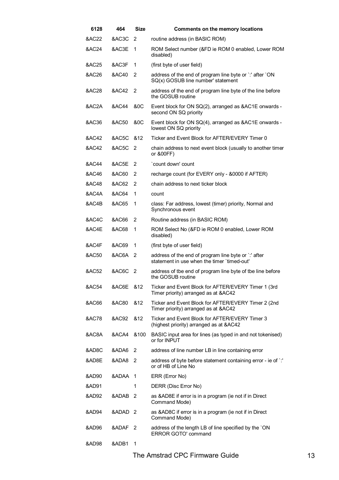| 6128             | 464                | Size           | Comments on the memory locations                                                                    |
|------------------|--------------------|----------------|-----------------------------------------------------------------------------------------------------|
| &AC22            | &AC3C              | 2              | routine address (in BASIC ROM)                                                                      |
| &AC24            | &AC3E              | 1              | ROM Select number (&FD ie ROM 0 enabled, Lower ROM<br>disabled)                                     |
| &AC25            | &AC3F              | 1              | (first byte of user field)                                                                          |
| &AC26            | &AC40              | 2              | address of the end of program line byte or `:' after `ON<br>SQ(x) GOSUB line number' statement      |
| &AC28            | &AC42              | 2              | address of the end of program line byte of the line before<br>the GOSUB routine                     |
| &AC2A            | &AC44              | <b>&amp;OC</b> | Event block for ON SQ(2), arranged as &AC1E onwards -<br>second ON SQ priority                      |
| &AC36            | &AC50              | <b>&amp;OC</b> | Event block for ON SQ(4), arranged as &AC1E onwards -<br>lowest ON SQ priority                      |
| &AC42            | &AC5C              | &12            | Ticker and Event Block for AFTER/EVERY Timer 0                                                      |
| <b>&amp;AC42</b> | &AC5C <sub>2</sub> |                | chain address to next event block (usually to another timer<br>or &00FF)                            |
| &AC44            | &AC5E              | 2              | `count down' count                                                                                  |
| &AC46            | <b>&amp;AC60</b>   | 2              | recharge count (for EVERY only - &0000 if AFTER)                                                    |
| &AC48            | &AC62              | 2              | chain address to next ticker block                                                                  |
| &AC4A            | &AC64              | 1              | count                                                                                               |
| &AC4B            | &AC65              | 1              | class: Far address, lowest (timer) priority, Normal and<br>Synchronous event                        |
| &AC4C            | &AC66              | 2              | Routine address (in BASIC ROM)                                                                      |
| &AC4E            | &AC68              | 1              | ROM Select No (&FD ie ROM 0 enabled, Lower ROM<br>disabled)                                         |
| &AC4F            | &AC69              | 1              | (first byte of user field)                                                                          |
| &AC50            | &AC6A 2            |                | address of the end of program line byte or `:' after<br>statement in use when the timer 'timed-out' |
| &AC52            | &AC6C              | - 2            | address of tbe end of program line byte of tbe line before<br>the GOSUB routine                     |
| &AC54            | &AC6E              | &12            | Ticker and Event Block for AFTER/EVERY Timer 1 (3rd<br>Timer priority) arranged as at &AC42         |
| &AC66            | &AC80              | &12            | Ticker and Event Block for AFTER/EVERY Timer 2 (2nd<br>Timer priority) arranged as at &AC42         |
| <b>&amp;AC78</b> | &AC92              | &12            | Ticker and Event Block for AFTER/EVERY Timer 3<br>(highest priority) arranged as at &AC42           |
| &AC8A            | &ACA4              | &100           | BASIC input area for lines (as typed in and not tokenised)<br>or for INPUT                          |
| &AD8C            | &ADA6              | 2              | address of line number LB in line containing error                                                  |
| &AD8E            | &ADA8 <sub>2</sub> |                | address of byte before statement containing error - ie of `:'<br>or of HB of Line No                |
| &AD90            | &ADAA 1            |                | ERR (Error No)                                                                                      |
| &AD91            |                    | 1              | DERR (Disc Error No)                                                                                |
| &AD92            | &ADAB -            | $\overline{2}$ | as &AD8E if error is in a program (ie not if in Direct<br>Command Mode)                             |
| &AD94            | &ADAD <sub>2</sub> |                | as &AD8C if error is in a program (ie not if in Direct<br>Command Mode)                             |
| &AD96            | &ADAF 2            |                | address of the length LB of line specified by the `ON<br><b>ERROR GOTO' command</b>                 |
| &AD98            | &ADB1              | 1              |                                                                                                     |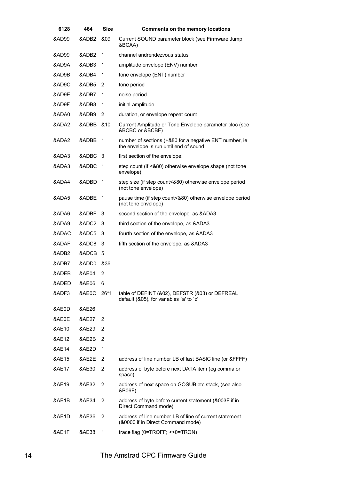| 6128              | 464               | Size        | <b>Comments on the memory locations</b>                                                          |
|-------------------|-------------------|-------------|--------------------------------------------------------------------------------------------------|
| &AD99             | &ADB2             | &09         | Current SOUND parameter block (see Firmware Jump<br>&BCAA)                                       |
| &AD99             | &ADB <sub>2</sub> | 1           | channel andrendezvous status                                                                     |
| &AD9A             | &ADB3             | 1           | amplitude envelope (ENV) number                                                                  |
| &AD9B             | &ADB4             | 1           | tone envelope (ENT) number                                                                       |
| &AD9C             | &ADB5             | 2           | tone period                                                                                      |
| &AD9E             | &ADB7             | 1           | noise period                                                                                     |
| &AD9F             | &ADB8             | 1           | initial amplitude                                                                                |
| &ADA0             | &ADB9             | 2           | duration, or envelope repeat count                                                               |
| &ADA2             | &ADBB             | &10         | Current Amplitude or Tone Envelope parameter bloc (see<br>&BCBC or &BCBF)                        |
| &ADA2             | &ADBB             | $\mathbf 1$ | number of sections (+&80 for a negative ENT number, ie<br>the envelope is run until end of sound |
| &ADA3             | &ADBC             | 3           | first section of the envelope:                                                                   |
| &ADA3             | &ADBC             | -1          | step count (if <&80) otherwise envelope shape (not tone<br>envelope)                             |
| &ADA4             | &ADBD             | $\mathbf 1$ | step size (if step count<&80) otherwise envelope period<br>(not tone envelope)                   |
| &ADA5             | &ADBE             | 1           | pause time (if step count<&80) otherwise envelope period<br>(not tone envelope)                  |
| &ADA6             | &ADBF             | 3           | second section of the envelope, as &ADA3                                                         |
| &ADA9             | &ADC2             | 3           | third section of the envelope, as &ADA3                                                          |
| &ADAC             | &ADC5             | 3           | fourth section of the envelope, as &ADA3                                                         |
| &ADAF             | &ADC8             | 3           | fifth section of the envelope, as &ADA3                                                          |
| &ADB <sub>2</sub> | &ADCB             | 5           |                                                                                                  |
| &ADB7             | &ADD0             | &36         |                                                                                                  |
| &ADEB             | &AE04             | 2           |                                                                                                  |
| &ADED             | &AE06             | 6           |                                                                                                  |
| &ADF3             | &AE0C             | $26*1$      | table of DEFINT (&02), DEFSTR (&03) or DEFREAL<br>default (&05), for variables 'a' to 'z'        |
| &AE0D             | &AE26             |             |                                                                                                  |
| &AE0E             | &AE27             | 2           |                                                                                                  |
| &AE10             | &AE29             | 2           |                                                                                                  |
| &AE12             | &AE2B             | 2           |                                                                                                  |
| &AE14             | &AE2D             | 1           |                                                                                                  |
| &AE15             | &AE2E             | 2           | address of line number LB of last BASIC line (or &FFFF)                                          |
| &AE17             | &AE30             | 2           | address of byte before next DATA item (eg comma or<br>space)                                     |
| &AE19             | &AE32             | 2           | address of next space on GOSUB etc stack, (see also<br>&B06F)                                    |
| &AE1B             | &AE34             | 2           | address of byte before current statement (&003F if in<br>Direct Command mode)                    |
| &AE1D             | &AE36             | 2           | address of line number LB of line of current statement<br>(&0000 if in Direct Command mode)      |
| &AE1F             | &AE38             | 1           | trace flag $(0=TROFF; 0=TRON)$                                                                   |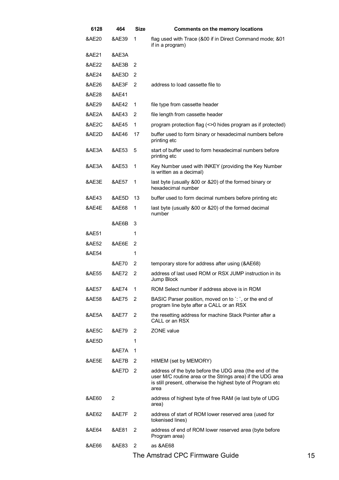| 6128             | 464              | Size                       | <b>Comments on the memory locations</b>                                                                                                                                                      |
|------------------|------------------|----------------------------|----------------------------------------------------------------------------------------------------------------------------------------------------------------------------------------------|
| &AE20            | &AE39            | 1                          | flag used with Trace (&00 if in Direct Command mode; &01<br>if in a program)                                                                                                                 |
| &AE21            | &AE3A            |                            |                                                                                                                                                                                              |
| &AE22            | &AE3B            | 2                          |                                                                                                                                                                                              |
| &AE24            | &AE3D            | 2                          |                                                                                                                                                                                              |
| &AE26            | &AE3F            | 2                          | address to load cassette file to                                                                                                                                                             |
| &AE28            | &AE41            |                            |                                                                                                                                                                                              |
| &AE29            | &AE42            | 1                          | file type from cassette header                                                                                                                                                               |
| &AE2A            | &AE43            | 2                          | file length from cassette header                                                                                                                                                             |
| &AE2C            | &AE45            | 1                          | program protection flag (<>0 hides program as if protected)                                                                                                                                  |
| &AE2D            | &AE46            | 17                         | buffer used to form binary or hexadecimal numbers before<br>printing etc                                                                                                                     |
| &AE3A            | &AE53            | 5                          | start of buffer used to form hexadecimal numbers before<br>printing etc                                                                                                                      |
| &AE3A            | &AE53            | $\mathbf{1}$               | Key Number used with INKEY (providing the Key Number<br>is written as a decimal)                                                                                                             |
| &AE3E            | <b>&amp;AE57</b> | 1                          | last byte (usually &00 or &20) of the formed binary or<br>hexadecimal number                                                                                                                 |
| &AE43            | &AE5D            | 13                         | buffer used to form decimal numbers before printing etc.                                                                                                                                     |
| &AE4E            | &AE68            | 1                          | last byte (usually &00 or &20) of the formed decimal<br>number                                                                                                                               |
|                  | &AE6B            | 3                          |                                                                                                                                                                                              |
| &AE51            |                  | 1                          |                                                                                                                                                                                              |
| <b>&amp;AE52</b> | &AE6E            | 2                          |                                                                                                                                                                                              |
| &AE54            |                  | 1                          |                                                                                                                                                                                              |
|                  | &AE70            | 2                          | temporary store for address after using (&AE68)                                                                                                                                              |
| &AE55            | &AE72            | 2                          | address of last used ROM or RSX JUMP instruction in its<br>Jump Block                                                                                                                        |
| &AE57            | &AE74            | 1                          | ROM Select number if address above is in ROM                                                                                                                                                 |
| &AE58            | &AE75            | 2                          | BASIC Parser position, moved on to `: `, or the end of<br>program line byte after a CALL or an RSX                                                                                           |
| &AE5A            | &AE77            | 2                          | the resetting address for machine Stack Pointer after a<br>CALL or an RSX                                                                                                                    |
| &AE5C            | &AE79            | 2                          | ZONE value                                                                                                                                                                                   |
| &AE5D            |                  | 1                          |                                                                                                                                                                                              |
|                  | &AE7A            | 1                          |                                                                                                                                                                                              |
| &AE5E            | &AE7B            | 2                          | HIMEM (set by MEMORY)                                                                                                                                                                        |
|                  | &AE7D 2          |                            | address of the byte before the UDG area (the end of the<br>user M/C routine area or the Strings area) if the UDG area<br>is still present, otherwise the highest byte of Program etc<br>area |
| &AE60            | 2                |                            | address of highest byte of free RAM (ie last byte of UDG<br>area)                                                                                                                            |
| &AE62            | &AE7F            | $\overline{\phantom{0}}^2$ | address of start of ROM lower reserved area (used for<br>tokenised lines)                                                                                                                    |
| &AE64            | &AE81            | 2                          | address of end of ROM lower reserved area (byte before<br>Program area)                                                                                                                      |
| &AE66            | &AE83            | 2                          | as &AE68                                                                                                                                                                                     |
|                  |                  |                            |                                                                                                                                                                                              |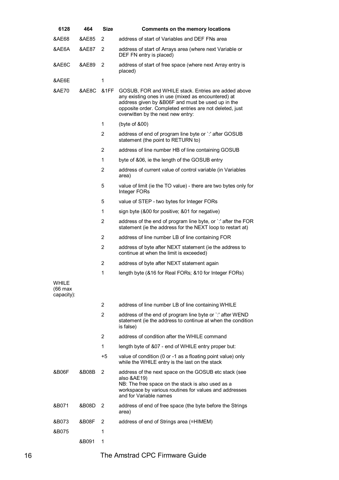| 6128                                  | 464   | <b>Size</b>    | Comments on the memory locations                                                                                                                                                                                                                               |
|---------------------------------------|-------|----------------|----------------------------------------------------------------------------------------------------------------------------------------------------------------------------------------------------------------------------------------------------------------|
| &AE68                                 | &AE85 | 2              | address of start of Variables and DEF FNs area                                                                                                                                                                                                                 |
| &AE6A                                 | &AE87 | 2              | address of start of Arrays area (where next Variable or<br>DEF FN entry is placed)                                                                                                                                                                             |
| &AE6C                                 | &AE89 | 2              | address of start of free space (where next Array entry is<br>placed)                                                                                                                                                                                           |
| &AE6E                                 |       | 1              |                                                                                                                                                                                                                                                                |
| &AE70                                 | &AE8C | &1FF           | GOSUB, FOR and WHILE stack. Entries are added above<br>any existing ones in use (mixed as encountered) at<br>address given by &B06F and must be used up in the<br>opposite order. Completed entries are not deleted, just<br>overwitten by the next new entry: |
|                                       |       | 1              | (byte of &00)                                                                                                                                                                                                                                                  |
|                                       |       | 2              | address of end of program line byte or `:' after GOSUB<br>statement (the point to RETURN to)                                                                                                                                                                   |
|                                       |       | 2              | address of line number HB of line containing GOSUB                                                                                                                                                                                                             |
|                                       |       | 1              | byte of &06, ie the length of the GOSUB entry                                                                                                                                                                                                                  |
|                                       |       | $\overline{2}$ | address of current value of control variable (in Variables<br>area)                                                                                                                                                                                            |
|                                       |       | 5              | value of limit (ie the TO value) - there are two bytes only for<br>Integer FORs                                                                                                                                                                                |
|                                       |       | 5              | value of STEP - two bytes for Integer FORs                                                                                                                                                                                                                     |
|                                       |       | 1              | sign byte (&00 for positive; &01 for negative)                                                                                                                                                                                                                 |
|                                       |       | $\overline{2}$ | address of the end of program line byte, or `: after the FOR<br>statement (ie the address for the NEXT loop to restart at)                                                                                                                                     |
|                                       |       | $\overline{2}$ | address of line number LB of line containing FOR                                                                                                                                                                                                               |
|                                       |       | $\overline{2}$ | address of byte after NEXT statement (ie the address to<br>continue at when the limit is exceeded)                                                                                                                                                             |
|                                       |       | $\overline{2}$ | address of byte after NEXT statement again                                                                                                                                                                                                                     |
|                                       |       | 1              | length byte (&16 for Real FORs; &10 for Integer FORs)                                                                                                                                                                                                          |
| <b>WHILE</b><br>(66 max<br>capacity): |       |                |                                                                                                                                                                                                                                                                |
|                                       |       | 2              | address of line number LB of line containing WHILE                                                                                                                                                                                                             |
|                                       |       | 2              | address of the end of program line byte or `:' after WEND<br>statement (ie the address to continue at when the condition<br>is false)                                                                                                                          |
|                                       |       | $\overline{2}$ | address of condition after the WHILE command                                                                                                                                                                                                                   |
|                                       |       | 1              | length byte of &07 - end of WHILE entry proper but:                                                                                                                                                                                                            |
|                                       |       | +5             | value of condition (0 or -1 as a floating point value) only<br>while the WHILE entry is the last on the stack                                                                                                                                                  |
| &B06F                                 | &B08B | 2              | address of the next space on the GOSUB etc stack (see<br>also &AE19)<br>NB: The free space on the stack is also used as a<br>workspace by various routines for values and addresses<br>and for Variable names                                                  |
| &B071                                 | &B08D | 2              | address of end of free space (the byte before the Strings<br>area)                                                                                                                                                                                             |
| &B073                                 | &B08F | 2              | address of end of Strings area (=HIMEM)                                                                                                                                                                                                                        |
| &B075                                 |       | 1              |                                                                                                                                                                                                                                                                |
|                                       | &B091 | 1              |                                                                                                                                                                                                                                                                |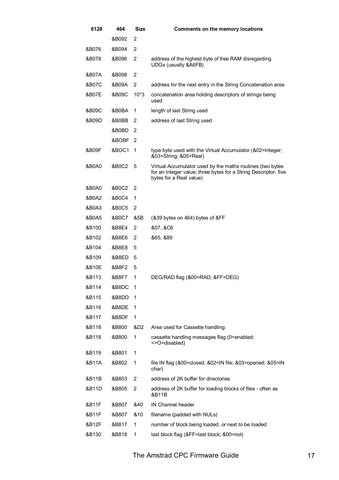| 6128  | 464     | <b>Size</b>    | <b>Comments on the memory locations</b>                                                                                                                 |
|-------|---------|----------------|---------------------------------------------------------------------------------------------------------------------------------------------------------|
|       | &B092   | 2              |                                                                                                                                                         |
| &B076 | &B094   | 2              |                                                                                                                                                         |
| &B078 | &B096   | $\overline{2}$ | address of the highest byte of free RAM disregarding<br>UDGs (usually &A6FB)                                                                            |
| &B07A | &B098   | 2              |                                                                                                                                                         |
| &B07C | &B09A   | 2              | address for the next entry in the String Concatenation area                                                                                             |
| &B07E | &B09C   | $10*3$         | concatenation area holding descriptors of strings being<br>used                                                                                         |
| &B09C | &B0BA   | 1              | length of last String used                                                                                                                              |
| &B09D | &B0BB   | 2              | address of last String used                                                                                                                             |
|       | &B0BD - | 2              |                                                                                                                                                         |
|       | &BOBF   | 2              |                                                                                                                                                         |
| &B09F | &BOC1   | $\mathbf 1$    | type byte used with the Virtual Accumulator (&02=Integer;<br>&03=String; &05=Real)                                                                      |
| &B0A0 | &B0C2   | 5              | Virtual Accumulator used by the maths routines (two bytes<br>for an Integer value; three bytes for a String Descriptor; five<br>bytes for a Real value) |
| &B0A0 | &B0C2   | 2              |                                                                                                                                                         |
| &B0A2 | &B0C4   | 1              |                                                                                                                                                         |
| &B0A3 | &B0C5   | 2              |                                                                                                                                                         |
| &B0A5 | &B0C7   | &5B            | (&39 bytes on 464) bytes of &FF                                                                                                                         |
| &B100 | &B8E4   | 2              | &07, &C6                                                                                                                                                |
| &B102 | &B8E6   | 2              | 865, 889                                                                                                                                                |
| &B104 | &B8E8   | 5              |                                                                                                                                                         |
| &B109 | &B8ED   | 5              |                                                                                                                                                         |
| &B10E | &B8F2   | 5              |                                                                                                                                                         |
| &B113 | &B8F7   | 1              | DEG/RAD flag (&00=RAD; &FF=DEG)                                                                                                                         |
| &B114 | &B8DC   | -1             |                                                                                                                                                         |
| &B115 | &B8DD   | 1              |                                                                                                                                                         |
| &B116 | &B8DE   | 1              |                                                                                                                                                         |
| &B117 | &B8DF   | 1              |                                                                                                                                                         |
| &B118 | &B800   | &D2            | Area used for Cassette handling:                                                                                                                        |
| &B118 | &B800   | 1              | cassette handling messages flag (0=enabled;<br><>O=disabled)                                                                                            |
| &B119 | &B801   | 1              |                                                                                                                                                         |
| &B11A | &B802   | 1              | file IN flag (&00=closed; &02=IN file; &03=opened; &05=IN<br>char)                                                                                      |
| &B11B | &B803   | 2              | address of 2K buffer for directories                                                                                                                    |
| &B11D | &B805   | 2              | address of 2K buffer for loading blocks of files - often as<br>&B11B                                                                                    |
| &B11F | &B807   | &40            | IN Channel header                                                                                                                                       |
| &B11F | &B807   | &10            | filename (padded with NULs)                                                                                                                             |
| &B12F | &B817   | 1              | number of block being loaded, or next to be loaded                                                                                                      |
| &B130 | &B818   | 1              | last block flag (&FF=last block; &00=not)                                                                                                               |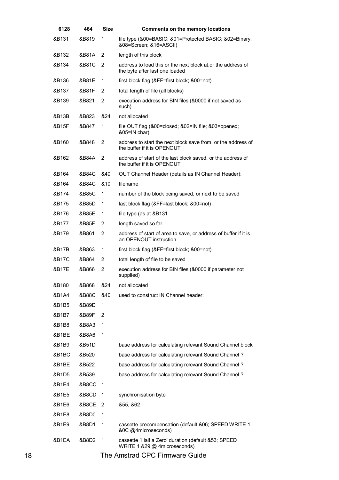| 6128  | 464   | Size | <b>Comments on the memory locations</b>                                                        |
|-------|-------|------|------------------------------------------------------------------------------------------------|
| &B131 | &B819 | 1    | file type (&00=BASIC; &01=Protected BASIC; &02=Binary;<br>&08=Screen; &16=ASCII)               |
| &B132 | &B81A | 2    | length of this block                                                                           |
| &B134 | &B81C | 2    | address to load this or the next block at, or the address of<br>the byte after last one loaded |
| &B136 | &B81E | 1    | first block flag (&FF=first block; &00=not)                                                    |
| &B137 | &B81F | 2    | total length of file (all blocks)                                                              |
| &B139 | &B821 | 2    | execution address for BIN files (&0000 if not saved as<br>such)                                |
| &B13B | &B823 | &24  | not allocated                                                                                  |
| &B15F | &B847 | 1    | file OUT flag (&00=closed; &02=IN file; &03=opened;<br>&05=IN char)                            |
| &B160 | &B848 | 2    | address to start the next block save from, or the address of<br>the buffer if it is OPENOUT    |
| &B162 | &B84A | 2    | address of start of the last block saved, or the address of<br>the buffer if it is OPENOUT     |
| &B164 | &B84C | &40  | OUT Channel Header (details as IN Channel Header):                                             |
| &B164 | &B84C | &10  | filename                                                                                       |
| &B174 | &B85C | 1    | number of the block being saved, or next to be saved                                           |
| &B175 | &B85D | 1    | last block flag (&FF=last block; &00=not)                                                      |
| &B176 | &B85E | 1    | file type (as at &B131                                                                         |
| &B177 | &B85F | 2    | length saved so far                                                                            |
| &B179 | &B861 | 2    | address of start of area to save, or address of buffer if it is<br>an OPENOUT instruction      |
| &B17B | &B863 | 1    | first block flag (&FF=first block; &00=not)                                                    |
| &B17C | &B864 | 2    | total length of file to be saved                                                               |
| &B17E | &B866 | 2    | execution address for BIN files (&0000 if parameter not<br>supplied)                           |
| &B180 | &B868 | &24  | not allocated                                                                                  |
| &B1A4 | &B88C | &40  | used to construct IN Channel header:                                                           |
| &B1B5 | &B89D | 1    |                                                                                                |
| &B1B7 | &B89F | 2    |                                                                                                |
| &B1B8 | &B8A3 | 1    |                                                                                                |
| &B1BE | &B8A6 | 1    |                                                                                                |
| &B1B9 | &B51D |      | base address for calculating relevant Sound Channel block                                      |
| &B1BC | &B520 |      | base address for calculating relevant Sound Channel?                                           |
| &B1BE | &B522 |      | base address for calculating relevant Sound Channel?                                           |
| &B1D5 | &B539 |      | base address for calculating relevant Sound Channel?                                           |
| &B1E4 | &B8CC | 1    |                                                                                                |
| &B1E5 | &B8CD | 1    | synchronisation byte                                                                           |
| &B1E6 | &B8CE | 2    | 855, 862                                                                                       |
| &B1E8 | &B8D0 | 1    |                                                                                                |
| &B1E9 | &B8D1 | 1    | cassette precompensation (default &06; SPEED WRITE 1<br>&OC @4microseconds)                    |
| &B1EA | &B8D2 | 1    | cassette `Half a Zero' duration (default &53; SPEED<br>WRITE 1 &29 @ 4microseconds)            |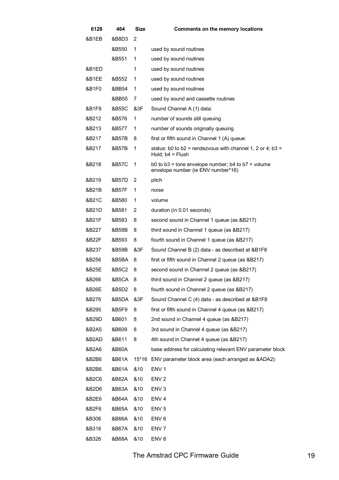| 6128  | 464   | <b>Size</b> | <b>Comments on the memory locations</b>                                                      |
|-------|-------|-------------|----------------------------------------------------------------------------------------------|
| &B1EB | &B8D3 | 2           |                                                                                              |
|       | &B550 | 1           | used by sound routines                                                                       |
|       | &B551 | 1           | used by sound routines                                                                       |
| &B1ED |       | 1           | used by sound routines                                                                       |
| &B1EE | &B552 | 1           | used by sound routines                                                                       |
| &B1F0 | &BB54 | 1           | used by sound routines                                                                       |
|       | &BB55 | 7           | used by sound and cassette routines                                                          |
| &B1F8 | &B55C | &3F         | Sound Channel A (1) data:                                                                    |
| &B212 | &B576 | 1           | number of sounds still queuing                                                               |
| &B213 | &B577 | 1           | number of sounds originally queuing                                                          |
| &B217 | &B57B | 8           | first or fifth sound in Channel 1 (A) queue:                                                 |
| &B217 | &B57B | 1           | status: b0 to b2 = rendezvous with channel 1, 2 or 4; b3 =<br>Hold; $b4 =$ Flush             |
| &B218 | &B57C | 1           | b0 to $b3$ = tone envelope number; b4 to $b7$ = volume<br>envelope number (ie ENV number*16) |
| &B219 | &B57D | 2           | pitch                                                                                        |
| &B21B | &B57F | 1           | noise                                                                                        |
| &B21C | &B580 | 1           | volume                                                                                       |
| &B21D | &B581 | 2           | duration (in 0.01 seconds)                                                                   |
| &B21F | &B583 | 8           | second sound in Channel 1 queue (as &B217)                                                   |
| &B227 | &B58B | 8           | third sound in Channel 1 queue (as &B217)                                                    |
| &B22F | &B593 | 8           | fourth sound in Channel 1 queue (as &B217)                                                   |
| &B237 | &B59B | &3F         | Sound Channel B (2) data - as described at &B1F8                                             |
| &B256 | &B5BA | 8           | first or fifth sound in Channel 2 queue (as &B217)                                           |
| &B25E | &B5C2 | 8           | second sound in Channel 2 queue (as &B217)                                                   |
| &B266 | &B5CA | 8           | third sound in Channel 2 queue (as &B217)                                                    |
| &B26E | &B5D2 | 8           | fourth sound in Channel 2 queue (as &B217)                                                   |
| &B276 | &B5DA | &3F         | Sound Channel C (4) data - as described at &B1F8                                             |
| &B295 | &B5F9 | 8           | first or fifth sound in Channel 4 queue (as &B217)                                           |
| &B29D | &B601 | 8           | 2nd sound in Channel 4 queue (as &B217)                                                      |
| &B2A5 | &B609 | 8           | 3rd sound in Channel 4 queue (as &B217)                                                      |
| &B2AD | &B611 | 8           | 4th sound in Channel 4 queue (as &B217)                                                      |
| &B2A6 | &B60A |             | base address for calculating relevant ENV parameter block                                    |
| &B2B6 | &B61A |             | 15*16 ENV parameter block area (each arranged as &ADA2):                                     |
| &B2B6 | &B61A | &10         | ENV <sub>1</sub>                                                                             |
| &B2C6 | &B62A | &10         | ENV <sub>2</sub>                                                                             |
| &B2D6 | &B63A | &10         | ENV <sub>3</sub>                                                                             |
| &B2E6 | &B64A | &10         | ENV <sub>4</sub>                                                                             |
| &B2F6 | &B65A | &10         | ENV <sub>5</sub>                                                                             |
| &B306 | &B66A | &10         | ENV <sub>6</sub>                                                                             |
| &B316 | &B67A | &10         | ENV 7                                                                                        |
| &B326 | &B68A | &10         | ENV <sub>8</sub>                                                                             |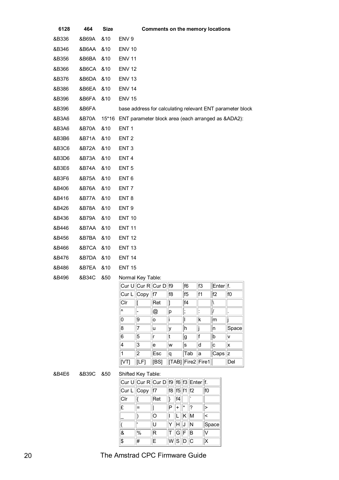| 6128  | 464   | <b>Size</b> | <b>Comments on the memory locations</b>                                   |
|-------|-------|-------------|---------------------------------------------------------------------------|
| &B336 | &B69A | &10         | ENV <sub>9</sub>                                                          |
| &B346 | &B6AA | &10         | <b>ENV 10</b>                                                             |
| &B356 | &B6BA | &10         | <b>ENV 11</b>                                                             |
| &B366 | &B6CA | &10         | <b>ENV 12</b>                                                             |
| &B376 | &B6DA | &10         | <b>ENV 13</b>                                                             |
| &B386 | &B6EA | &10         | <b>ENV 14</b>                                                             |
| &B396 | &B6FA | &10         | <b>ENV 15</b>                                                             |
| &B396 | &B6FA |             | base address for calculating relevant ENT parameter block                 |
| &B3A6 | &B70A | $15*16$     | ENT parameter block area (each arranged as &ADA2):                        |
| &B3A6 | &B70A | &10         | ENT <sub>1</sub>                                                          |
| &B3B6 | &B71A | &10         | ENT <sub>2</sub>                                                          |
| &B3C6 | &B72A | &10         | ENT <sub>3</sub>                                                          |
| &B3D6 | &B73A | &10         | ENT <sub>4</sub>                                                          |
| &B3E6 | &B74A | &10         | ENT <sub>5</sub>                                                          |
| &B3F6 | &B75A | &10         | ENT <sub>6</sub>                                                          |
| &B406 | &B76A | &10         | ENT <sub>7</sub>                                                          |
| &B416 | &B77A | &10         | ENT <sub>8</sub>                                                          |
| &B426 | &B78A | &10         | ENT <sub>9</sub>                                                          |
| &B436 | &B79A | &10         | <b>ENT 10</b>                                                             |
| &B446 | &B7AA | &10         | <b>ENT 11</b>                                                             |
| &B456 | &B7BA | &10         | <b>ENT 12</b>                                                             |
| &B466 | &B7CA | &10         | <b>ENT 13</b>                                                             |
| &B476 | &B7DA | &10         | <b>ENT 14</b>                                                             |
| &B486 | &B7EA | &10         | <b>ENT 15</b>                                                             |
| &B496 | &B34C | &50         | Normal Key Table:                                                         |
|       |       |             | Cur U $\ $ Cur R $\ $ Cur D $\ $ f9<br>f3<br>f6<br>Enter <sup> </sup>  f. |

|                          | Cur U Cur R Cur D  f9 |      |                   | f6             | lf3 | Enter f.       |       |
|--------------------------|-----------------------|------|-------------------|----------------|-----|----------------|-------|
| $ Cur L $ Copy           |                       | lf7  | f <sub>8</sub>    | f <sub>5</sub> | lf1 | f <sub>2</sub> | f0    |
| C r                      |                       | Ret  |                   | f4             |     |                |       |
| Λ                        |                       | @    | p                 | ٠              |     |                |       |
| 0                        | g,                    | o    |                   |                | Ιk  | lm             |       |
| 8                        | 7                     | lu   | ly                | h              |     | In             | Space |
| 6                        | 5                     | r    |                   | g              | lf. | b              | lv    |
| $\overline{\mathcal{A}}$ | 3                     | e    | lw                | ls             | d   | Ic             | Ιx    |
| 1                        | 2                     | Esc  | Ιq                | Tab            | la  | Caps           | Iz.   |
| [VT]                     | [LF]                  | [BS] | TAB] Fire2  Fire1 |                |     |                | Del   |

### &B4E6 &B39C &50 Shifted Key Table:

|                 |     | Cur U Cur R Cur D f9 f6 f3 Enter f. |                 |                           |   |       |
|-----------------|-----|-------------------------------------|-----------------|---------------------------|---|-------|
| Cur L Copy ∥f7  |     |                                     | f8 f5 f1 f2     |                           |   | f0    |
| C r             |     | Ret                                 | $\ \}$   f4     |                           |   |       |
| E               | $=$ |                                     |                 | $ \mathsf{P}  _\pm  ^*$ . | 2 | ↘     |
|                 |     | O                                   |                 | $  L  K  \overline{M}$    |   | k     |
|                 |     | ΙJ                                  | Y  H  J  N      |                           |   | Space |
| &               | %   | R                                   | $T$ $G$ $F$ $B$ |                           |   | V     |
| $\overline{\$}$ | #   | ιË.                                 | $W$ SDC         |                           |   | X     |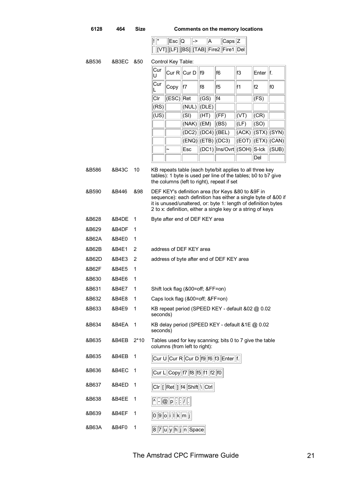**6128 464 Size Comments on the memory locations** 

| - 11 | <b>Escl</b> | 'IQ |                                                  | ⊝aps∵ |  |
|------|-------------|-----|--------------------------------------------------|-------|--|
|      |             |     | $  [VT]  [LF]  [BS]  [TAB]  Fire2  Fire1  Del  $ |       |  |

| &B536          | &B3EC          | &50            |          | Control Key Table:                                                  |                                   |           |                                                                                                                                                                                                                              |                     |               |                       |
|----------------|----------------|----------------|----------|---------------------------------------------------------------------|-----------------------------------|-----------|------------------------------------------------------------------------------------------------------------------------------------------------------------------------------------------------------------------------------|---------------------|---------------|-----------------------|
|                |                |                | Cur<br>U |                                                                     | CurR  CurD                        | f9        | f6                                                                                                                                                                                                                           | lf3                 | Enter $  f  $ |                       |
|                |                |                | Cur      | Copy                                                                | lf7                               | f8        | lf5                                                                                                                                                                                                                          | lf1                 | lf2           | f0                    |
|                |                |                | Clr      | $(ESC)$ Ret                                                         |                                   | (GS)      | lf4                                                                                                                                                                                                                          |                     | (FS)          |                       |
|                |                |                | (RS)     |                                                                     | (NUL)                             | $ $ (DLE) |                                                                                                                                                                                                                              |                     |               |                       |
|                |                |                | (US)     |                                                                     | (SI)                              | (HT)      | (FF)                                                                                                                                                                                                                         | (VT)                | (CR)          |                       |
|                |                |                |          |                                                                     | (NAK)  (EM)                       |           | (BS)                                                                                                                                                                                                                         | $ $ (LF)            | (SO)          |                       |
|                |                |                |          |                                                                     | (DC2)  (DC4)  (BEL)               |           |                                                                                                                                                                                                                              | (ACK)               |               | $\ $ (STX) $\ $ (SYN) |
|                |                |                |          |                                                                     | ENO  ETB  (DC3)                   |           |                                                                                                                                                                                                                              | (EOT)  (ETX)  (CAN) |               |                       |
|                |                |                |          |                                                                     | Esc                               |           | (DC1)  Ins/Ovrt  (SOH)  S-Ick                                                                                                                                                                                                |                     |               | (SUB)                 |
|                |                |                |          |                                                                     |                                   |           |                                                                                                                                                                                                                              |                     | Del           |                       |
| &B586<br>&B590 | &B43C<br>&B446 | 10<br>&98      |          |                                                                     |                                   |           | KB repeats table (each byte/bit applies to all three key<br>tables): 1 byte is used per line of the tables; b0 to b7 give<br>the columns (left to right), repeat if set<br>DEF KEY's definition area (for Keys &80 to &9F in |                     |               |                       |
|                |                |                |          |                                                                     |                                   |           | sequence): each definition has either a single byte of &00 if<br>it is unused/unaltered, or: byte 1: length of definition bytes<br>2 to x: definition, either a single key or a string of keys                               |                     |               |                       |
| &B628          | &B4DE          | 1              |          |                                                                     | Byte after end of DEF KEY area    |           |                                                                                                                                                                                                                              |                     |               |                       |
| &B629          | &B4DF          | 1              |          |                                                                     |                                   |           |                                                                                                                                                                                                                              |                     |               |                       |
| &B62A          | &B4E0          | 1              |          |                                                                     |                                   |           |                                                                                                                                                                                                                              |                     |               |                       |
| &B62B          | &B4E1          | 2              |          |                                                                     | address of DEF KEY area           |           |                                                                                                                                                                                                                              |                     |               |                       |
| &B62D          | &B4E3          | 2              |          |                                                                     |                                   |           | address of byte after end of DEF KEY area                                                                                                                                                                                    |                     |               |                       |
| &B62F          | &B4E5          | 1              |          |                                                                     |                                   |           |                                                                                                                                                                                                                              |                     |               |                       |
| &B630          | &B4E6          | 1              |          |                                                                     |                                   |           |                                                                                                                                                                                                                              |                     |               |                       |
| &B631          | &B4E7          | 1              |          |                                                                     | Shift lock flag (&00=off; &FF=on) |           |                                                                                                                                                                                                                              |                     |               |                       |
| &B632          | &B4E8          | 1              |          |                                                                     | Caps lock flag (&00=off; &FF=on)  |           |                                                                                                                                                                                                                              |                     |               |                       |
| &B633          | &B4E9          | 1              | seconds) |                                                                     |                                   |           | KB repeat period (SPEED KEY - default &02 @ 0.02                                                                                                                                                                             |                     |               |                       |
| &B634          | &B4EA          | $\overline{1}$ | seconds) |                                                                     |                                   |           | KB delay period (SPEED KEY - default &1E @ 0.02                                                                                                                                                                              |                     |               |                       |
| &B635          | &B4EB          | $2*10$         |          |                                                                     | columns (from left to right):     |           | Tables used for key scanning; bits 0 to 7 give the table                                                                                                                                                                     |                     |               |                       |
| &B635          | &B4EB          | 1              |          |                                                                     |                                   |           | Cur U Cur R Cur D f9 f6 f3 Enter f.                                                                                                                                                                                          |                     |               |                       |
| &B636          | &B4EC          | 1              |          |                                                                     | Cur L Copy 17 18 15 11 12 10      |           |                                                                                                                                                                                                                              |                     |               |                       |
| &B637          | &B4ED          | 1              |          |                                                                     | Cir [Ret ] f4 Shift \ Ctrl        |           |                                                                                                                                                                                                                              |                     |               |                       |
| &B638          | &B4EE          | 1              |          | $\lceil$ $\lceil \mathcal{Q} \rceil$ $\lceil$ $\lceil \cdot \rceil$ |                                   |           |                                                                                                                                                                                                                              |                     |               |                       |
| &B639          | &B4EF          | 1              |          | $ 0 0 0 $ i    k $ m j$                                             |                                   |           |                                                                                                                                                                                                                              |                     |               |                       |
| &B63A          | &B4F0          | 1              |          |                                                                     | 8 7 u y h j n Space               |           |                                                                                                                                                                                                                              |                     |               |                       |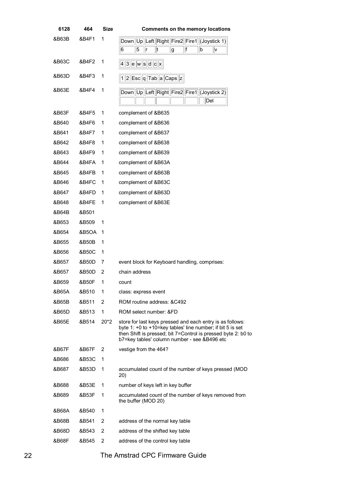| 6128  | 464   | <b>Size</b> | <b>Comments on the memory locations</b>                                                                                                                                                                                                  |
|-------|-------|-------------|------------------------------------------------------------------------------------------------------------------------------------------------------------------------------------------------------------------------------------------|
| &B63B | &B4F1 | 1           | Down Up Left Right Fire2 Fire1 (Joystick 1)<br>6<br>5<br> f<br> t<br>b<br>Ir<br> g<br>۱v                                                                                                                                                 |
| &B63C | &B4F2 | 1           | $43$ e w s d c x                                                                                                                                                                                                                         |
| &B63D | &B4F3 | 1           | $ 1  2  \mathsf{Esc}  \mathsf{q}  \mathsf{Tab}  \mathsf{a}  \mathsf{Caps}  \mathsf{z} $                                                                                                                                                  |
| &B63E | &B4F4 | 1           | Down  Up  Left  Right  Fire2  Fire1  (Joystick 2)<br>Del                                                                                                                                                                                 |
| &B63F | &B4F5 | 1           | complement of &B635                                                                                                                                                                                                                      |
| &B640 | &B4F6 | 1           | complement of &B636                                                                                                                                                                                                                      |
| &B641 | &B4F7 | 1           | complement of &B637                                                                                                                                                                                                                      |
| &B642 | &B4F8 | 1           | complement of &B638                                                                                                                                                                                                                      |
| &B643 | &B4F9 | 1           | complement of &B639                                                                                                                                                                                                                      |
| &B644 | &B4FA | 1           | complement of &B63A                                                                                                                                                                                                                      |
| &B645 | &B4FB | 1           | complement of &B63B                                                                                                                                                                                                                      |
| &B646 | &B4FC | 1           | complement of &B63C                                                                                                                                                                                                                      |
| &B647 | &B4FD | 1           | complement of &B63D                                                                                                                                                                                                                      |
| &B648 | &B4FE | 1           | complement of &B63E                                                                                                                                                                                                                      |
| &B64B | &B501 |             |                                                                                                                                                                                                                                          |
| &B653 | &B509 | 1           |                                                                                                                                                                                                                                          |
| &B654 | &B5OA | $\mathbf 1$ |                                                                                                                                                                                                                                          |
| &B655 | &B50B | 1           |                                                                                                                                                                                                                                          |
| &B656 | &B50C | 1           |                                                                                                                                                                                                                                          |
| &B657 | &B50D | 7           | event block for Keyboard handling, comprises:                                                                                                                                                                                            |
| &B657 | &B50D | 2           | chain address                                                                                                                                                                                                                            |
| &B659 | &B50F | 1           | count                                                                                                                                                                                                                                    |
| &B65A | &B510 | 1           | class: express event                                                                                                                                                                                                                     |
| &B65B | &B511 | 2           | ROM routine address: &C492                                                                                                                                                                                                               |
| &B65D | &B513 | 1           | ROM select number: &FD                                                                                                                                                                                                                   |
| &B65E | &B514 | $20*2$      | store for last keys pressed and each entry is as follows:<br>byte 1: +0 to +10=key tables' line number; if bit 5 is set<br>then Shift is pressed; bit 7=Control is pressed byte 2: b0 to<br>b7=key tables' column number - see &B496 etc |
| &B67F | &B67F | 2           | vestige from the 464?                                                                                                                                                                                                                    |
| &B686 | &B53C | 1           |                                                                                                                                                                                                                                          |
| &B687 | &B53D | 1           | accumulated count of the number of keys pressed (MOD<br>20)                                                                                                                                                                              |
| &B688 | &B53E | 1           | number of keys left in key buffer                                                                                                                                                                                                        |
| &B689 | &B53F | 1           | accumulated count of the number of keys removed from<br>the buffer (MOD 20)                                                                                                                                                              |
| &B68A | &B540 | 1           |                                                                                                                                                                                                                                          |
| &B68B | &B541 | 2           | address of the normal key table                                                                                                                                                                                                          |
| &B68D | &B543 | 2           | address of the shifted key table                                                                                                                                                                                                         |
| &B68F | &B545 | 2           | address of the control key table                                                                                                                                                                                                         |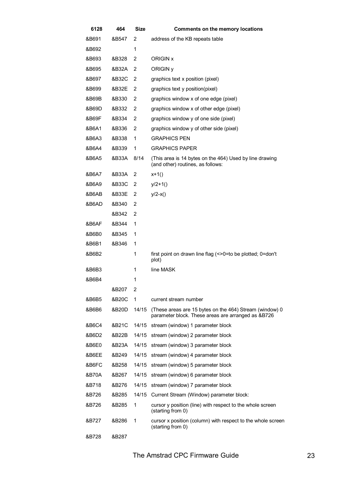| 6128  | 464   | Size  | <b>Comments on the memory locations</b>                                                                       |
|-------|-------|-------|---------------------------------------------------------------------------------------------------------------|
| &B691 | &B547 | 2     | address of the KB repeats table                                                                               |
| &B692 |       | 1     |                                                                                                               |
| &B693 | &B328 | 2     | ORIGIN x                                                                                                      |
| &B695 | &B32A | 2     | ORIGIN <sub>y</sub>                                                                                           |
| &B697 | &B32C | 2     | graphics text x position (pixel)                                                                              |
| &B699 | &B32E | 2     | graphics text y position(pixel)                                                                               |
| &B69B | &B330 | 2     | graphics window x of one edge (pixel)                                                                         |
| &B69D | &B332 | 2     | graphics window x of other edge (pixel)                                                                       |
| &B69F | &B334 | 2     | graphics window y of one side (pixel)                                                                         |
| &B6A1 | &B336 | 2     | graphics window y of other side (pixel)                                                                       |
| &B6A3 | &B338 | 1     | <b>GRAPHICS PEN</b>                                                                                           |
| &B6A4 | &B339 | 1     | <b>GRAPHICS PAPER</b>                                                                                         |
| &B6A5 | &B33A | 8/14  | (This area is 14 bytes on the 464) Used by line drawing<br>(and other) routines, as follows:                  |
| &B6A7 | &B33A | 2     | $x+1()$                                                                                                       |
| &B6A9 | &B33C | 2     | $y/2+1()$                                                                                                     |
| &B6AB | &B33E | 2     | $y/2-x()$                                                                                                     |
| &B6AD | &B340 | 2     |                                                                                                               |
|       | &B342 | 2     |                                                                                                               |
| &B6AF | &B344 | 1     |                                                                                                               |
| &B6B0 | &B345 | 1     |                                                                                                               |
| &B6B1 | &B346 | 1     |                                                                                                               |
| &B6B2 |       | 1     | first point on drawn line flag (<>0=to be plotted; 0=don't<br>plot)                                           |
| &B6B3 |       | 1     | line MASK                                                                                                     |
| &B6B4 |       |       |                                                                                                               |
|       | &B207 | 2     |                                                                                                               |
| &B6B5 | &B20C | 1     | current stream number                                                                                         |
| &B6B6 | &B20D | 14/15 | (These areas are 15 bytes on the 464) Stream (window) 0<br>parameter block. These areas are arranged as &B726 |
| &B6C4 | &B21C | 14/15 | stream (window) 1 parameter block                                                                             |
| &B6D2 | &B22B | 14/15 | stream (window) 2 parameter block                                                                             |
| &B6E0 | &B23A | 14/15 | stream (window) 3 parameter block                                                                             |
| &B6EE | &B249 | 14/15 | stream (window) 4 parameter block                                                                             |
| &B6FC | &B258 | 14/15 | stream (window) 5 parameter block                                                                             |
| &B70A | &B267 | 14/15 | stream (window) 6 parameter block                                                                             |
| &B718 | &B276 | 14/15 | stream (window) 7 parameter block                                                                             |
| &B726 | &B285 | 14/15 | Current Stream (Window) parameter block:                                                                      |
| &B726 | &B285 | 1     | cursor y position (line) with respect to the whole screen<br>(starting from 0)                                |
| &B727 | &B286 | 1     | cursor x position (column) with respect to the whole screen<br>(starting from 0)                              |
| &B728 | &B287 |       |                                                                                                               |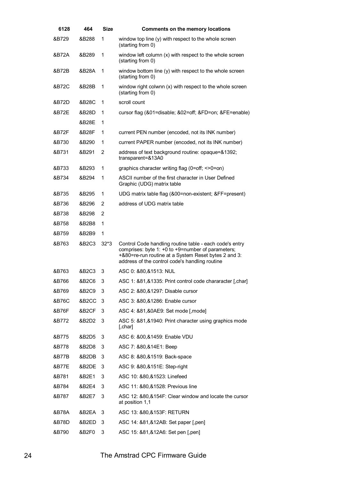| 6128  | 464   | <b>Size</b>               | <b>Comments on the memory locations</b>                                                                                                                                                                                |
|-------|-------|---------------------------|------------------------------------------------------------------------------------------------------------------------------------------------------------------------------------------------------------------------|
| &B729 | &B288 | 1                         | window top line (y) with respect to the whole screen<br>(starting from 0)                                                                                                                                              |
| &B72A | &B289 | 1                         | window left column (x) with respect to the whole screen<br>(starting from 0)                                                                                                                                           |
| &B72B | &B28A | 1                         | window bottom line (y) with respect to the whole screen<br>(starting from 0)                                                                                                                                           |
| &B72C | &B28B | 1                         | window right colwnn (x) with respect to the whole screen<br>(starting from 0)                                                                                                                                          |
| &B72D | &B28C | 1                         | scroll count                                                                                                                                                                                                           |
| &B72E | &B28D | 1                         | cursor flag (&01=disable; &02=off; &FD=on; &FE=enable)                                                                                                                                                                 |
|       | &B28E | 1                         |                                                                                                                                                                                                                        |
| &B72F | &B28F | 1                         | current PEN number (encoded, not its INK number)                                                                                                                                                                       |
| &B730 | &B290 | 1                         | current PAPER number (encoded, not its INK number)                                                                                                                                                                     |
| &B731 | &B291 | 2                         | address of text background routine: opaque=&1392;<br>transparent=&13A0                                                                                                                                                 |
| &B733 | &B293 | 1                         | graphics character writing flag (0=off; $\leq$ -0=on)                                                                                                                                                                  |
| &B734 | &B294 | 1                         | ASCII number of the first character in User Defined<br>Graphic (UDG) matrix table                                                                                                                                      |
| &B735 | &B295 | 1                         | UDG matrix table flag (&00=non-existent; &FF=present)                                                                                                                                                                  |
| &B736 | &B296 | 2                         | address of UDG matrix table                                                                                                                                                                                            |
| &B738 | &B298 | 2                         |                                                                                                                                                                                                                        |
| &B758 | &B2B8 | 1                         |                                                                                                                                                                                                                        |
| &B759 | &B2B9 | 1                         |                                                                                                                                                                                                                        |
| &B763 | &B2C3 | $32*3$                    | Control Code handling routine table - each code's entry<br>comprises: byte 1: +0 to +9=number of parameters;<br>+&80=re-run routine at a System Reset bytes 2 and 3:<br>address of the control code's handling routine |
| &B763 | &B2C3 | 3                         | ASC 0: 880, 81513: NUL                                                                                                                                                                                                 |
| &B766 | &B2C6 | $\ensuremath{\mathsf{3}}$ | ASC 1: &81,&1335: Print control code chararacter [,char]                                                                                                                                                               |
| &B769 | &B2C9 | 3                         | ASC 2: &80, &1297: Disable cursor                                                                                                                                                                                      |
| &B76C | &B2CC | 3                         | ASC 3: &80, &1286: Enable cursor                                                                                                                                                                                       |
| &B76F | &B2CF | 3                         | ASC 4: &81, & 0AE9: Set mode [, mode]                                                                                                                                                                                  |
| &B772 | &B2D2 | 3                         | ASC 5: &81,&1940: Print character using graphics mode<br>$[$ , char $]$                                                                                                                                                |
| &B775 | &B2D5 | 3                         | ASC 6: 800, 81459: Enable VDU                                                                                                                                                                                          |
| &B778 | &B2D8 | 3                         | ASC 7: 880, 814 E1: Beep                                                                                                                                                                                               |
| &B77B | &B2DB | 3                         | ASC 8: &80,&1519: Back-space                                                                                                                                                                                           |
| &B77E | &B2DE | 3                         | ASC 9: &80,&151E: Step-right                                                                                                                                                                                           |
| &B781 | &B2E1 | 3                         | ASC 10: &80, & 1523: Linefeed                                                                                                                                                                                          |
| &B784 | &B2E4 | 3                         | ASC 11: &80,&1528: Previous line                                                                                                                                                                                       |
| &B787 | &B2E7 | 3                         | ASC 12: &80,&154F: Clear window and locate the cursor<br>at position 1,1                                                                                                                                               |
| &B78A | &B2EA | 3                         | ASC 13: &80,&153F: RETURN                                                                                                                                                                                              |
| &B78D | &B2ED | 3                         | ASC 14: &81,&12AB: Set paper [, pen]                                                                                                                                                                                   |
| &B790 | &B2F0 | 3                         | ASC 15: &81,&12A6: Set pen [, pen]                                                                                                                                                                                     |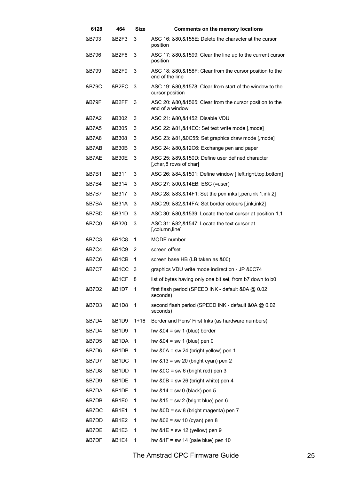| 6128  | 464     | Size     | <b>Comments on the memory locations</b>                                      |
|-------|---------|----------|------------------------------------------------------------------------------|
| &B793 | &B2F3   | 3        | ASC 16: &80,&155E: Delete the character at the cursor<br>position            |
| &B796 | &B2F6   | 3        | ASC 17: &80,&1599: Clear the line up to the current cursor<br>position       |
| &B799 | &B2F9   | 3        | ASC 18: &80,&158F: Clear from the cursor position to the<br>end of the line  |
| &B79C | &B2FC   | 3        | ASC 19: &80,&1578: Clear from start of the window to the<br>cursor position  |
| &B79F | &B2FF   | 3        | ASC 20: &80, &1565: Clear from the cursor position to the<br>end of a window |
| &B7A2 | &B302   | 3        | ASC 21: &80,&1452: Disable VDU                                               |
| &B7A5 | &B305   | 3        | ASC 22: &81,&14EC: Set text write mode [,mode]                               |
| &B7A8 | &B308   | 3        | ASC 23: &81, &0C55: Set graphics draw mode [, mode]                          |
| &B7AB | &B30B   | 3        | ASC 24: &80, &12C6: Exchange pen and paper                                   |
| &B7AE | &B30E   | 3        | ASC 25: &89,&150D: Define user defined character<br>[, char, 8 rows of char] |
| &B7B1 | &B311   | 3        | ASC 26: &84,&1501: Define window [, left, right, top, bottom]                |
| &B7B4 | &B314   | 3        | ASC 27: &00,&14EB: ESC (=user)                                               |
| &B7B7 | &B317   | 3        | ASC 28: &83,&14F1: Set the pen inks [, pen, ink 1, ink 2]                    |
| &B7BA | &B31A   | 3        | ASC 29: &82,&14FA: Set border colours [,ink,ink2]                            |
| &B7BD | &B31D   | 3        | ASC 30: &80,&1539: Locate the text cursor at position 1,1                    |
| &B7C0 | &B320   | 3        | ASC 31: &82,&1547: Locate the text cursor at<br>[,column,line]               |
| &B7C3 | &B1C8   | 1        | MODE number                                                                  |
| &B7C4 | &B1C9.  | 2        | screen offset                                                                |
| &B7C6 | &B1CB   | 1        | screen base HB (LB taken as &00)                                             |
| &B7C7 | &B1CC   | 3        | graphics VDU write mode indirection - JP &0C74                               |
|       | &B1CF 8 |          | list of bytes having only one bit set, from b7 down to b0                    |
| &B7D2 | &B1D7   | 1        | first flash period (SPEED INK - default & 0A @ 0.02<br>seconds)              |
| &B7D3 | &B1D8   | 1        | second flash period (SPEED INK - default &0A @ 0.02<br>seconds)              |
| &B7D4 | &B1D9   | $1 + 16$ | Border and Pens' First Inks (as hardware numbers):                           |
| &B7D4 | &B1D9   | 1        | hw $&04 = sw 1$ (blue) border                                                |
| &B7D5 | &B1DA   | 1        | hw $&04 = sw 1$ (blue) pen 0                                                 |
| &B7D6 | &B1DB   | 1        | hw $80A = sw 24$ (bright yellow) pen 1                                       |
| &B7D7 | &B1DC   | 1        | hw $&13$ = sw 20 (bright cyan) pen 2                                         |
| &B7D8 | &B1DD   | 1        | hw $80C = sw 6$ (bright red) pen 3                                           |
| &B7D9 | &B1DE   | 1        | hw $80B = sw 26$ (bright white) pen 4                                        |
| &B7DA | &B1DF   | 1        | hw $&14 = sw 0$ (black) pen 5                                                |
| &B7DB | &B1E0   | 1        | hw $815 = sw 2$ (bright blue) pen 6                                          |
| &B7DC | &B1E1   | 1        | hw $80D = sw 8$ (bright magenta) pen 7                                       |
| &B7DD | &B1E2   | 1        | hw $806 = sw 10$ (cyan) pen 8                                                |
| &B7DE | &B1E3   | 1        | hw $&1E = sw 12$ (yellow) pen 9                                              |
| &B7DF | &B1E4   | 1        | hw $&1F = sw 14$ (pale blue) pen 10                                          |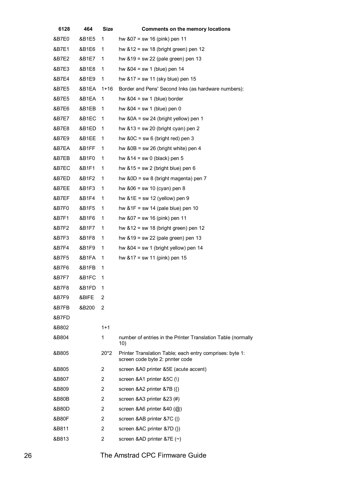| 6128  | 464     | <b>Size</b>    | <b>Comments on the memory locations</b>                                                     |
|-------|---------|----------------|---------------------------------------------------------------------------------------------|
| &B7E0 | &B1E5   | 1              | hw $807 = sw 16$ (pink) pen 11                                                              |
| &B7E1 | &B1E6   | 1              | hw $&12$ = sw 18 (bright green) pen 12                                                      |
| &B7E2 | &B1E7   | $\mathbf{1}$   | hw $&19$ = sw 22 (pale green) pen 13                                                        |
| &B7E3 | &B1E8   | 1              | hw $804 = sw 1$ (blue) pen 14                                                               |
| &B7E4 | &B1E9   | 1              | hw $817 = sw 11$ (sky blue) pen 15                                                          |
| &B7E5 | &B1EA   | $1+16$         | Border and Pens' Second Inks (as hardware numbers):                                         |
| &B7E5 | &B1EA   | 1              | hw $&04 = sw 1$ (blue) border                                                               |
| &B7E6 | &B1EB   | 1              | hw $804 = sw 1$ (blue) pen 0                                                                |
| &B7E7 | &B1EC 1 |                | hw $&0A = sw 24$ (bright yellow) pen 1                                                      |
| &B7E8 | &B1ED   | 1              | hw $813$ = sw 20 (bright cyan) pen 2                                                        |
| &B7E9 | &B1EE   | 1              | hw $80C = sw 6$ (bright red) pen 3                                                          |
| &B7EA | &B1FF   | 1              | hw $80B = sw 26$ (bright white) pen 4                                                       |
| &B7EB | &B1F0   | 1              | hw $&14 = sw 0$ (black) pen 5                                                               |
| &B7EC | &B1F1   | 1              | hw $815 = sw 2$ (bright blue) pen 6                                                         |
| &B7ED | &B1F2   | 1              | hw $80D = sw 8$ (bright magenta) pen 7                                                      |
| &B7EE | &B1F3   | 1              | hw $806 = sw 10$ (cyan) pen 8                                                               |
| &B7EF | &B1F4   | 1              | hw $&1E = sw 12$ (yellow) pen 9                                                             |
| &B7F0 | &B1F5   | 1              | hw $&1F = sw 14$ (pale blue) pen 10                                                         |
| &B7F1 | &B1F6   | 1              | hw $807 = sw 16$ (pink) pen 11                                                              |
| &B7F2 | &B1F7   | 1              | hw $&12$ = sw 18 (bright green) pen 12                                                      |
| &B7F3 | &B1F8   | 1              | hw $&19$ = sw 22 (pale green) pen 13                                                        |
| &B7F4 | &B1F9   | 1              | hw $804 = sw 1$ (bright yellow) pen 14                                                      |
| &B7F5 | &B1FA   | 1              | hw $&17 = sw 11$ (pink) pen 15                                                              |
| &B7F6 | &B1FB   | 1              |                                                                                             |
| &B7F7 | &B1FC   | 1              |                                                                                             |
| &B7F8 | &B1FD   | 1              |                                                                                             |
| &B7F9 | &BIFE   | 2              |                                                                                             |
| &B7FB | &B200   | 2              |                                                                                             |
| &B7FD |         |                |                                                                                             |
| &B802 |         | $1+1$          |                                                                                             |
| &B804 |         | 1              | number of entries in the Printer Translation Table (normally<br>10)                         |
| &B805 |         | $20*2$         | Printer Translation Table; each entry comprises: byte 1:<br>screen code byte 2: pnnter code |
| &B805 |         | 2              | screen &A0 printer &5E (acute accent)                                                       |
| &B807 |         | 2              | screen &A1 printer &5C (\)                                                                  |
| &B809 |         | 2              | screen &A2 printer &7B $(\})$                                                               |
| &B80B |         | 2              | screen &A3 printer &23 (#)                                                                  |
| &B80D |         | 2              | screen &A6 printer &40 (@)                                                                  |
| &B80F |         | $\overline{2}$ | screen &AB printer &7C ( )                                                                  |
| &B811 |         | 2              | screen &AC printer &7D (})                                                                  |
| &B813 |         | 2              | screen &AD printer $&7E$ (~)                                                                |
|       |         |                |                                                                                             |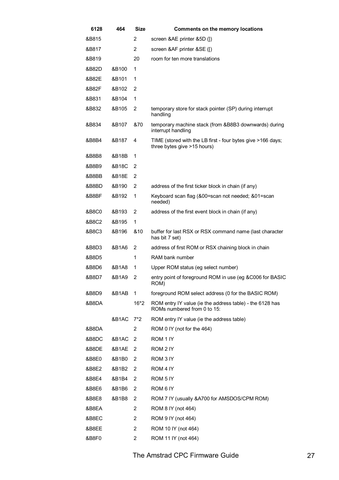| 6128  | 464   | <b>Size</b>    | <b>Comments on the memory locations</b>                                                    |
|-------|-------|----------------|--------------------------------------------------------------------------------------------|
| &B815 |       | 2              | screen & AE printer & 5D (1)                                                               |
| &B817 |       | 2              | screen &AF printer &SE ([)                                                                 |
| &B819 |       | 20             | room for ten more translations                                                             |
| &B82D | &B100 | 1              |                                                                                            |
| &B82E | &B101 | 1              |                                                                                            |
| &B82F | &B102 | 2              |                                                                                            |
| &B831 | &B104 | 1              |                                                                                            |
| &B832 | &B105 | 2              | temporary store for stack pointer (SP) during interrupt<br>handling                        |
| &B834 | &B107 | &70            | temporary machine stack (from &B8B3 downwards) during<br>interrupt handling                |
| &B8B4 | &B187 | 4              | TIME (stored with the LB first - four bytes give >166 days;<br>three bytes give >15 hours) |
| &B8B8 | &B18B | 1              |                                                                                            |
| &B8B9 | &B18C | 2              |                                                                                            |
| &B8BB | &B18E | 2              |                                                                                            |
| &B8BD | &B190 | $\overline{2}$ | address of the first ticker block in chain (if any)                                        |
| &B8BF | &B192 | 1              | Keyboard scan flag (&00=scan not needed; &01=scan<br>needed)                               |
| &B8C0 | &B193 | 2              | address of the first event block in chain (if any)                                         |
| &B8C2 | &B195 | 1              |                                                                                            |
| &B8C3 | &B196 | &10            | buffer for last RSX or RSX command name (last character<br>has bit 7 set)                  |
| &B8D3 | &B1A6 | 2              | address of first ROM or RSX chaining block in chain                                        |
| &B8D5 |       | 1              | RAM bank number                                                                            |
| &B8D6 | &B1A8 | 1              | Upper ROM status (eg select number)                                                        |
| &B8D7 | &B1A9 | 2              | entry point of foreground ROM in use (eg &C006 for BASIC<br>ROM)                           |
| &B8D9 | &B1AB | 1              | foreground ROM select address (0 for the BASIC ROM)                                        |
| &B8DA |       | $16*2$         | ROM entry IY value (ie the address table) - the 6128 has<br>ROMs numbered from 0 to 15:    |
|       | &B1AC | $7^*2$         | ROM entry IY value (ie the address table)                                                  |
| &B8DA |       | 2              | ROM 0 IY (not for the 464)                                                                 |
| &B8DC | &B1AC | 2              | ROM 1 IY                                                                                   |
| &B8DE | &B1AE | 2              | ROM 2 IY                                                                                   |
| &B8E0 | &B1B0 | 2              | ROM 3 IY                                                                                   |
| &B8E2 | &B1B2 | 2              | ROM 4 IY                                                                                   |
| &B8E4 | &B1B4 | 2              | ROM 5 IY                                                                                   |
| &B8E6 | &B1B6 | 2              | ROM 6 IY                                                                                   |
| &B8E8 | &B1B8 | 2              | ROM 7 IY (usually &A700 for AMSDOS/CPM ROM)                                                |
| &B8EA |       | 2              | ROM 8 IY (not 464)                                                                         |
| &B8EC |       | 2              | ROM 9 IY (not 464)                                                                         |
| &B8EE |       | $\overline{2}$ | ROM 10 IY (not 464)                                                                        |
| &B8F0 |       | 2              | ROM 11 IY (not 464)                                                                        |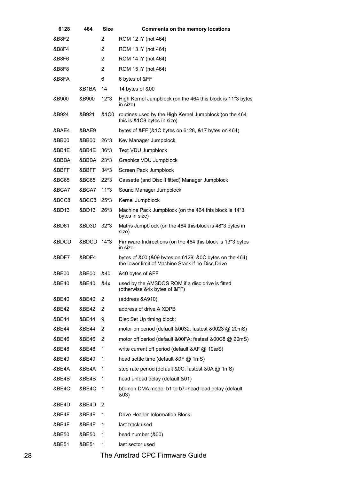| 6128  | 464        | <b>Size</b>     | <b>Comments on the memory locations</b>                                                                     |
|-------|------------|-----------------|-------------------------------------------------------------------------------------------------------------|
| &B8F2 |            | $\overline{2}$  | ROM 12 IY (not 464)                                                                                         |
| &B8F4 |            | $\overline{2}$  | ROM 13 IY (not 464)                                                                                         |
| &B8F6 |            | 2               | ROM 14 IY (not 464)                                                                                         |
| &B8F8 |            | 2               | ROM 15 IY (not 464)                                                                                         |
| &B8FA |            | 6               | 6 bytes of &FF                                                                                              |
|       | &B1BA      | 14              | 14 bytes of &00                                                                                             |
| &B900 | &B900      | 12*3            | High Kernel Jumpblock (on the 464 this block is 11*3 bytes<br>in size)                                      |
| &B924 | &B921      | <b>&amp;1C0</b> | routines used by the High Kernel Jumpblock (on the 464<br>this is &1C8 bytes in size)                       |
| &BAE4 | &BAE9      |                 | bytes of &FF (&1C bytes on 6128, &17 bytes on 464)                                                          |
| &BB00 | &BB00      | $26*3$          | Key Manager Jumpblock                                                                                       |
| &BB4E | &BB4E      | 36*3            | Text VDU Jumpblock                                                                                          |
| &BBBA | &BBBA      | $23*3$          | Graphics VDU Jumpblock                                                                                      |
| &BBFF | &BBFF      | $34*3$          | Screen Pack Jumpblock                                                                                       |
| &BC65 | &BC65      | $22*3$          | Cassette (and Disc if fitted) Manager Jumpblock                                                             |
| &BCA7 | &BCA7      | $11*3$          | Sound Manager Jumpblock                                                                                     |
| &BCC8 | &BCC8      | $25*3$          | Kernel Jumpblock                                                                                            |
| &BD13 | &BD13      | $26*3$          | Machine Pack Jumpblock (on the 464 this block is 14*3<br>bytes in size)                                     |
| &BD61 | &BD3D      | $32*3$          | Maths Jumpblock (on the 464 this block is 48*3 bytes in<br>size)                                            |
| &BDCD | &BDCD 14*3 |                 | Firmware Indirections (on the 464 this block is 13*3 bytes<br>in size                                       |
| &BDF7 | &BDF4      |                 | bytes of &00 (&09 bytes on 6128, &0C bytes on the 464)<br>the lower limit of Machine Stack if no Disc Drive |
| &BE00 | &BE00      | &40             | &40 bytes of &FF                                                                                            |
| &BE40 | &BE40      | &4x             | used by the AMSDOS ROM if a disc drive is fitted<br>(otherwise &4x bytes of &FF)                            |
| &BE40 | &BE40      | 2               | (address &A910)                                                                                             |
| &BE42 | &BE42      | 2               | address of drive A XDPB                                                                                     |
| &BE44 | &BE44      | 9               | Disc Set Up timing block:                                                                                   |
| &BE44 | &BE44      | 2               | motor on period (default &0032; fastest &0023 @ 20mS)                                                       |
| &BE46 | &BE46      | 2               | motor off period (default &00FA; fastest &00C8 @ 20mS)                                                      |
| &BE48 | &BE48      | 1               | write current off period (default &AF @ 10æS)                                                               |
| &BE49 | &BE49      | 1               | head settle time (default & OF @ 1mS)                                                                       |
| &BE4A | &BE4A      | 1               | step rate period (default & OC; fastest & OA @ 1mS)                                                         |
| &BE4B | &BE4B      | 1               | head unload delay (default &01)                                                                             |
| &BE4C | &BE4C      | 1               | b0=non DMA mode; b1 to b7=head load delay (default<br>&03)                                                  |
| &BE4D | &BE4D      | 2               |                                                                                                             |
| &BE4F | &BE4F      | 1               | Drive Header Information Block:                                                                             |
| &BE4F | &BE4F      | 1               | last track used                                                                                             |
| &BE50 | &BE50      | 1               | head number (&00)                                                                                           |
| &BE51 | &BE51      | 1               | last sector used                                                                                            |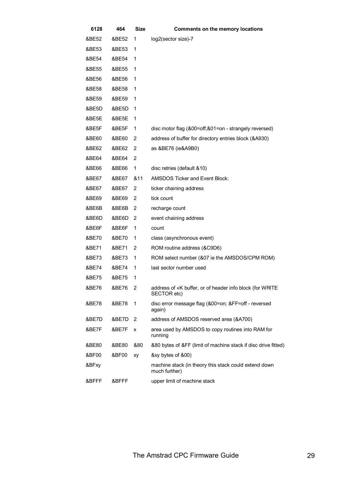| 6128  | 464   | <b>Size</b>    | <b>Comments on the memory locations</b>                                 |
|-------|-------|----------------|-------------------------------------------------------------------------|
| &BE52 | &BE52 | 1              | log2(sector size)-7                                                     |
| &BE53 | &BE53 | 1              |                                                                         |
| &BE54 | &BE54 | 1              |                                                                         |
| &BE55 | &BE55 | 1              |                                                                         |
| &BE56 | &BE56 | 1              |                                                                         |
| &BE58 | &BE58 | 1              |                                                                         |
| &BE59 | &BE59 | 1              |                                                                         |
| &BE5D | &BE5D | 1              |                                                                         |
| &BE5E | &BE5E | 1              |                                                                         |
| &BE5F | &BE5F | 1              | disc motor flag (&00=off;&01=on - strangely reversed)                   |
| &BE60 | &BE60 | 2              | address of buffer for directory entries block (&A930)                   |
| &BE62 | &BE62 | 2              | as &BE76 (ie&A9B0)                                                      |
| &BE64 | &BE64 | 2              |                                                                         |
| &BE66 | &BE66 | 1              | disc retries (default & 10)                                             |
| &BE67 | &BE67 | &11            | <b>AMSDOS Ticker and Event Block:</b>                                   |
| &BE67 | &BE67 | 2              | ticker chaining address                                                 |
| &BE69 | &BE69 | 2              | tick count                                                              |
| &BE6B | &BE6B | 2              | recharge count                                                          |
| &BE6D | &BE6D | 2              | event chaining address                                                  |
| &BE6F | &BE6F | 1              | count                                                                   |
| &BE70 | &BE70 | 1              | class (asynchronous event)                                              |
| &BE71 | &BE71 | 2              | ROM routine address (&C9D6)                                             |
| &BE73 | &BE73 | 1              | ROM select number (&07 ie the AMSDOS/CPM ROM)                           |
| &BE74 | &BE74 | 1              | last sector number used                                                 |
| &BE75 | &BE75 | 1              |                                                                         |
| &BE76 | &BE76 | $\overline{2}$ | address of «K buffer, or of header info block (for WRITE<br>SECTOR etc) |
| &BE78 | &BE78 | 1              | disc error message flag (&00=on; &FF=off - reversed<br>again)           |
| &BE7D | &BE7D | 2              | address of AMSDOS reserved area (&A700)                                 |
| &BE7F | &BE7F | X              | area used by AMSDOS to copy routines into RAM for<br>running            |
| &BE80 | &BE80 | &80            | &80 bytes of &FF (limit of machine stack if disc drive fitted)          |
| &BF00 | &BF00 | xy             | &xy bytes of &00)                                                       |
| &BFxy |       |                | machine stack (in theory this stack could extend down<br>much further)  |
| &BFFF | &BFFF |                | upper limit of machine stack                                            |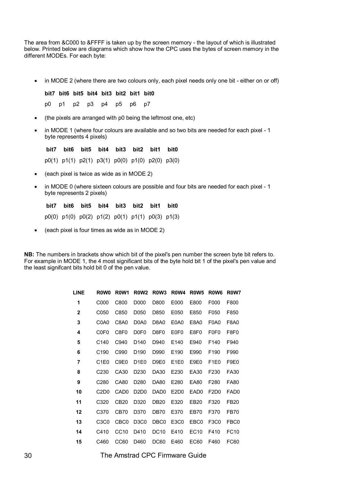The area from &C000 to &FFFF is taken up by the screen memory - the layout of which is illustrated below. Printed below are diagrams which show how the CPC uses the bytes of screen memory in the different MODEs. For each byte:

• in MODE 2 (where there are two colours only, each pixel needs only one bit - either on or off)

**bit7 bit6 bit5 bit4 bit3 bit2 bit1 bit0**  p0 p1 p2 p3 p4 p5 p6 p7

- (the pixels are arranged with p0 being the leftmost one, etc)
- in MODE 1 (where four colours are available and so two bits are needed for each pixel 1 byte represents 4 pixels)

**bit7 bit6 bit5 bit4 bit3 bit2 bit1 bit0**  p0(1) p1(1) p2(1) p3(1) p0(0) p1(0) p2(0) p3(0)

- (each pixel is twice as wide as in MODE 2)
- in MODE 0 (where sixteen colours are possible and four bits are needed for each pixel 1 byte represents 2 pixels)

**bit7 bit6 bit5 bit4 bit3 bit2 bit1 bit0**  p0(0) p1(0) p0(2) p1(2) p0(1) p1(1) p0(3) p1(3)

• (each pixel is four times as wide as in MODE 2)

**NB:** The numbers in brackets show which bit of the pixel's pen number the screen byte bit refers to. For example in MODE 1, the 4 most significant bits of the byte hold bit 1 of the pixel's pen value and the least signifcant bits hold bit 0 of the pen value.

| <b>LINE</b>  | R <sub>0</sub> W <sub>0</sub> | R <sub>0</sub> W <sub>1</sub> | R <sub>0</sub> W <sub>2</sub> | R <sub>0</sub> W <sub>3</sub> | R <sub>0</sub> W <sub>4</sub> | R <sub>0</sub> W <sub>5</sub> | R <sub>0</sub> W <sub>6</sub> | <b>R0W7</b>      |
|--------------|-------------------------------|-------------------------------|-------------------------------|-------------------------------|-------------------------------|-------------------------------|-------------------------------|------------------|
| 1            | C000                          | C800                          | D000                          | D800                          | E000                          | E800                          | F000                          | F800             |
| $\mathbf{2}$ | C050                          | C850                          | D050                          | D850                          | E050                          | E850                          | F050                          | F850             |
| 3            | C <sub>0</sub> A <sub>0</sub> | C8A0                          | D0A0                          | D8A0                          | E0A0                          | E8A0                          | F0A0                          | F8A0             |
| 4            | C <sub>0F0</sub>              | C8F0                          | D <sub>0</sub> F <sub>0</sub> | D8F0                          | E0F0                          | E8F0                          | F0F0                          | F8F0             |
| 5            | C <sub>140</sub>              | C940                          | D140                          | D940                          | E140                          | E940                          | F140                          | F940             |
| 6            | C <sub>190</sub>              | C990                          | D <sub>190</sub>              | D990                          | E190                          | E990                          | F <sub>190</sub>              | F990             |
| 7            | C <sub>1</sub> E <sub>0</sub> | C9E0                          | D <sub>1E0</sub>              | D9E0                          | E <sub>1</sub> E <sub>0</sub> | E9E0                          | F <sub>1</sub> E <sub>0</sub> | F9E0             |
| 8            | C <sub>230</sub>              | CA30                          | D <sub>230</sub>              | DA30                          | E230                          | EA30                          | F230                          | FA30             |
| 9            | C <sub>280</sub>              | CA80                          | D <sub>280</sub>              | DA80                          | E280                          | EA80                          | F280                          | FA80             |
| 10           | C <sub>2</sub> D <sub>0</sub> | CAD <sub>0</sub>              | D <sub>2</sub> D <sub>0</sub> | DAD <sub>0</sub>              | E <sub>2</sub> D <sub>0</sub> | EAD0                          | F <sub>2</sub> D <sub>0</sub> | FAD <sub>0</sub> |
| 11           | C320                          | <b>CB20</b>                   | D320                          | <b>DB20</b>                   | E320                          | EB <sub>20</sub>              | F320                          | FB20             |
| 12           | C <sub>370</sub>              | CB70                          | D370                          | DB70                          | E370                          | EB70                          | F370                          | FB70             |
| 13           | C <sub>3</sub> C <sub>0</sub> | CBC <sub>0</sub>              | D <sub>3</sub> C <sub>0</sub> | DBC0                          | E3C0                          | EBC0                          | F3C0                          | FBC0             |
| 14           | C410                          | CC <sub>10</sub>              | D410                          | <b>DC10</b>                   | E410                          | EC10                          | F410                          | FC10             |
| 15           | C460                          | CC60                          | D460                          | <b>DC60</b>                   | E460                          | EC60                          | F460                          | FC60             |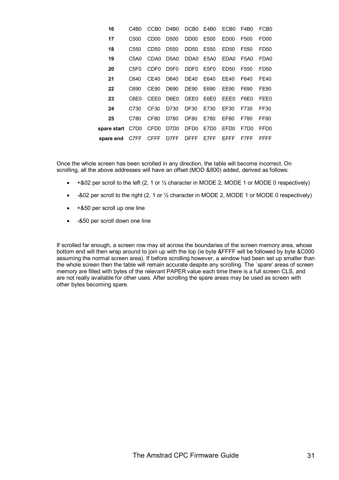| 16                    | C4B0             | CCB <sub>0</sub> | D <sub>4</sub> B <sub>0</sub> | DCB <sub>0</sub> | E4B0             | ECB0             | F4B0             | FCB <sub>0</sub> |
|-----------------------|------------------|------------------|-------------------------------|------------------|------------------|------------------|------------------|------------------|
| 17                    | C500             | CD <sub>00</sub> | D500                          | DD <sub>00</sub> | E500             | FD <sub>00</sub> | F500             | FD <sub>00</sub> |
| 18                    | C550             | CD <sub>50</sub> | D550                          | DD50             | E550             | ED50             | F550             | FD50             |
| 19                    | C5A0             | CDA0             | D <sub>5</sub> A <sub>0</sub> | DDA <sub>0</sub> | E5A0             | EDA0             | F5A0             | FDA0             |
| 20                    | C5F <sub>0</sub> | CDE <sub>0</sub> | D5F0                          | DDF <sub>0</sub> | E5F0             | ED50             | F550             | FD50             |
| 21                    | C640             | CF40             | D640                          | <b>DE40</b>      | E640             | FF40             | F640             | FF40             |
| 22                    | C690             | CF90             | D690                          | <b>DE90</b>      | E690             | FF90             | F690             | FF90             |
| 23                    | C6E0.            | CFF <sub>0</sub> | D6E0                          | DEE0             | E6E0             | FFF0             | F6E0             | FEE0             |
| 24                    | C730             | CF <sub>30</sub> | D730                          | DF <sub>30</sub> | E730             | EF30             | F730             | FF30             |
| 25                    | C780             | CF80             | D780                          | DF80             | E780             | EF80             | F780             | FF80             |
| spare start C7D0 CFD0 |                  |                  | D7D0                          | DFD0             | E7D <sub>0</sub> | FFD <sub>0</sub> | F7D <sub>0</sub> | FFD <sub>0</sub> |
| spare end             | C7FF             | <b>CFFF</b>      | D7FF                          | DFFF             | F7FF             | FFFF             | F7FF             | FFFF             |

Once the whole screen has been scrolled in any direction, the table will become incorrect. On scrolling, all the above addresses will have an offset (MOD &800) added, derived as follows:

- +&02 per scroll to the left (2, 1 or ½ character in MODE 2, MODE 1 or MODE 0 respectively)
- -&02 per scroll to the right  $(2, 1 \text{ or } \frac{1}{2})$  character in MODE 2, MODE 1 or MODE 0 respectively)
- +&50 per scroll up one line
- -&50 per scroll down one line

If scrolled far enough, a screen row may sit across the boundaries of the screen memory area, whose bottom end will then wrap around to join up with the top (ie byte &FFFF will be followed by byte &C000 assuming the normal screen area). If before scrolling however, a window had been set up smaller than the whole screen then the table will remain accurate despite any scrolling. The `spare' areas of screen memory are filled with bytes of the relevant PAPER value each time there is a full screen CLS, and are not really available for other uses. After scrolling the spare areas may be used as screen with other bytes becoming spare.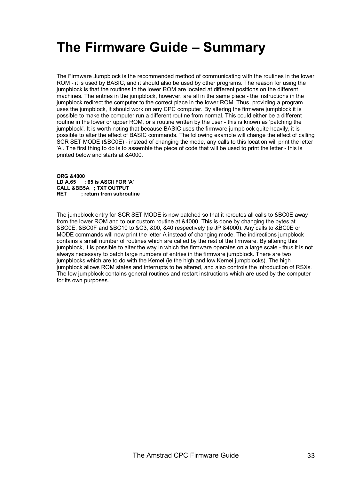# **The Firmware Guide – Summary**

The Firmware Jumpblock is the recommended method of communicating with the routines in the lower ROM - it is used by BASIC, and it should also be used by other programs. The reason for using the jumpblock is that the routines in the lower ROM are located at different positions on the different machines. The entries in the jumpblock, however, are all in the same place - the instructions in the jumpblock redirect the computer to the correct place in the lower ROM. Thus, providing a program uses the jumpblock, it should work on any CPC computer. By altering the firmware jumpblock it is possible to make the computer run a different routine from normal. This could either be a different routine in the lower or upper ROM, or a routine written by the user - this is known as 'patching the jumpblock'. It is worth noting that because BASIC uses the firmware jumpblock quite heavily, it is possible to alter the effect of BASIC commands. The following example will change the effect of calling SCR SET MODE (&BC0E) - instead of changing the mode, any calls to this location will print the letter 'A'. The first thing to do is to assemble the piece of code that will be used to print the letter - this is printed below and starts at &4000.

**ORG &4000 LD A,65 ; 65 is ASCII FOR 'A' CALL &BB5A ; TXT OUTPUT RET ; return from subroutine** 

The jumpblock entry for SCR SET MODE is now patched so that it reroutes all calls to &BC0E away from the lower ROM and to our custom routine at &4000. This is done by changing the bytes at &BC0E, &BC0F and &BC10 to &C3, &00, &40 respectively (ie JP &4000). Any calls to &BC0E or MODE commands will now print the letter A instead of changing mode. The indirections jumpblock contains a small number of routines which are called by the rest of the firmware. By altering this jumpblock, it is possible to alter the way in which the firmware operates on a large scale - thus it is not always necessary to patch large numbers of entries in the firmware jumpblock. There are two jumpblocks which are to do with the Kemel (ie the high and low Kernel jumpblocks). The high jumpblock allows ROM states and interrupts to be altered, and also controls the introduction of RSXs. The low jumpblock contains general routines and restart instructions which are used by the computer for its own purposes.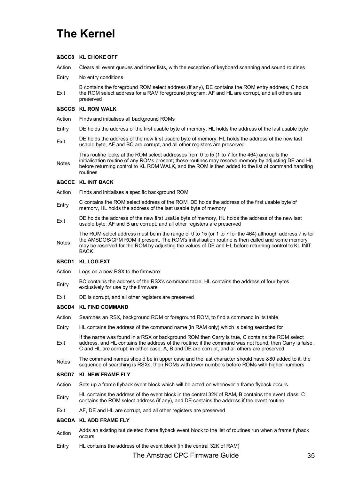# **The Kernel**

#### **&BCC8 KL CHOKE OFF**

Action Clears all event queues and timer lists, with the exception of keyboard scanning and sound routines

- Entry No entry conditions
- Exit B contains the foreground ROM select address (if any), DE contains the ROM entry address, C holds the ROM select address for a RAM foreground program, AF and HL are corrupt, and all others are preserved

#### **&BCCB KL ROM WALK**

- Action Finds and initialises all background ROMs
- Entry DE holds the address of the first usable byte of memory, HL holds the address of the last usable byte
- Exit DE holds the address of the new first usable byte of memory, HL holds the address of the new last usable byte, AF and BC are corrupt, and all other registers are preserved

This routine looks at the ROM select addresses from 0 to l5 (1 to 7 for the 464) and calls the

**Notes** initialisation routine of any ROMs present; these routines may reserve memory by adjusting DE and HL before returning control to KL ROM WALK, and the ROM is then added to the list of command handling routines

#### **&BCCE KL INIT BACK**

- Action Finds and initialises a specific background ROM
- Entry C contains the ROM select address of the ROM, DE holds the address of the first usable byte of memorv, HL holds the address of the last usable byte of memory
- Exit DE holds the address of the new first usaUe byte of memory, HL holds the address of the new last usable byte. AF and B are corrupt, and all other registers are preserved

Notes The ROM select address must be in the range of 0 to 15 (or 1 to 7 for the 464) although address 7 is tor the AMSDOS/CPM ROM if present. The ROM's initialisation routine is then called and some memory may be reserved for the ROM by adjusting the values of DE and HL before returning control to KL INlT BACK

#### **&BCD1 KL LOG EXT**

- Action Logs on a new RSX to the firmware
- Entry BC contains the address of the RSX's command table, HL contains the address of four bytes exclusively for use by the firmware
- Exit DE is corrupt, and all other registers are preserved

#### **&BCD4 KL FIND COMMAND**

- Action Searches an RSX, background ROM or foreground ROM, to find a command in its table
- Entry HL contains the address of the command name (in RAM only) which is being searched for
- Exit If the narne was found in a RSX or background ROM then Carry is true, C contains the ROM select address, and HL contains the address of the routine; if the command was not found, then Carry is false, C and HL are corrupt; in either case, A, B and DE are corrupt, and all others are preserved
- Notes The command names should be in upper case and the last character should have &80 added to it; the Notes sequence of searching is RSXs, then ROMs with lower numbers before ROMs with higher numbers

#### **&BCD7 KL NEW FRAME FLY**

- Action Sets up a frame flyback event block which will be acted on whenever a frame flyback occurs
- Entry HL contains the address of the event block in the central 32K of RAM, B contains the event class. C contains the ROM select address (if any), and DE contains the address if the event routine
- Exit AF, DE and HL are corrupt, and all other registers are preserved

#### **&BCDA KL ADD FRAME FLY**

- Action Adds an existing but deleted frame flyback event block to the list of routines run when a frame flyback occurs
- Entry HL contains the address of the event block (in the central 32K of RAM)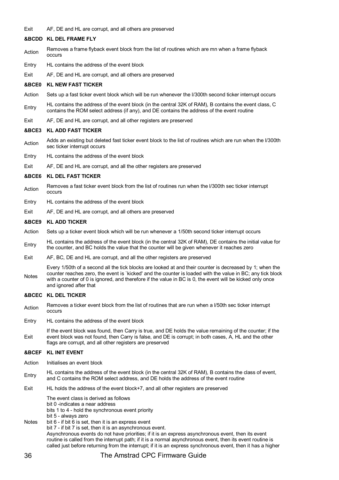Exit AF, DE and HL are corrupt, and all others are preserved

#### **&BCDD KL DEL FRAME FLY**

- Action Removes a frame flyback event block from the list of routines which are mn when a frame flyback occurs
- Entry HL contains the address of the event block
- Exit AF, DE and HL are corrupt, and all others are preserved

#### **&BCE0 KL NEW FAST TICKER**

- Action Sets up a fast ticker event block which will be run whenever the l/300th second ticker interrupt occurs
- Entry HL contains the address of the event block (in the central 32K of RAM), B contains the event class, C contains the ROM select address (if any), and DE contains the address of the event routine
- Exit AF, DE and HL are corrupt, and all other registers are preserved

#### **&BCE3 KL ADD FAST TICKER**

- Action Adds an existing but deleted fast ticker event block to the list of routines which are run when the I/300th sec ticker interrupt occurs
- Entry HL contains the address of the event block
- Exit AF, DE and HL are corrupt, and all the other registers are preserved

#### **&BCE6 KL DEL FAST TICKER**

- Action Removes a fast ticker event block from the list of routines run when the l/300th sec ticker interrupt occurs
- Entry HL contains the address of the event block
- Exit AF, DE and HL are corrupt, and all others are preserved

#### **&BCE9 KL ADD TICKER**

- Action Sets up a ticker event block which will be run whenever a 1/50th second ticker interrupt occurs
- Entry HL contains the address of the event block (in the central 32K of RAM), DE contains the initial value for the counter, and BC holds the value that the counter will be given whenever it reaches zero
- Exit AF, BC, DE and HL are corrupt, and all the other registers are preserved
- Notes Every 1/50th of a second all the tick blocks are looked at and their counter is decreased by 1; when the counter reaches zero, the event is `kicked' and the counter is loaded with the value in BC; any tick block with a counter of 0 is ignored, and therefore if the value in BC is 0, the event will be kicked only once and ignored after that

#### **&BCEC KL DEL TICKER**

- Action Removes a ticker event block from the list of routines that are run when a l/50th sec ticker interrupt occurs
- Entry HL contains the address of the event block
- Exit If the event block was found, then Carry is true, and DE holds the value remaining of the counter; if the event block was not found, then Carry is false, and DE is corrupt; in both cases, A, HL and the other flags are corrupt, and all other registers are preserved

#### **&BCEF KL INIT EVENT**

- Action Initialises an event block
- Entry HL contains the address of the event block (in the central 32K of RAM), B contains the class of event,<br>
Entry and C centring the DOM select address and DE helds the address of the such reuting and C contains the ROM select address, and DE holds the address of the event routine
- Exit HL holds the address of the event block+7, and all other registers are preserved

The event class is derived as follows bit 0 -indicates a near address bits 1 to 4 - hold the synchronous event priority bit 5 - always zero

Notes bit 6 - if bit 6 is set, then it is an express event bit 7 - if bit 7 is set, then it is an asynchronous event. Asynchronous events do not have priorities; if it is an express asynchronous event, then its event routine is called from the interrupt path; if it is a normal asynchronous event, then its event routine is called just before returning from the interrupt; if it is an express synchronous event, then it has a higher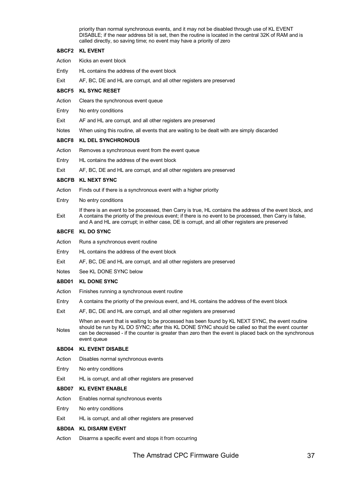priority than normal synchronous events, and it may not be disabled through use of KL EVENT DISABLE; if the near address bit is set, then the routine is located in the central 32K of RAM and is called directly, so saving time; no event may have a priority of zero

# **&BCF2 KL EVENT**

- Action Kicks an event block
- Ently HL contains the address of the event block
- Exit AF, BC, DE and HL are corrupt, and all other registers are preserved

# **&BCF5 KL SYNC RESET**

- Action Clears the synchronous event queue
- Entry No entry conditions
- Exit AF and HL are corrupt, and all other registers are preserved
- Notes When using this routine, all events that are waiting to be dealt with are simply discarded

# **&BCF8 KL DEL SYNCHRONOUS**

- Action Removes a synchronous event from the event queue
- Entry HL contains the address of the event block
- Exit AF, BC, DE and HL are corrupt, and all other registers are preserved

### **&BCFB KL NEXT SYNC**

- Action Finds out if there is a synchronous event with a higher priority
- Entry No entry conditions

Exit If there is an event to be processed, then Carry is true, HL contains the address of the event block, and A contains the priority of the previous event; if there is no event to be processed, then Carry is false, and A and HL are corrupt; in either case, DE is corrupt, and all other registers are preserved

### **&BCFE KL DO SYNC**

- Action Runs a synchronous event routine
- Entry HL contains the address of the event block
- Exit AF, BC, DE and HL are corrupt, and all other registers are preserved
- Notes See KL DONE SYNC below

### **&BD01 KL DONE SYNC**

- Action Finishes running a synchronous event routine
- Entry A contains the priority of the previous event, and HL contains the address of the event block
- Exit AF, BC, DE and HL are corrupt, and all other registers are preserved

Notes When an event that is waiting to be processed has been found by KL NEXT SYNC, the event routine should be run by KL DO SYNC; after this KL DONE SYNC should be called so that the event counter can be decreased - if the counter is greater than zero then the event is placed back on the synchronous event queue

### **&BD04 KL EVENT DISABLE**

- Action Disables norrnal synchronous events
- Entry No entry conditions
- Exit HL is corrupt, and all other registers are preserved

### **&BD07 KL EVENT ENABLE**

- Action Enables normal synchronous events
- Entry No entry conditions
- Exit HL is corrupt, and all other registers are preserved

# **&BD0A KL DISARM EVENT**

Action Disarrns a specific event and stops it from occurring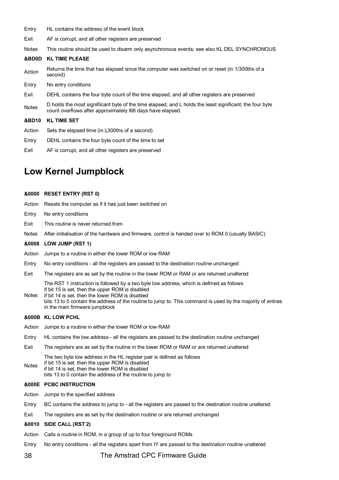- Entry HL contains the address of the event block
- Exit AF is corrupt, and all other registers are preserved
- Notes This routine should be used to disarm only asynchronous events; see also KL DEL SYNCHRONOUS
- **&BD0D KL TIME PLEASE**
- Action Returns the time that has elapsed since the computer was switched on or reset (in 1/300ths of a second)
- Entry No entry conditions
- Exit DEHL contains the four byte count of the time elapsed, and all other registers are preserved
- Notes D holds the most signifilcant byte of the time elapsed, and L holds the least significant; the four byte count overflows after approximately l66 days have elapsed.

**&BD10 KL TIME SET**

- Action Sets the elapsed time (in l¡300ths of a second)
- Entry DEHL contains the four byte count of the time to set
- Exit AF is corrupt, and all other registers are preserved

# **Low Kernel Jumpblock**

# **&0000 RESET ENTRY (RST 0)**

- Action Resets the computer as if it has just been switched on
- Entry No entry conditions
- Exit This routine is never returned from
- Notes After initialisation of the hardware and firmware, control is handed over to ROM 0 (usually BASIC)

# **&0008 LOW JUMP (RST 1)**

- Action Jumps to a routine in either the lower ROM or low RAM
- Entry No entry conditions all the registers are passed to the destination routine unchanged
- Exit The registers are as set by the routine in the lower ROM or RAM or are returned unaltered

The RST 1 instruction is followed by a two byte low address, which is defmed as follows if bit 15 is set, then the upper ROM is disabled

- Notes if bit 14 is set, then the lower ROM is disabled
- bits 13 to 0 contain the address of the routine to jump to. This command is used by the majority of entries in the main firmware jumpblock

# **&000B KL LOW PCHL**

- Action Jumps to a routine in either the lower ROM or low RAM
- Entry HL contains the low address all the registers are passed to the destination routine unchanged
- Exit The registers are as set by the routine in the lower ROM or RAM or are returned unaltered

The two byte low address in the HL register pair is defined as follows

- if bit 15 is set, then the upper ROM is disabled
- Notes if bit 14 is set, then the lower ROM is disabled bits 13 to 0 contain the address of the routine to jump to

# **&000E PCBC INSTRUCTION**

- Action Jumps to the specified address
- Entry BC contains the address to jump to all the registers are passed to the destination routine unaltered
- Exit The registers are as set by the destination routine or are returned unchanged

# **&0010 SIDE CALL (RST 2)**

- Action Calls a routine in ROM, in a group of up to four foreground ROMs
- Entry No entry conditions all the registers apart from IY are passed to the destination routine unaltered

# 38 The Amstrad CPC Firmware Guide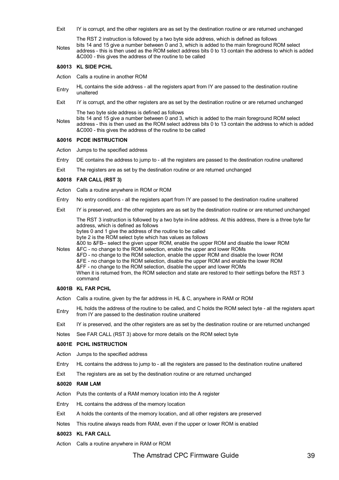Exit IY is corrupt, and the other registers are as set by the destination routine or are returned unchanged

The RST 2 instruction is followed by a two byte side address, which is defined as follows

**Notes** bits 14 and 15 give a number between 0 and 3, which is added to the main foreground ROM select address - this is then used as the ROM select address bits 0 to 13 contain the address to which is added &C000 - this gives the address of the routine to be called

# **&0013 KL SIDE PCHL**

- Action Calls a routine in another ROM
- Entry HL contains the side address all the registers apart from IY are passed to the destination routine unaltered
- Exit IY is corrupt, and the other registers are as set by the destination routine or are returned unchanged The two byte side address is defined as follows
- **Notes** bits 14 and 15 give a number between 0 and 3, which is added to the main foreground ROM select address - this is then used as the ROM select address bits 0 to 13 contain the address to which is added &C000 - this gives the address of the routine to be called

# **&0016 PCDE INSTRUCTION**

- Action Jumps to the specified address
- Entry DE contains the address to jump to all the registers are passed to the destination routine unaltered
- Exit The registers are as set by the destination routine or are returned unchanged

### **&0018 FAR CALL (RST 3)**

- Action Calls a routine anywhere in ROM or ROM
- Entry No entry conditions all the registers apart from IY are passed to the destination routine unaltered
- Exit IY is preserved, and the other registers are as set by the destination routine or are returned unchanged

The RST 3 instruction is followed by a two byte in-line address. At this address, there is a three byte far address, which is defined as follows bytes 0 and 1 give the address of the routine to be called

byte 2 is the ROM select byte which has values as follows

&00 to &FB-- select the given upper ROM, enable the upper ROM and disable the lower ROM

Notes &FC - no change to the ROM selection, enable the upper and lower ROMs &FD - no change to the ROM selection, enable the upper ROM and disable the lower ROM &FE - no change to the ROM selection, disable the upper ROM and enable the lower ROM &FF - no change to the ROM selection, disable the upper and lower ROMs When it is retumed from, the ROM selection and state are restored to their settings before the RST 3 command

### **&001B KL FAR PCHL**

- Action Calls a routine, given by the far address in HL & C, anywhere in RAM or ROM
- Entry HL holds the address of the routine to be called, and C holds the ROM select byte all the registers apart from IY are passed to the destination routine unaltered
- Exit IY is preserved, and the other registers are as set by the destination routine or are returned unchanged
- Notes See FAR CALL (RST 3) above for more details on the ROM select byte

### **&001E PCHL INSTRUCTION**

- Action Jumps to the specified address
- Entry HL contains the address to jump to all the registers are passed to the destination routine unaltered
- Exit The registers are as set by the destination routine or are returned unchanged

# **&0020 RAM LAM**

- Action Puts the contents of a RAM memory location into the A register
- Entry HL contains the address of the memory location
- Exit A holds the contents of the memory location, and all other registers are preserved
- Notes This routine always reads from RAM, even if the upper or lower ROM is enabled
- **&0023 KL FAR CALL**
- Action Calls a routine anywhere in RAM or ROM

# The Amstrad CPC Firmware Guide 39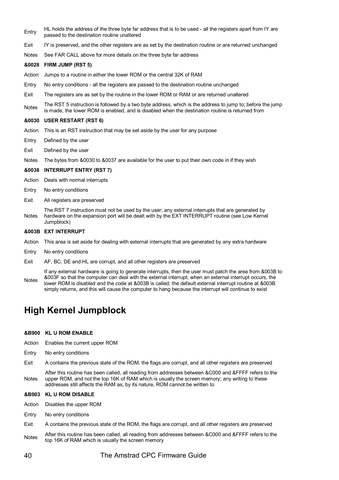- Entry HL holds the address of the three byte far address that is to be used all the registers apart from IY are passed to the destination routine unaltered
- Exit IY is preserved, and the other registers are as set by the destination routine or are returned unchanged
- Notes See FAR CALL above for more details on the three byte far address

# **&0028 FIRM JUMP (RST 5)**

- Action Jumps to a routine in either the lower ROM or the central 32K of RAM
- Entry No entry conditions all the registers are passed to the destination routine unchanged
- Exit The registers are as set by the routine in the lower ROM or RAM or are returned unaltered
- Notes The RST 5 instruction is followed by a two byte address, which is the address to jump to; before the jump is made, the lower ROM is enabled, and is disabled when the destination routine is returned from

### **&0030 USER RESTART (RST 6)**

- Action This is an RST instruction that may be set aside by the user for any purpose
- Entry Defined by the user
- Exit Defined by the user
- Notes The bytes from &0030 to &0037 are available for the user to put their own code in if they wish

### **&0038 INTERRUPT ENTRY (RST 7)**

Action Deals with normal interrupts

- Entry No entry conditions
- Exit All registers are preserved

**Notes** The RST 7 instruction must not be used by the user; any external interrupts that are generated by hardware on the expansion port will be dealt with by the EXT INTERRUPT routine (see Low Kernel Jumpblock)

### **&003B EXT INTERRUPT**

- Action This area is set aside for dealing with external interrupts that are generated by any extra hardware
- Entry No entry conditions
- Exit AF, BC, DE and HL are corrupt, and all other registers are preserved
- Notes If any external hardware is going to generate interrupts, then the user must patch the area from &003B to &003F so that the computer can deal with the external interrupt; when an external interrupt occurs, the lower ROM is disabled and the code at &003B is called; the default external interrupt routine at &003B simply returns, and this will cause the computer to hang because the interrupt will continue to exist

# **High Kernel Jumpblock**

### **&B900 KL U ROM ENABLE**

- Action Enables the current upper ROM
- Entry No entry conditions
- Exit A contains the previous state of the ROM, the flags are corrupt, and all other registers are preserved

Notes After this routine has been called, all reading from addresses between &C000 and &FFFF refers to the upper ROM, and not the top 16K of RAM which is usually the screen memory; any writing to these addresses still affects the RAM as, by its nature, ROM cannot be written to

### **&B903 KL U ROM DISABLE**

- Action Disables the upper ROM
- Entry No entry conditions
- Exit A contains the previous state of the ROM, the flags are corrupt, and all other registers are preserved
- Notes After this routine has been called, all reading from addresses between &C000 and &FFFF refers to the top 16K of RAM which is usually the screen memory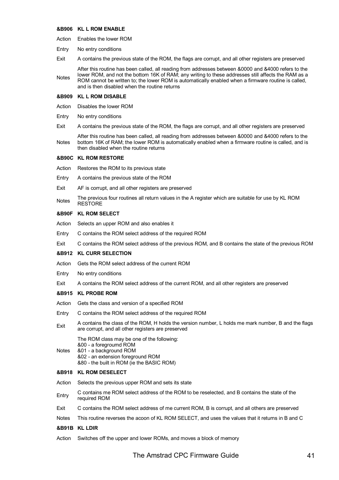### **&B906 KL L ROM ENABLE**

- Action Enables the lower ROM
- Entry No entry conditions
- Exit A contains the previous state of the ROM, the flags are corrupt, and all other registers are preserved

Notes After this routine has been called, all reading from addresses between &0000 and &4000 refers to the lower ROM, and not the bottom 16K of RAM; any writing to these addresses still affects the RAM as a ROM cannot be written to; the lower ROM is automatically enabled when a firmware routine is called, and is then disabled when the routine returns

### **&B909 KL L ROM DISABLE**

- Action Disables the lower ROM
- Entry No entry conditions
- Exit A contains the previous state of the ROM, the flags are corrupt, and all other registers are preserved

Notes After this routine has been called, all reading from addresses between &0000 and &4000 refers to the bottom 16K of RAM; the lower ROM is automatically enabled when a firmware routine is called, and is then disabled when the routine returns

### **&B90C KL ROM RESTORE**

- Action Restores the ROM to its previous state
- Entry A contains the previous state of the ROM
- Exit AF is corrupt, and all other registers are preserved
- Notes The previous four routines all return values in the A register which are suitable for use by KL ROM RESTORE

### **&B90F KL ROM SELECT**

- Action Selects an upper ROM and also enables it
- Entry C contains the ROM select address of the required ROM
- Exit C contains the ROM select address of the previous ROM, and B contains the state of the previous ROM

# **&B912 KL CURR SELECTION**

- Action Gets the ROM select address of the current ROM
- Entry No entry conditions
- Exit A contains the ROM select address of the current ROM, and all other registers are preserved

# **&B915 KL PROBE ROM**

- Action Gets the class and version of a specified ROM
- Entry C contains the ROM select address of the required ROM
- Exit A contains the class of the ROM, H holds the version number, L holds me mark number, B and the flags are corrupt, and all other registers are preserved

The ROM class may be one of the following:

- &00 a foregroumd ROM
- Notes &01 - a background ROM
	- &02 an extension foreground ROM
		- &80 the built in ROM (ie the BASIC ROM)

# **&B918 KL ROM DESELECT**

- Action Selects the previous upper ROM and sets its state
- Entry C contains me ROM select address of the ROM to be reselected, and B contains the state of the required ROM
- Exit C contains the ROM select address of me current ROM, B is corrupt, and all others are preserved
- Notes This routine reverses the acoon of KL ROM SELECT, and uses the values that it returns in B and C

# **&B91B KL LDIR**

Action Switches off the upper and lower ROMs, and moves a block of memory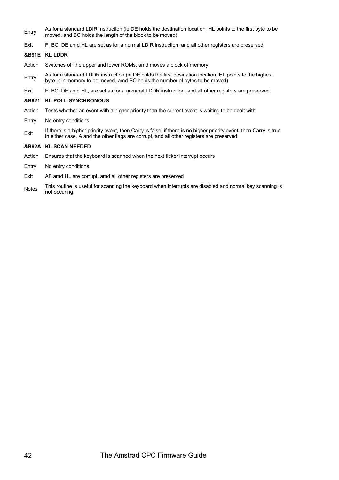- Entry As for a standard LDIR instruction (ie DE holds the destination location, HL points to the first byte to be moved, and BC holds the length of the block to be moved)
- Exit F, BC, DE amd HL are set as for a normal LDIR instruction, and all other registers are preserved

# **&B91E KL LDDR**

- Action Switches off the upper and lower ROMs, amd moves a block of memory
- Entry As for a standard LDDR instruction (ie DE holds the first desination location, HL points to the highest byte lit in memory to be moved, amd BC holds the number of bytes to be moved)
- Exit F, BC, DE amd HL, are set as for a nommal LDDR instruction, and all other registers are preserved

# **&B921 KL POLL SYNCHRONOUS**

- Action Tests whether an event with a higher priority than the current event is waiting to be dealt with
- Entry No entry conditions
- $E$ xit If there is a higher priority event, then Carry is false; if there is no higher priority event, then Carry is true; in either case, A and the other flags are corrupt, and all other registers are preserved

# **&B92A KL SCAN NEEDED**

- Action Ensures that the keyboard is scanned when the next ticker interrupt occurs
- Entry No entry conditions
- Exit AF amd HL are corrupt, amd all other registers are preserved
- Notes This routine is useful for scanning the keyboard when interrupts are disabled and normal key scanning is not occuring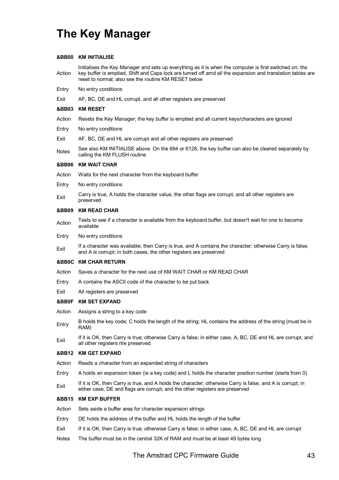# **The Key Manager**

# **&BB00 KM INITIALISE**

Action Initialises the Key Manager and sets up everything as it is when the computer is first switched on; the key buffer is emptied, Shift and Caps lock are tumed off amd all the expansion and translation tables are reset to normal; also see the routine KM RESET below

- Entry No entry conditions
- Exit AF, BC, DE and HL corrupt, and all other registers are preserved

# **&BB03 KM RESET**

- Action Resets the Key Manager; the key buffer is emptied and all current keys/characters are ignored
- Entry No entry conditions
- Exit AF, BC, DE and HL are corrupt and all other registers are preserved
- Notes See also KM INITIALISE above. On the 664 or 6128, the key buffer can also be cleared separately by calling the KM FLUSH routine

### **&BB06 KM WAIT CHAR**

- Action Waits for the next character from the keyboard buffer
- Entry No entry conditions
- Exit Carry is true, A holds the character value, the other flags are corrupt, and all other registers are preserved

# **&BB09 KM READ CHAR**

- Action Tests to see if a character is available from the keyboard buffer, but doesn't wait for one to become available
- Entry No entry conditions
- Exit If a character was available, then Carry is true, and A contains the character; otherwise Carry is false, and A is corrupt; in both cases, the other registers are preserved

### **&BB0C KM CHAR RETURN**

- Action Saves a character for the next use of KM WAIT CHAR or KM READ CHAR
- Entry A contains the ASCII code of the character to be put back
- Exit All registers are preserved

### **&BB0F KM SET EXPAND**

- Action Assigns a string to a key code
- Entry B holds the key code; C holds the length of the string; HL contains the address of the string (must be in RAM)
- If it is OK, then Carry is true; otherwise Carry is false; in either case, A, BC, DE and HL are corrupt, and<br>
In the are spitter also are corrupt all other registers rlre preserved

### **&BB12 KM GET EXPAND**

- Action Reads a character from an expanded string of characters
- Entry A holds an expansion token (ie a key code) and L holds the character position number (starts from 0)
- Fxit If it is OK, then Carry is true, and A holds the character; otherwise Carry is false, and A is corrupt; in either case, DE and flags are corrupt, and the other registers are preserved

# **&BB15 KM EXP BUFFER**

- Action Sets aside a buffer area for character expansion strings
- Entry DE holds the address of the buffer and HL holds the length of the buffer
- Exit If it is OK, then Carry is true; otherwise Carry is false; in either case, A, BC, DE and HL are corrupt
- Notes The buffer must be in the central 32K of RAM and must be at least 49 bytes long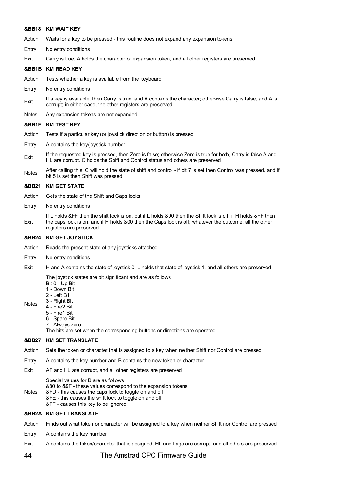### **&BB18 KM WAIT KEY**

- Action Waits for a key to be pressed this routine does not expand any expansion tokens
- Entry No entry conditions
- Exit Carry is true, A holds the character or expansion token, and all other registers are preserved

# **&BB1B KM READ KEY**

- Action Tests whether a key is available from the keyboard
- Entry No entry conditions
- $E_{\text{Xit}}$  If a key is available, then Carry is true, and A contains the character; otherwise Carry is false, and A is corrupt; in either case, the other registers are preserved
- Notes Any expansion tokens are not expanded

### **&BB1E KM TEST KEY**

- Action Tests if a particular key (or joystick direction or button) is pressed
- Entry A contains the key/joystick nurnber
- Exit If the requested key is pressed, then Zero is false; otherwise Zero is true for both, Carry is false A and HL are corrupt. C holds the Sbift and Control status and others are preserved
- Notes After calling this, C will hold the state of shift and control if bit 7 is set then Control was pressed, and if bit 5 is set then Shift was pressed

### **&BB21 KM GET STATE**

- Action Gets the state of the Shift and Caps locks
- Entry No entry conditions
- Exit If L holds &FF then the shift lock is on, but if L holds &00 then the Shift lock is off; if H holds &FF then the caps lock is on, and if H holds &00 then the Caps lock is off; whatever the outcome, all the other registers are preserved

### **&BB24 KM GET JOYSTICK**

- Action Reads the present state of any joysticks attached
- Entry No entry conditions
- Exit H and A contains the state of joystick 0, L holds that state of joystick 1, and all others are preserved

The joystick states are bit significant and are as follows

- Bit 0 Up Bit
- 1 Down Bit
- 2 Left Bit
- Notes 3 - Right Bit
	- 4 Fire2 Bit 5 - Fire1 Bit
	- 6 Spare Bit
		- 7 Always zero

The bits are set when the corresponding buttons or directions are operated

### **&BB27 KM SET TRANSLATE**

- Action Sets the token or character that is assigned to a key when neither Shift nor Control are pressed
- Entry A contains the key number and B contains the new token or character
- Exit AF and HL are corrupt, and all other registers are preserved

Special values for B are as follows

&80 to &9F - these values correspond to the expansion tokens

- Notes &FD - this causes the caps lock to toggle on and off &FE - this causes the shift lock to toggle on and off
	- &FF causes this key to be ignored

# **&BB2A KM GET TRANSLATE**

Action Finds out what token or character will be assigned to a key when neither Shift nor Control are pressed

- Entry A contains the key number
- Exit A contains the token/character that is assigned, HL and flags are corrupt, and all others are preserved

# 44 The Amstrad CPC Firmware Guide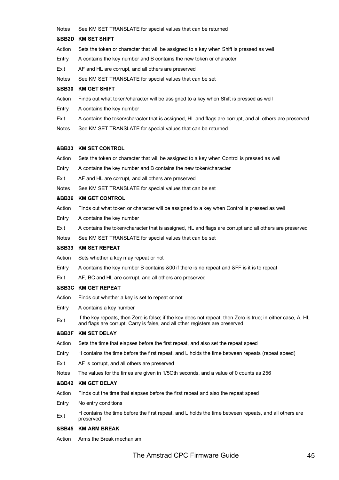Notes See KM SET TRANSLATE for special values that can be returned

### **&BB2D KM SET SHIFT**

- Action Sets the token or character that will be assigned to a key when Shift is pressed as well
- Entry A contains the key number and B contains the new token or character
- Exit AF and HL are corrupt, and all others are preserved
- Notes See KM SET TRANSLATE for special values that can be set

# **&BB30 KM GET SHIFT**

- Action Finds out what token/character will be assigned to a key when Shift is pressed as well
- Entry A contains the key number
- Exit A contains the token/character that is assigned, HL and flags are corrupt, and all others are preserved
- Notes See KM SET TRANSLATE for special values that can be returned

### **&BB33 KM SET CONTROL**

- Action Sets the token or character that will be assigned to a key when Control is pressed as well
- Entry A contains the key number and B contains the new token/character
- Exit AF and HL are corrupt, and all others are preserved
- Notes See KM SET TRANSLATE for special values that can be set

### **&BB36 KM GET CONTROL**

- Action Finds out what token or character will be assigned to a key when Control is pressed as well
- Entry A contains the key number
- Exit A contains the token/character that is assigned, HL and flags are corrupt and all others are preserved
- Notes See KM SET TRANSLATE for special values that can be set

# **&BB39 KM SET REPEAT**

- Action Sets whether a key may repeat or not
- Entry A contains the key number B contains &00 if there is no repeat and &FF is it is to repeat
- Exit AF, BC and HL are corrupt, and all others are preserved

### **&BB3C KM GET REPEAT**

- Action Finds out whether a key is set to repeat or not
- Entry A contains a key number
- Exit If the key repeats, then Zero is false; if the key does not repeat, then Zero is true; in either case, A, HL and flags are corrupt, Carry is false, and all other registers are preserved

# **&BB3F KM SET DELAY**

- Action Sets the time that elapses before the first repeat, and also set the repeat speed
- Entry H contains the time before the first repeat, and L holds the time between repeats (repeat speed)
- Exit AF is corrupt, and all others are preserved
- Notes The values for the times are given in 1/5Oth seconds, and a value of 0 counts as 256

# **&BB42 KM GET DELAY**

- Action Finds out the time that elapses before the first repeat and also the repeat speed
- Entry No entry conditions
- Exit H contains the time before the first repeat, and L holds the time between repeats, and all others are preserved

# **&BB45 KM ARM BREAK**

Action Arms the Break mechanism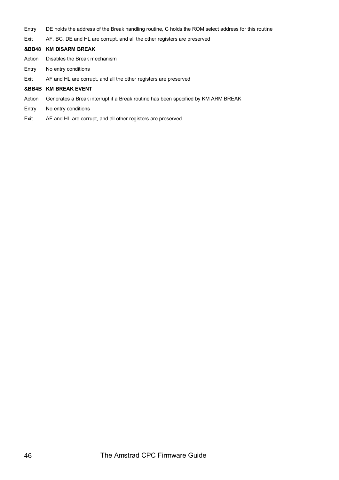- Entry DE holds the address of the Break handling routine, C holds the ROM select address for this routine
- Exit AF, BC, DE and HL are corrupt, and all the other registers are preserved

# **&BB48 KM DISARM BREAK**

- Action Disables the Break mechanism
- Entry No entry conditions
- Exit AF and HL are corrupt, and all the other registers are preserved

# **&BB4B KM BREAK EVENT**

- Action Generates a Break interrupt if a Break routine has been specified by KM ARM BREAK
- Entry No entry conditions
- Exit AF and HL are corrupt, and all other registers are preserved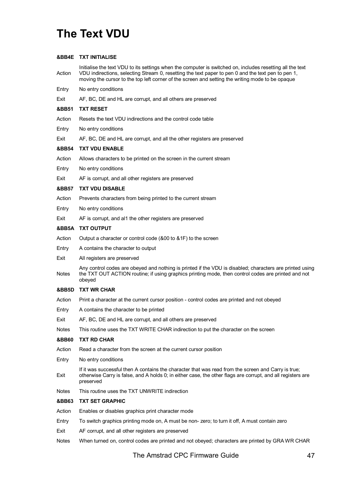# **The Text VDU**

# **&BB4E TXT INITIALISE**

Action Initialise the text VDU to its settings when the computer is switched on, includes resetting all the text VDU indirections, selecting Stream 0, resetting the text paper to pen 0 and the text pen to pen 1, moving the cursor to the top left corner of the screen and setting the writing mode to be opaque

- Entry No entry conditions
- Exit AF, BC, DE and HL are corrupt, and all others are preserved

# **&BB51 TXT RESET**

- Action Resets the text VDU indirections and the control code table
- Entry No entry conditions
- Exit AF, BC, DE and HL are corrupt, and all the other registers are preserved

# **&BB54 TXT VDU ENABLE**

- Action Allows characters to be printed on the screen in the current stream
- Entry No entry conditions
- Exit AF is corrupt, and all other registers are preserved

# **&BB57 TXT VDU DISABLE**

- Action Prevents characters from being printed to the current stream
- Entry No entry conditions
- Exit AF is corrupt, and al1 the other registers are preserved

# **&BB5A TXT OUTPUT**

- Action Output a character or control code (&00 to &1F) to the screen
- Entry A contains the character to output
- Exit All registers are preserved
- Notes Any control codes are obeyed and nothing is printed if the VDU is disabled; characters are printed using the TXT OUT ACTION routine; if using graphics printing mode, then control codes are printed and not obeyed

# **&BB5D TXT WR CHAR**

- Action Print a character at the current cursor position control codes are printed and not obeyed
- Entry A contains the character to be printed
- Exit AF, BC, DE and HL are corrupt, and all others are preserved
- Notes This routine uses the TXT WRITE CHAR indirection to put the character on the screen

# **&BB60 TXT RD CHAR**

- Action Read a character from the screen at the current cursor position
- Entry No entry conditions
- Exit If it was successful then A contains the character that was read from the screen and Carry is true; otherwise Carry is false, and A holds 0; in either case, the other flags are corrupt, and all registers are preserved
- Notes This routine uses the TXT UNWRITE indirection

# **&BB63 TXT SET GRAPHIC**

- Action Enables or disables graphics print character mode
- Entry To switch graphics printing mode on, A must be non- zero; to turn it off, A must contain zero
- Exit AF corrupt, and all other registers are preserved
- Notes When turned on, control codes are printed and not obeyed; characters are printed by GRA WR CHAR

The Amstrad CPC Firmware Guide 47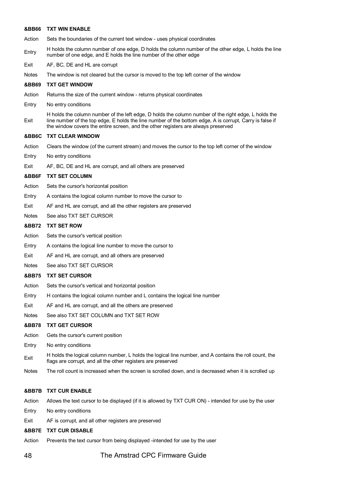### **&BB66 TXT WIN ENABLE**

- Action Sets the boundaries of the current text window uses physical coordinates
- Entry H holds the column number of one edge, D holds the column number of the other edge, L holds the line number of one edge, and E holds the line number of the other edge
- Exit AF, BC, DE and HL are corrupt
- Notes The window is not cleared but the cursor is moved to the top left corner of the window

### **&BB69 TXT GET WINDOW**

- Action Returns the size of the current window returns physical coordinates
- Entry No entry conditions
- Exit H holds the column number of the left edge, D holds the column number of the right edge, L holds the line number of the top edge, E holds the line number of the bottom edge, A is corrupt, Carry is false if the window covers the entire screen, and the other registers are always preserved

### **&BB6C TXT CLEAR WINDOW**

- Action Clears the window (of the current stream) and moves the cursor to the top left corner of the window
- Entry No entry conditions
- Exit AF, BC, DE and HL are corrupt, and alI others are preserved

### **&BB6F TXT SET COLUMN**

- Action Sets the cursor's horizontal position
- Entry A contains the logical column number to move the cursor to
- Exit AF and HL are corrupt, and all the other registers are preserved
- Notes See also TXT SET CURSOR

### **&BB72 TXT SET ROW**

- Action Sets the cursor's vertical position
- Entry A contains the logical line number to move the cursor to
- Exit AF and HL are corrupt, and all others are preserved
- Notes See also TXT SET CURSOR

# **&BB75 TXT SET CURSOR**

- Action Sets the cursor's vertical and horizontal position
- Entry H contains the logical column number and L contains the logical line number
- Exit AF and HL are corrupt, and all the others are preserved
- Notes See also TXT SET COLUMN and TXT SET ROW

# **&BB78 TXT GET CURSOR**

- Action Gets the cursor's current position
- Entry No entry conditions
- Exit H holds the logical column number, L holds the logical line number, and A contains the roll count, the flags are corrupt, and all the other registers are preserved
- Notes The roll count is increased when the screen is scrolled down, and is decreased when it is scrolled up

# **&BB7B TXT CUR ENABLE**

Action Allows the text cursor to be displayed (if it is allowed by TXT CUR ON) - intended for use by the user

- Entry No entry conditions
- Exit AF is corrupt, and all other registers are preserved

### **&BB7E TXT CUR DISABLE**

Action Prevents the text cursor from being displayed -intended for use by the user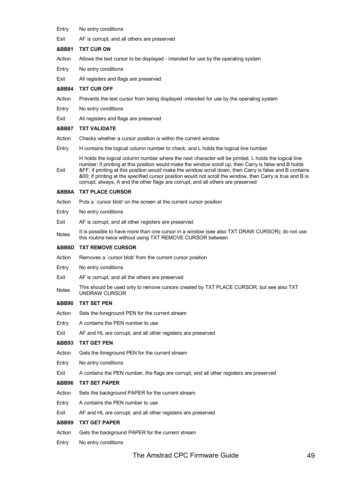- Entry No entry conditions
- Exit AF is corrupt, and all others are preserved
- **&BB81 TXT CUR ON**
- Action Allows the text cursor to be displayed intended for use by the operating system
- Entry No entry conditions
- Exit All registers and flags are preserved
- **&BB84 TXT CUR OFF**
- Action Prevents the text cursor from being displayed -intended for use by the operating system
- Entry No entry conditions
- Exit All registers and flags are preserved

# **&BB87 TXT VALIDATE**

- Action Checks whether a cursor position is within the current window
- Entry H contains the logical column number to check, and L holds the logical line number
- Exit H holds the logical column number where the next character will be printed, L holds the logical line number; if printing at this position would make the window scroll up, then Carry is false and B holds &FF; if printing at this position would make the window scroll down, then Carry is false and B contains &00; if printing at the specified cursor position would not scroll the window, then Carry is true and B is corrupt; always, A and the other flags are corrupt, and all others are preserved

# **&BB8A TXT PLACE CURSOR**

- Action Puts a `cursor blob' on the screen at the current cursor position
- Entry No entry conditions
- Exit AF is corrupt, and all other registers are preserved
- Notes It is possible to have more than one cursor in a window (see also TXT DRAW CURSOR); do not use this routine twice without using TXT REMOVE CURSOR between

# **&BB8D TXT REMOVE CURSOR**

- Action Removes a `cursor blob' from the current cursor position
- Entry No entry conditions
- Exit AF is corrupt, and all the others are preserved
- Notes This should be used only to remove cursors created by TXT PLACE CURSOR, but see also TXT UNDRAW CURSOR

# **&BB90 TXT SET PEN**

- Action Sets the foreground PEN for the current stream
- Entry A contams the PEN number to use
- Exit AF and HL are corrupt, and all other registers are preserved

# **&BB93 TXT GET PEN**

- Action Gets the foreground PEN for the current stream
- Entry No entry conditions
- Exit A contains the PEN number, the flags are corrupt, and all other registers are preserved

# **&BB96 TXT SET PAPER**

- Action Sets the background PAPER for the current stream
- Entry A contains the PEN number to use
- Exit AF and HL are corrupt, and all other registers are preserved

# **&BB99 TXT GET PAPER**

- Action Gets the background PAPER for the current stream
- Entry No entry conditions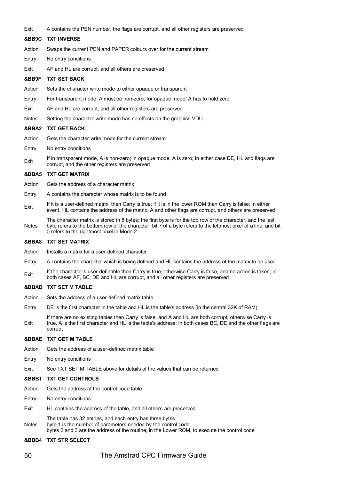Exit A contains the PEN number, the flags are corrupt, and all other registers are preserved

### **&BB9C TXT INVERSE**

- Action Swaps the current PEN and PAPER colours over for the current stream
- Entry No entry conditions
- Exit AF and HL are corrupt, and all others are preserved

# **&BB9F TXT SET BACK**

- Action Sets the character write mode to either opaque or transparent
- Entry For transparent mode, A must be non-zero; for opaque mode, A has to hold zero
- Exit AF and HL are corrupt, and all other registers are preserved
- Notes Setting the character write mode has no effects on the graphics VDU

### **&BBA2 TXT GET BACK**

- Action Gets the character write mode for the current stream
- Entry No entry conditions
- Exit If in transparent mode, A is non-zero; in opaque mode, A is zero; in either case DE, HL and flags are corrupt, and the other registers are preserved

### **&BBA5 TXT GET MATRIX**

- Action Gets the address of a character matrix
- Entry A contains the character whose matrix is to be found
- Exit If it is a user-defined matrix, then Carry is true; if it is in the lower ROM then Carry is false; in either event, HL contains the address of the matrix, A and other flags are corrupt, and others are preserved
- Notes The character matrix is stored in 8 bytes; the first byte is for the top row of the character, and the last byte refers to the bottom row of the character; bit 7 of a byte refers to the leftmost pixel of a line, and bit 0 refers to the rightmost pixel in Mode 2.

### **&BBA8 TXT SET MATRIX**

- Action Installs a matrix for a user-defined character
- Entry A contains the character which is being defined and HL contains the address of the matrix to be used
- Exit If the character is user-definable then Carry is true; otherwise Carry is false, and no action is taken; in both cases AF, BC, DE and HL are corrupt, and all other registers are preserved

### **&BBAB TXT SET M TABLE**

- Action Sets the address of a user-defined matrix table
- Entry DE is the first character in the table and HL is the table's address (in the central 32K of RAM)
- Exit If there are no existing tables then Carry is false, and A and HL are both corrupt; otherwise Carry is true, A is the first character and HL is the table's address; in both cases BC, DE and the other flags are corrupt

# **&BBAE TXT GET M TABLE**

- Action Gets the address of a user-defined matrix table
- Entry No entry conditions
- Exit See TXT SET M TABLE above for details of the values that can be returned

### **&BBB1 TXT GET CONTROLS**

- Action Gets the address of the control code table
- Entry No entry conditions
- Exit HL contains the address of the table, and all others are preserved
- Notes The table has 32 entries, and each entry has three bytes byte 1 is the number of parameters needed by the control code bytes 2 and 3 are the address of the routine, in the Lower ROM, to execute the control code

# **&BBB4 TXT STR SELECT**

# 50 The Amstrad CPC Firmware Guide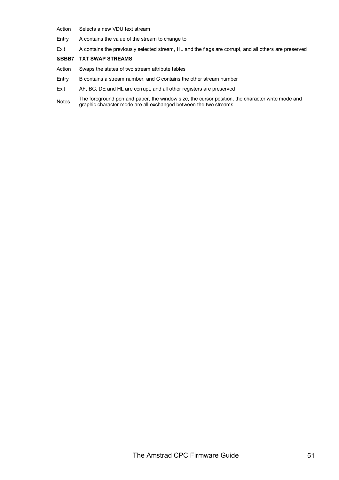- Action Selects a new VDU text stream
- Entry A contains the value of the stream to change to
- Exit A contains the previously selected stream, HL and the flags are corrupt, and all others are preserved

# **&BBB7 TXT SWAP STREAMS**

- Action Swaps the states of two stream attribute tables
- Entry B contains a stream number, and C contains the other stream number
- Exit AF, BC, DE and HL are corrupt, and all other registers are preserved
- Notes The foreground pen and paper, the window size, the cursor position, the character write mode and<br>Notes graphic character mode are all exchanged between the two streams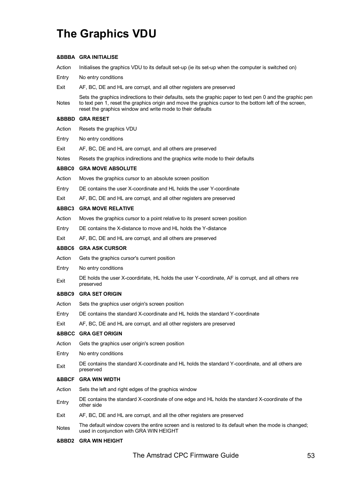# **The Graphics VDU**

# **&BBBA GRA INITIALISE**

Action Initialises the graphics VDU to its default set-up (ie its set-up when the computer is switched on)

- Entry No entry conditions
- Exit AF, BC, DE and HL are corrupt, and all other registers are preserved
- **Notes** Sets the graphics indirections to their defaults, sets the graphic paper to text pen 0 and the graphic pen to text pen 1, reset the graphics origin and move the graphics cursor to the bottom left of the screen, reset the graphics window and write mode to their defaults

# **&BBBD GRA RESET**

- Action Resets the graphics VDU
- Entry No entry conditions
- Exit AF, BC, DE and HL are corrupt, and all others are preserved
- Notes Resets the graphics indirections and the graphics write mode to their defaults

# **&BBC0 GRA MOVE ABSOLUTE**

- Action Moves the graphics cursor to an absolute screen position
- Entry DE contains the user X-coordinate and HL holds the user Y-coordinate
- Exit AF, BC, DE and HL are corrupt, and all other registers are preserved

# **&BBC3 GRA MOVE RELATIVE**

- Action Moves the graphics cursor to a point relative to its present screen position
- Entry DE contains the X-distance to move and HL holds the Y-distance
- Exit AF, BC, DE and HL are corrupt, and all others are preserved

# **&BBC6 GRA ASK CURSOR**

- Action Gets the graphics cursor's current position
- Entry No entry conditions
- Exit DE holds the user X-coordirlate, HL holds the user Y-coordinate, AF is corrupt, and all others nre preserved

# **&BBC9 GRA SET ORIGIN**

- Action Sets the graphics user origin's screen position
- Entry DE contains the standard X-coordinate and HL holds the standard Y-coordinate
- Exit AF, BC, DE and HL are corrupt, and all other registers are preserved

# **&BBCC GRA GET ORIGIN**

- Action Gets the graphics user origin's screen position
- Entry No entry conditions
- Exit DE contains the standard X-coordinate and HL holds the standard Y-coordinate, and all others are preserved

# **&BBCF GRA WIN WIDTH**

- Action Sets the left and right edges of the graphics window
- Entry DE contains the standard X-coordinate of one edge and HL holds the standard X-coordinate of the other side
- Exit AF, BC, DE and HL are corrupt, and all the other registers are preserved
- The default window covers the entire screen and is restored to its default when the mode is changed;<br>Notes used in conjunction with GRA WIN HEIGHT

# **&BBD2 GRA WIN HEIGHT**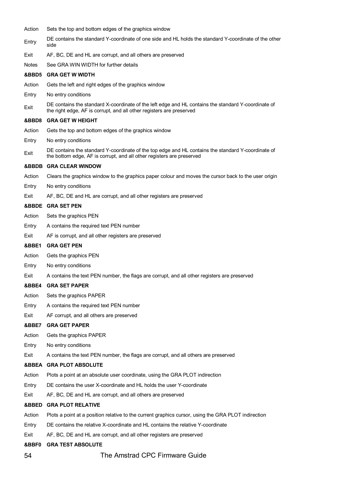| Action | Sets the top and bottom edges of the graphics window                                                                                                                        |
|--------|-----------------------------------------------------------------------------------------------------------------------------------------------------------------------------|
| Entry  | DE contains the standard Y-coordinate of one side and HL holds the standard Y-coordinate of the other<br>side                                                               |
| Exit   | AF, BC, DE and HL are corrupt, and all others are preserved                                                                                                                 |
| Notes  | See GRA WIN WIDTH for further details                                                                                                                                       |
| &BBD5  | <b>GRA GET W WIDTH</b>                                                                                                                                                      |
| Action | Gets the left and right edges of the graphics window                                                                                                                        |
| Entry  | No entry conditions                                                                                                                                                         |
| Exit   | DE contains the standard X-coordinate of the left edge and HL contains the standard Y-coordinate of<br>the right edge, AF is corrupt, and all other registers are preserved |
| &BBD8  | <b>GRA GET W HEIGHT</b>                                                                                                                                                     |
| Action | Gets the top and bottom edges of the graphics window                                                                                                                        |
| Entry  | No entry conditions                                                                                                                                                         |
| Exit   | DE contains the standard Y-coordinate of the top edge and HL contains the standard Y-coordinate of<br>the bottom edge, AF is corrupt, and all other registers are preserved |
| &BBDB  | <b>GRA CLEAR WINDOW</b>                                                                                                                                                     |
| Action | Clears the graphics window to the graphics paper colour and moves the cursor back to the user origin                                                                        |
| Entry  | No entry conditions                                                                                                                                                         |
| Exit   | AF, BC, DE and HL are corrupt, and all other registers are preserved                                                                                                        |
|        | &BBDE GRA SET PEN                                                                                                                                                           |
| Action | Sets the graphics PEN                                                                                                                                                       |
| Entry  | A contains the required text PEN number                                                                                                                                     |
| Exit   | AF is corrupt, and all other registers are preserved                                                                                                                        |
| &BBE1  | <b>GRA GET PEN</b>                                                                                                                                                          |
| Action | Gets the graphics PEN                                                                                                                                                       |
| Entry  | No entry conditions                                                                                                                                                         |
| Exit   | A contains the text PEN number, the flags are corrupt, and all other registers are preserved                                                                                |
| &BBE4  | <b>GRA SET PAPER</b>                                                                                                                                                        |
| Action | Sets the graphics PAPER                                                                                                                                                     |
| Entry  | A contains the required text PEN number                                                                                                                                     |
| Exit   | AF corrupt, and all others are preserved                                                                                                                                    |
| &BBE7  | <b>GRA GET PAPER</b>                                                                                                                                                        |
| Action | Gets the graphics PAPER                                                                                                                                                     |
| Entry  | No entry conditions                                                                                                                                                         |
| Exit   | A contains the text PEN number, the flags are corrupt, and all others are preserved                                                                                         |
|        | <b>&amp;BBEA GRA PLOT ABSOLUTE</b>                                                                                                                                          |
| Action | Plots a point at an absolute user coordinate, using the GRA PLOT indirection                                                                                                |
| Entry  | DE contains the user X-coordinate and HL holds the user Y-coordinate                                                                                                        |
| Exit   | AF, BC, DE and HL are corrupt, and all others are preserved                                                                                                                 |
| &BBED. | <b>GRA PLOT RELATIVE</b>                                                                                                                                                    |
| Action | Plots a point at a position relative to the current graphics cursor, using the GRA PLOT indirection                                                                         |
| Entry  | DE contains the relative X-coordinate and HL contains the relative Y-coordinate                                                                                             |
| Exit   | AF, BC, DE and HL are corrupt, and all other registers are preserved                                                                                                        |
| &BBF0  | <b>GRA TEST ABSOLUTE</b>                                                                                                                                                    |
|        |                                                                                                                                                                             |

54 The Amstrad CPC Firmware Guide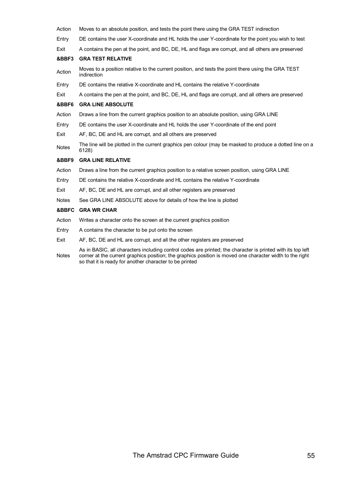| Action       | Moves to an absolute position, and tests the point there using the GRA TEST indirection                           |
|--------------|-------------------------------------------------------------------------------------------------------------------|
| Entry        | DE contains the user X-coordinate and HL holds the user Y-coordinate for the point you wish to test               |
| Exit         | A contains the pen at the point, and BC, DE, HL and flags are corrupt, and all others are preserved               |
| &BBF3        | <b>GRA TEST RELATIVE</b>                                                                                          |
| Action       | Moves to a position relative to the current position, and tests the point there using the GRA TEST<br>indirection |
| Entry        | DE contains the relative X-coordinate and HL contains the relative Y-coordinate                                   |
| Exit         | A contains the pen at the point, and BC, DE, HL and flags are corrupt, and all others are preserved               |
| &BBF6        | <b>GRA LINE ABSOLUTE</b>                                                                                          |
| Action       | Draws a line from the current graphics position to an absolute position, using GRA LINE                           |
| Entry        | DE contains the user X-coordinate and HL holds the user Y-coordinate of the end point                             |
| Exit         | AF, BC, DE and HL are corrupt, and all others are preserved                                                       |
| Notes        | The line will be plotted in the current graphics pen colour (may be masked to produce a dotted line on a<br>6128) |
| &BBF9        | <b>GRA LINE RELATIVE</b>                                                                                          |
| Action       | Draws a line from the current graphics position to a relative screen position, using GRA LINE                     |
| Entry        | DE contains the relative X-coordinate and HL contains the relative Y-coordinate                                   |
| Exit         | AF, BC, DE and HL are corrupt, and all other registers are preserved                                              |
| <b>Notes</b> | See GRA LINE ABSOLUTE above for details of how the line is plotted                                                |
| &BBFC        | <b>GRA WR CHAR</b>                                                                                                |
| Action       | Writes a character onto the screen at the current graphics position                                               |
| Entry        | A contains the character to be put onto the screen                                                                |
| Exit         | AF, BC, DE and HL are corrupt, and all the other registers are preserved                                          |
|              | As in BASIC, all characters including control codes are printed; the character is printed with its top left       |

Notes corner at the current graphics position; the graphics position is moved one character width to the right so that it is ready for another character to be printed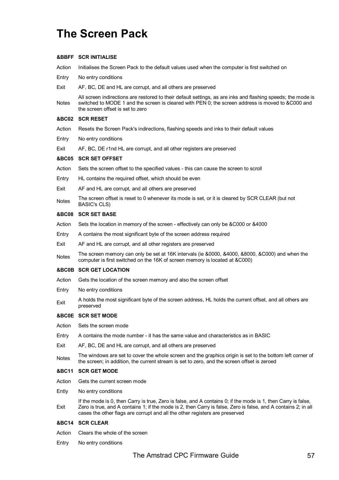# **The Screen Pack**

# **&BBFF SCR INITIALISE**

Action Initialises the Screen Pack to the default values used when the computer is first switched on

- Entry No entry conditions
- Exit AF, BC, DE and HL are corrupt, and all others are preserved

**Notes** All screen indirections are restored to their default settings, as are inks and flashing speeds; the mode is switched to MODE 1 and the screen is cleared with PEN 0; the screen address is moved to &C000 and the screen offset is set to zero

# **&BC02 SCR RESET**

- Action Resets the Screen Pack's indirections, flashing speeds and inks to their default values
- Entry No entry conditions
- Exit AF, BC, DE r1nd HL are corrupt, and all other registers are preserved

### **&BC05 SCR SET OFFSET**

- Action Sets the screen offset to the specified values this can cause the screen to scroll
- Entry HL contains the required offset, which should be even
- Exit AF and HL are corrupt, and alI others are preserved
- Notes The screen offset is reset to 0 whenever its mode is set, or it is cleared by SCR CLEAR (but not BASIC's CLS)

### **&BC08 SCR SET BASE**

- Action Sets the location in memory of the screen effectively can only be &C000 or &4000
- Entry A contains the most significant byte of the screen address required
- Exit AF and HL are corrupt, and all other registers are preserved
- Notes The screen memory can only be set at 16K intervals (ie &0000, &4000, &8000, &C000) and when the computer is first switched on the 16K of screen memory is located at &C000)

### **&BC0B SCR GET LOCATION**

- Action Gets the location of the screen memory and also the screen offset
- Entry No entry conditions
- Exit A holds the most significant byte of the screen address, HL holds the current offset, and all others are preserved

# **&BC0E SCR SET MODE**

- Action Sets the screen mode
- Entry A contains the mode number it has the same value and characteristics as in BASIC
- Exit AF, BC, DE and HL are corrupt, and all others are preserved
- Notes The windows are set to cover the whole screen and the graphics origin is set to the bottom left corner of the screen; in addition, the current stream is set to zero, and the screen offset is zeroed

# **&BC11 SCR GET MODE**

- Action Gets the current screen mode
- Ently No entry conditions
- Exit If the mode is 0, then Carry is true, Zero is false, and A contains 0; if the mode is 1, then Carry is false, Zero is true, and A contains 1; if the mode is 2, then Carry is false, Zero is false, and A contains 2; in all cases the other flags are corrupt and all the other registers are preserved

# **&BC14 SCR CLEAR**

Action Clears the whole of the screen

Entry No entry conditions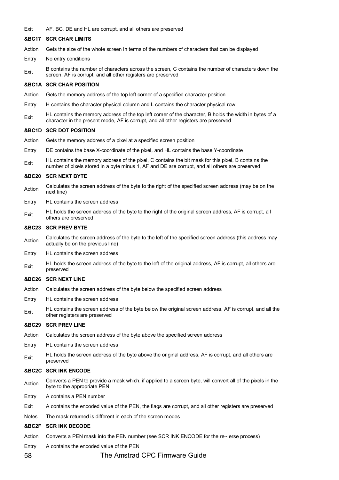Exit AF, BC, DE and HL are corrupt, and all others are preserved

# **&BC17 SCR CHAR LIMITS**

- Action Gets the size of the whole screen in terms of the numbers of characters that can be displayed
- Entry No entry conditions
- Exit B contains the number of characters across the screen, C contains the number of characters down the screen, AF is corrupt, and all other registers are preserved

### **&BC1A SCR CHAR POSITION**

- Action Gets the memory address of the top left corner of a specified character position
- Entry H contains the character physical column and L contains the character physical row
- $E_{\text{crit}}$  HL contains the memory address of the top left comer of the character, B holds the width in bytes of a character in the present mode, AF is corrupt, and all other registers are preserved

### **&BC1D SCR DOT POSITION**

- Action Gets the memory address of a pixel at a specified screen position
- Entry DE contains the base X-coordinate of the pixel, and HL contains the base Y-coordinate
- Exit HL contains the memory address of the pixel, C contains the bit mask for this pixel, B contains the number of pixels stored in a byte minus 1, AF and DE are corrupt, and all others are preserved

### **&BC20 SCR NEXT BYTE**

- Action Calculates the screen address of the byte to the right of the specified screen address (may be on the next line)
- Entry HL contains the screen address
- $E_{\text{Xit}}$  HL holds the screen address of the byte to the right of the original screen address, AF is corrupt, all others are preserved

### **&BC23 SCR PREV BYTE**

- Action Calculates the screen address of the byte to the left of the specified screen address (this address may actually be on the previous line)
- Entry HL contains the screen address
- $E_{\text{Xit}}$  HL holds the screen address of the byte to the left of the original address, AF is corrupt, all others are preserved

### **&BC26 SCR NEXT LINE**

- Action Calculates the screen address of the byte below the specified screen address
- Entry HL contains the screen address
- $E_{\text{Xit}}$  HL contains the screen address of the byte below the original screen address, AF is corrupt, and all the other registers are preserved

### **&BC29 SCR PREV LINE**

- Action Calculates the screen address of the byte above the specified screen address
- Entry HL contains the screen address
- $E_{\text{Xit}}$  HL holds the screen address of the byte above the original address, AF is corrupt, and all others are preserved

# **&BC2C SCR INK ENCODE**

- Action Converts a PEN to provide a mask which, if applied to a screen byte, will convert all of the pixels in the byte to the appropriate PEN
- Entry A contains a PEN number
- Exit A contains the encoded value of the PEN, the flags are corrupt, and all other registers are preserved
- Notes The mask returned is different in each of the screen modes

# **&BC2F SCR INK DECODE**

- Action Converts a PEN mask into the PEN number (see SCR INK ENCODE for the re~ erse process)
- Entry A contains the encoded value of the PEN
- 58 The Amstrad CPC Firmware Guide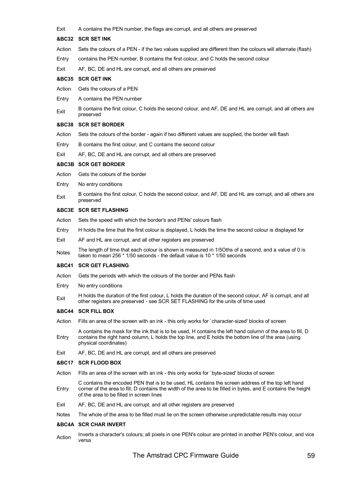Exit A contains the PEN number, the flags are corrupt, and all others are preserved

### **&BC32 SCR SET INK**

- Action Sets the colours of a PEN if the two values supplied are different then the colours will alternate (flash)
- Entry contains the PEN number, B contains the first colour, and C holds the second colour
- Exit AF, BC, DE and HL are corrupt, and all others are preserved

# **&BC35 SCR GET INK**

- Action Gets the colours of a PEN
- Entry A contains the PEN nurnber
- Exit B contains the first colour, C holds the second colour, and AF, DE and HL are corrupt, and all others are preserved

### **&BC38 SCR SET BORDER**

- Action Sets the colours of the border again if two different values are supplied, the border will flash
- Entry B contains the first colour, and C contains the second colour
- Exit AF, BC, DE and HL are corrupt, and all others are preserved

### **&BC3B SCR GET BORDER**

- Action Gets the colours of the border
- Entry No entry conditions
- Exit B contains the first colour, C holds the second colour, and AF, DE and HL are corrupt, and all others are preserved

# **&BC3E SCR SET FLASHING**

- Action Sets the speed with which the border's and PENs' colours flash
- Entry H holds the time that the first colour is displayed, L holds the time the second colour is displayed for
- Exit AF and HL are corrupt, and all other registers are preserved
- Notes The length of time that each colour is shown is measured in 1/5Oths of a second, and a value of 0 is taken to mean 256 \* 1/50 seconds - the default value is 10 \* 1/50 seconds

### **&BC41 SCR GET FLASHING**

- Action Gets the periods with which the colours of the border and PENs flash
- Entry No entry conditions
- Exit H holds the duration of the first colour, L holds the duration of the second colour, AF is corrupt, and all other registers are preserved - see SCR SET FLASHING for the units of time used

# **&BC44 SCR FILL BOX**

- Action Fills an area of the screen with an ink this only works for `character-sized' blocks of screen
- Entry A contains the mask for the ink that is to be used, H contains the left hand colurnn of the area to fill, D contains the right hand column, L holds the top line, and E holds the bottom line of the area (using physical coordinates)
- Exit AF, BC, DE and HL are corrupt, and all others are preserved

### **&BC17 SCR FLOOD BOX**

- Action Fills an area of the screen with an ink this only works for `byte-sized' blocks of screen
- Entry C contains the encoded PEN that is to be used, HL contains the screen address of the top left hand corner of the area to fill, D contains the width of the area to be filled in bytes, and E contains the height of the area to be filled in screen lines
- Exit AF, BC, DE and HL are corrupt, and all other registers are preserved
- Notes The whole of the area to be filled must lie on the screen otherwise unpredictable results may occur

# **&BC4A SCR CHAR INVERT**

Action Inverts a character's colours; all pixels in one PEN's colour are printed in another PEN's colour, and vice versa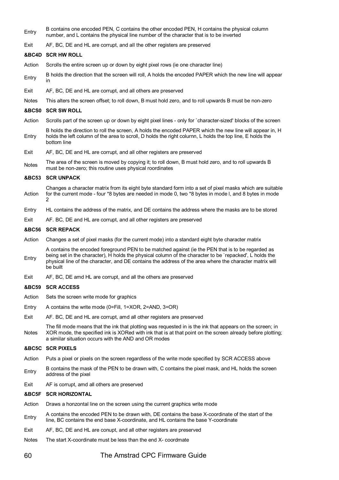- Entry B contains one encoded PEN, C contains the other encoded PEN, H contains the physical column number, and L contains the physical line number of the character that is to be inverted
- Exit AF, BC, DE and HL are corrupt, and alI the other registers are preserved

# **&BC4D SCR HW ROLL**

- Action Scrolls the entire screen up or down by eight pixel rows (ie one character line)
- Entry B holds the direction that the screen will roll, A holds the encoded PAPER which the new line will appear in
- Exit AF, BC, DE and HL are corrupt, and all others are preserved
- Notes This alters the screen offset; to roll down, B must hold zero, and to roll upwards B must be non-zero

### **&BCS0 SCR SW ROLL**

- Action Scrolls part of the screen up or down by eight pixel lines only for `character-sized' blocks of the screen
- Entry B holds the direction to roll the screen, A holds the encoded PAPER which the new line will appear in, H holds the left column of the area to scroll, D holds the right colurnn, L holds the top line, E holds the bottom line
- Exit AF, BC, DE and HL are corrupt, and all other registers are preserved
- Notes The area of the screen is moved by copying it; to roll down, B must hold zero, and to roll upwards B must be non-zero; this routine uses physical roordinates

### **&BC53 SCR UNPACK**

- Action Changes a character matrix from its eight byte standard form into a set of pixel masks which are suitable for the current mode - four \*8 bytes are needed in mode 0, two \*8 bytes in mode l, and 8 bytes in mode 2
- Entry HL contains the address of the matrix, and DE contains the address where the masks are to be stored
- Exit AF. BC, DE and HL are corrupt, and all other registers are preserved

### **&BC56 SCR REPACK**

- Action Changes a set of pixel masks (for the current mode) into a standard eight byte character matrix
- Entry A contains the encoded foreground PEN to be matched against (ie the PEN that is to be regarded as being set in the character), H holds the physical column of the character to be `repacked', L holds the physical line of the character, and DE contains the address of the area where the character matrix will be built
- Exit AF, BC, DE amd HL are corrupt, and all the others are preserved

### **&BC59 SCR ACCESS**

- Action Sets the screen write mode for graphics
- Entry A contains the write mode (0=Fill, 1=XOR, 2=AND, 3=OR)
- Exit AF. BC, DE and HL are corrupt, amd all other registers are preserved

Notes The fill mode means that the ink that plotting was requested in is the ink that appears on the screen; in XOR mode, the specified ink is XORed with ink that is at that point on the screen already before plotting; a similar situation occurs with the AND and OR modes

### **&BC5C SCR PIXELS**

- Action Puts a pixel or pixels on the screen regardless of the write mode specified by SCR ACCESS above
- Entry B contains the mask of the PEN to be drawn with, C contains the pixel mask, and HL holds the screen address of the pixel
- Exit AF is corrupt, amd all others are preserved

### **&BC5F SCR HORIZONTAL**

- Action Draws a honzontal line on the screen using the current graphics write mode
- Entry A contains the encoded PEN to be drawn with, DE contains the base X-coordinate of the start of the start of the line, BC contains the end base X-coordinate, and HL contains the base Y-coordinate
- Exit AF, BC, DE and HL are conupt, and all other registers are preserved
- Notes The start X-coordinate must be less than the end X- coordmate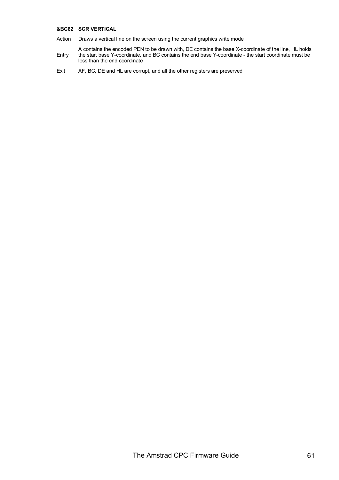# **&BC62 SCR VERTICAL**

- Action Draws a vertical line on the screen using the current graphics write mode
- Entry A contains the encoded PEN to be drawn with, DE contains the base X-coordinate of the line, HL holds the start base Y-coordinate, and BC contains the end base Y-coordinate - the start coordinate must be less than the end coordinate
- Exit AF, BC, DE and HL are corrupt, and all the other registers are preserved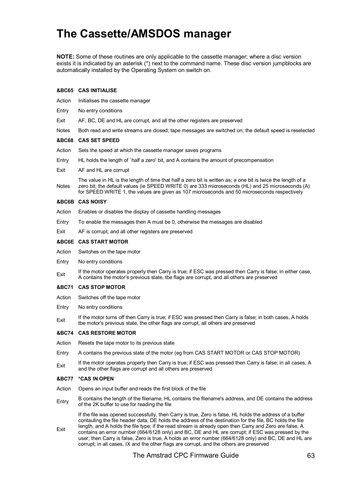# **The Cassette/AMSDOS manager**

**NOTE:** Some of these routines are only applicable to the cassette manager; where a disc version exists it is indicated by an asterisk (\*) next to the command name. These disc version jumpblocks are automatically installed by the Operating System on switch on.

# **&BC65 CAS INITIALISE**

- Action Initialises the cassette manager
- Entry No entry conditions
- Exit AF, BC, DE and HL are corrupt, and all the other registers are preserved

Notes Both read and write streams are closed; tape messages are switched on; the default speed is reselected

### **&BC68 CAS SET SPEED**

- Action Sets the speed at which the cassette manager saves programs
- Entry HL holds the length of `half a zero' bit, and A contains the amount of precompensation
- Exit AF and HL are corrupt

Notes The value in HL is the length of time that half a zero bit is written as; a one bit is twice the length of a zero bit; the default values (ie SPEED WRITE 0) are 333 microseconds (HL) and 25 microseconds (A) for SPEED WRITE 1, the values are given as 107 microseconds and 50 microseconds respectively

### **&BC6B CAS NOISY**

- Action Enables or disables the display of cassette handling messages
- Entry To enable the messages then A must be 0, otherwise the messages are disabled
- Exit AF is corrupt, and all other registers are preserved

### **&BC6E CAS START MOTOR**

- Action Switches on the tape motor
- Entry No entry conditions
- Exit If the motor operates properly then Carry is true; if ESC was pressed then Carry is false; in either case, A contains the motor's previous state, tbe flags are corrupt, and all others are preserved

### **&BC71 CAS STOP MOTOR**

- Action Switches off the tape motor
- Entry No entry conditions
- Exit If the motor turns off then Carry is true; if ESC was pressed then Carry is false; in both cases, A holds tbe motor's previous state, the other flags are corrupt, all others are preserved

# **&BC74 CAS RESTORE MOTOR**

- Action Resets the tape motor to its previous state
- Entry A contains the previous state of the motor (eg from CAS START MOTOR or CAS STOP MOTOR)
- Exit If the motor operates properly then Carry is true; if ESC was pressed then Carry is false; in all cases, A and the other flags are corrupt and all others are preserved

### **&BC77 \*CAS IN OPEN**

- Action Opens an input buffer and reads the first block of the file
- Entry B contains the length of the filename, HL contains the filename's address, and DE contains the address of the 2K buffer to use for reading the file

Exit If the file was opened successfully, then Carry is true, Zero is false, HL holds the address of a buffer contauling the file header data, DE holds the address of the destination for the file, BC holds the file length, and A holds the file type; if the read stream is already open then Carry and Zero are false, A contains an error nurnber (664/6128 only) and BC, DE and HL are corrupt; if ESC was pressed by the user, then Carry is false, Zero is true, A holds an error number (664/6128 only) and BC, DE and HL are corrupt; in all cases, IX and the other flags are corrupt, and the others are preserved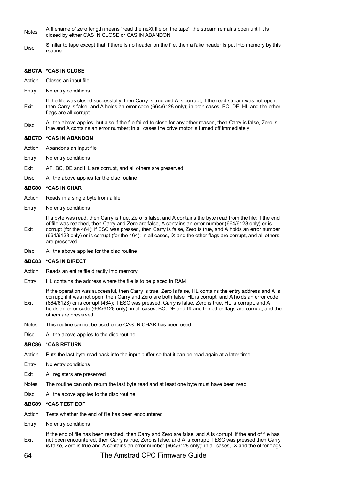- Notes A filename of zero length means `read the neXt file on the tape'; the stream remains open until it is closed by either CAS IN CLOSE or CAS IN ABANDON
- Disc Similar to tape except that if there is no header on the file, then a fake header is put into memory by this routine

# **&BC7A \*CAS IN CLOSE**

- Action Closes an input file
- Entry No entry conditions
- Exit If the file was closed successfully, then Carry is true and A is corrupt; if the read stream was not open, then Carry is false, and A holds an error code (664/6128 only); in both cases, BC, DE, HL and the other flags are all corrupt
- Disc All the above applies, but also if the file failed to close for any other reason, then Carry is false, Zero is true and A contains an error number; in all cases the drive motor is turned off immediately

# **&BC7D \*CAS IN ABANDON**

- Action Abandons an input file
- Entry No entry conditions
- Exit AF, BC, DE and HL are corrupt, and all others are preserved
- Disc All the above applies for the disc routine

# **&BC80 \*CAS IN CHAR**

- Action Reads in a single byte from a file
- Entry No entry conditions

Exit If a byte was read, then Carry is true, Zero is false, and A contains the byte read from the file; if the end of file was reached, then Carry and Zero are false, A contains an error number (664/6128 only) or is corrupt (for the 464); if ESC was pressed, then Carry is false, Zero is true, and A holds an error number (664/6128 only) or is corrupt (for the 464); in all cases, IX and the other flags are corrupt, and all others are preserved

Disc All the above applies for the disc routine

### **&BC83 \*CAS IN DIRECT**

- Action Reads an entire file directly into memory
- Entry HL contains the address where the file is to be placed in RAM

Exit If the operation was successful, then Carry is true, Zero is false, HL contains the entry address and A is corrupt; if it was not open, then Carry and Zero are both false, HL is corrupt, and A holds an error code (664/6128) or is corrupt (464); if ESC was pressed, Carry is false, Zero is true, HL is corrupt, and A holds an error code (664/6128 only); in all cases, BC, DE and IX and the other flags are corrupt, and the others are preserved

- Notes This routine cannot be used once CAS IN CHAR has been used
- Disc All the above applies to the disc routine

# **&BC86 \*CAS RETURN**

- Action Puts the last byte read back into the input buffer so that it can be read again at a later time
- Entry No entry conditions
- Exit All registers are preserved
- Notes The routine can only return the last byte read and at least one byte must have been read
- Disc All the above applies to the disc routine

# **&BC89 \*CAS TEST EOF**

- Action Tests whether the end of file has been encountered
- Entry No entry conditions

Exit If the end of file has been reached, then Carry and Zero are false, and A is corrupt; if the end of file has not been encountered, then Carry is true, Zero is false, and A is corrupt; if ESC was pressed then Carry is false, Zero is true and A contains an error number (664/6128 only); in all cases, IX and the other flags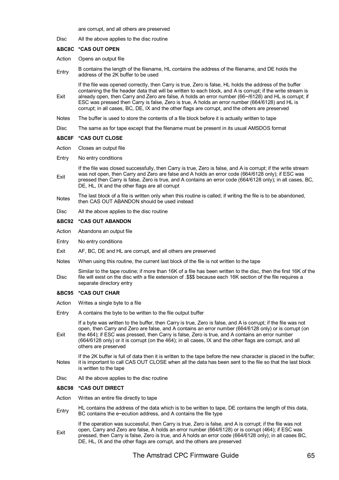are corrupt, and all others are preserved

Disc All the above applies to the disc routine

# **&BC8C \*CAS OUT OPEN**

- Action Opens an output file
- Entry B contains the length of the filename, HL contains the address of the filename, and DE holds the address of the 2K buffer to be used

If the file was opened correctly, then Carry is true, Zero is false, HL holds the address of the buffer containing the file header data that will be written to each block, and A is corrupt; if the write stream is

- Exit already open, then Carry and Zero are false, A holds an error nurnber (66~/6128) and HL is corrupt; if ESC was pressed then Carry is false, Zero is true, A holds an error number (664/6128) and HL is corrupt; in all cases, BC, DE, IX and the other flags are corrupt, and the others are preserved
- Notes The buffer is used to store the contents of a file block before it is actually written to tape
- Disc The same as for tape except that the filename must be present in its usual AMSDOS format

### **&BC8F \*CAS OUT CLOSE**

- Action Closes an output file
- Entry No entry conditions

Exit If the file was closed successfully, then Carry is true, Zero is false, and A is corrupt; if the write stream was not open, then Carry and Zero are false and A holds an error code (664/6128 only); if ESC was pressed then Carry is false, Zero is true, and A contains an error code (664/6128 only); in all cases, BC, DE, HL, IX and the other flags are all corrupt

- The last block of a file is written only when this routine is called; if writing the file is to be abandoned, then CAS OUT ABANDON should be used instead
- Disc All the above applies to the disc routine

# **&BC92 \*CAS OUT ABANDON**

- Action Abandons an output file
- Entry No entry conditions
- Exit AF, BC, DE and HL are corrupt, and all others are preserved
- Notes When using this routine, the current last block of the file is not written to the tape

Disc Similar to the tape routine; if more than 16K of a file has been written to the disc, then the first 16K of the file will exist on the disc with a file extension of .\$\$\$ because each 16K section of the file requires a separate directory entry

# **&BC95 \*CAS OUT CHAR**

Exit

- Action Writes a single byte to a file
- Entry A contains the byte to be written to the file output buffer

If a byte was written to the buffer, then Carry is true, Zero is false, and A is corrupt; if the file was not open, then Carry and Zero are false, and A contains an error number (664/6128 only) or is corrupt (on the 464); if ESC was pressed, then Carry is false, Zero is true, and A contains an error number

(664/6128 only) or it is corrupt (on the 464); in all cases, IX and the other flags are corrupt, and all others are preserved

Notes If the 2K buffer is full of data then it is written to the tape before the new character is placed in the buffer; it is important to call CAS OUT CLOSE when all the data has been sent to the file so that the last block is written to the tape

Disc All the above applies to the disc routine

# **&BC98 \*CAS OUT DIRECT**

- Action Writes an entire file directly to tape
- Entry HL contains the address of the data which is to be written to tape, DE contains the length of this data, BC contains the e~ecution address, and A contains the file type

Exit If the operation was successful, then Carry is true, Zero is false, and A is corrupt; if the file was not open, Carry and Zero are false, A holds an error number (664/6128) or is corrupt (464); if ESC was pressed, then Carry is false, Zero is true, and A holds an error code (664/6128 only); in all cases BC, DE, HL, IX and the other flags are corrupt, and the others are preserved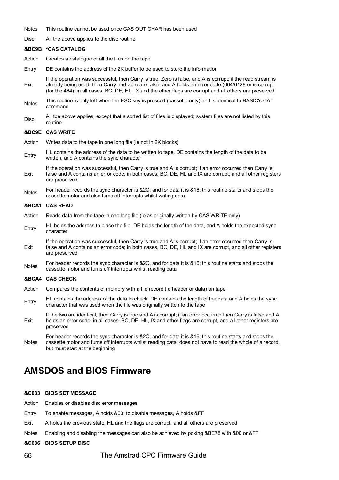Notes This routine cannot be used once CAS OUT CHAR has been used

Disc All the above applies to the disc routine

#### **&BC9B \*CAS CATALOG**

Action Creates a catalogue of all the files on the tape

- Entry DE contains the address of the 2K buffer to be used to store the information
- Exit If the operation was successful, then Carry is true, Zero is false, and A is corrupt; if the read stream is already being used, then Carry and Zero are false, and A holds an error code (664/6128 or is corrupt (for the 464); in all cases, BC, DE, HL, IX and the other flags are corrupt and all others are preserved
- Notes This routine is only left when the ESC key is pressed (cassette only) and is identical to BASIC's CAT command
- Disc All tbe above applies, except that a sorted list of files is displayed; system files are not listed by this routine

### **&BC9E CAS WRITE**

- Action Writes data to the tape in one long file (ie not in 2K blocks)
- Entry HL contains the address of the data to be written to tape, DE contains the length of the data to be written, and A contains the sync character
- Exit If the operation was successful, then Carry is true and A is corrupt; if an error occurred then Carry is false and A contains an error code; in both cases, BC, DE, HL and lX are corrupt, and all other registers are preserved
- Notes For header records the sync character is &2C, and for data it is &16; this routine starts and stops the cassette motor and also tums off interrupts whilst writing data

### **&BCA1 CAS READ**

- Action Reads data from the tape in one long file (ie as originally written by CAS WRITE only)
- Entry HL holds the address to place the file, DE holds the length of the data, and A holds the expected sync character
- Exit If the operation was successful, then Carry is true and A is corrupt; if an error occurred then Carry is false and A contains an error code; in both cases, BC, DE, HL and IX are corrupt, and all other registers are preserved
- Notes For header records the sync character is &2C, and for data it is &16; this routine starts and stops the cassette motor and turns off interrupts whilst reading data

#### **&BCA4 CAS CHECK**

- Action Compares the contents of memory with a file record (ie header or data) on tape
- Entry HL contains the address of the data to check, DE contains the length of the data and A holds the sync<br>holds the sync character that was used when the file was originally written to the tape
- Exit If the two are identical, then Carry is true and A is corrupt; if an error occurred then Carry is false and A holds an error code; in all cases, BC, DE, HL, IX and other flags are corrupt, and all other registers are preserved

Notes For header records the sync character is &2C, and for data it is &16; this routine starts and stops the cassette motor and turns off interrupts whilst reading data; does not have to read the whole of a record, but must start at the beginning

# **AMSDOS and BIOS Firmware**

# **&C033 BIOS SET MESSAGE**

- Action Enables or disables disc error messages
- Entry To enable messages, A holds &00; to disable messages, A holds &FF
- Exit A holds the previous state, HL and the flags are corrupt, and all others are preserved
- Notes Enabling and disabling the messages can also be achieved by poking &BE78 with &00 or &FF

### **&C036 BIOS SETUP DISC**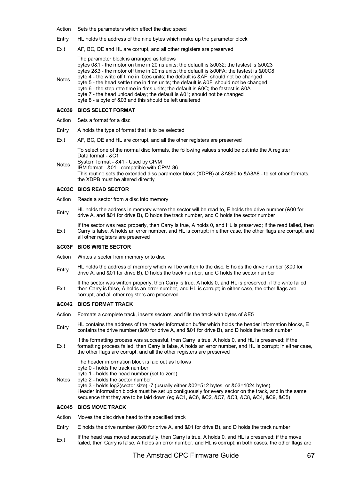- Action Sets the parameters which effect the disc speed
- Entry HL holds the address of the nine bytes which make up the parameter block
- Exit AF, BC, DE and HL are corrupt, and all other registers are preserved
- Notes The parameter block is arranged as follows bytes 0&1 - the motor on time in 20ms units; the default is &0032; the fastest is &0023 bytes 2&3 - the motor off time in 20ms units; the default is &00FA; the fastest is &00C8 byte 4 - the write off time in l0æs units; the default is ⁡ should not be changed byte 5 - the head settle time in 1ms units; the default is &0F; should not be changed byte 6 - the step rate time in 1ms units; the default is &0C; the fastest is &0A byte 7 - the head unload delay; the default is &01; should not be changed byte 8 - a byte of &03 and this should be left unaltered

# **&C039 BIOS SELECT FORMAT**

- Action Sets a format for a disc
- Entry A holds the type of format that is to be selected
- Exit AF, BC, DE and HL are corrupt, and all the other registers are preserved

To select one of the normal disc formats, the following values should be put into the A register Data format - &C1

Notes System format - &41 - Used by CP/M IBM format - &01 - compatible with CP/M-86 This routine sets the extended disc parameter block (XDPB) at &A890 to &A8A8 - to set other formats, the XDPB must be altered directly

### **&C03C BIOS READ SECTOR**

- Action Reads a sector from a disc into memory
- Entry HL holds the address in memory where the sector will be read to, E holds the drive number (&00 for drive A, and &01 for drive B), D holds the track number, and C holds the sector number

Exit If the sector was read properly, then Carry is true, A holds 0, and HL is preserved; if the read failed, then Carry is false, A holds an error number, and HL is corrupt; in either case, the other flags are corrupt, and all other registers are preserved

### **&C03F BIOS WRITE SECTOR**

- Action Writes a sector from memory onto disc
- Entry HL holds the address of memory which will be written to the disc, E holds the drive number (&00 for  $E_1$ ) and  $E_2$  and  $E_3$  for  $E_4$ ) and  $E_5$  for  $E_6$  and  $E_7$  for  $E_7$  and  $E_8$  for  $E_7$  and  $E_8$  for  $E_$ drive A, and &01 for drive B), D holds the track number, and C holds the sector number
- Exit If the sector was written properly, then Carry is true, A holds 0, and HL is preserved; if the write failed, then Carry is false, A holds an error number, and HL is corrupt; in either case, the other flags are corrupt, and all other registers are preserved

# **&C042 BIOS FORMAT TRACK**

- Action Formats a complete track, inserts sectors, and fills the track with bytes of &E5
- Entry HL contains the address of the header information buffer which holds the header information blocks, E<br>contains the drive number (800 for drive 0, and 801 for drive B) and B holds the track number contains the drive number (&00 for drive A, and &01 for drive B), and D holds the track number

Exit if the formatting process was successful, then Carry is true, A holds 0, and HL is preserved; if the formatting process failed, then Carry is false, A holds an error number, and HL is corrupt; in either case, the other flags are corrupt, and all the other registers are preserved

The header information block is laid out as follows byte 0 - holds the track number byte 1 - holds the head number (set to zero)

Notes byte 2 - holds the sector number

byte 3 - holds log2(sector size) -7 (usually either &02=512 bytes, or &03=1024 bytes). Header information blocks must be set up contiguously for every sector on the track, and in the same sequence that they are to be laid down (eg &C1, &C6, &C2, &C7, &C3, &C8, &C4, &C9, &C5)

# **&C045 BIOS MOVE TRACK**

Action Moves the disc drive head to the specified track

- Entry E holds the drive number (&00 for drive A, and &01 for drive B), and D holds the track number
- Exit If the head was moved successfully, then Carry is true, A holds 0, and HL is preserved; if the move failed, then Carry is false, A holds an error number, and HL is corrupt; in both cases, the other flags are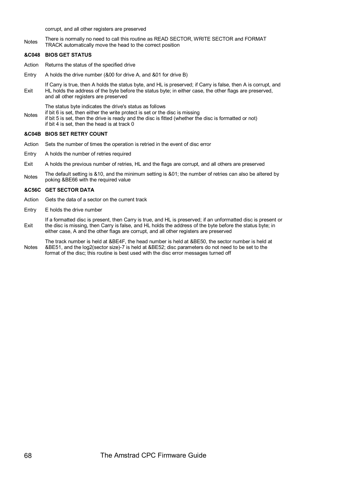corrupt, and all other registers are preserved

Notes There is normally no need to call this routine as READ SECTOR, WRITE SECTOR and FORMAT TRACK automatically move the head to the correct position

# **&C048 BIOS GET STATUS**

Action Returns the status of the specified drive

Entry A holds the drive number (&00 for drive A, and &01 for drive B)

Exit If Carry is true, then A holds the status byte, and HL is preserved; if Carry is false, then A is corrupt, and HL holds the address of the byte before the status byte; in either case, the other flags are preserved, and all other registers are preserved

The status byte indicates the drive's status as follows

Notes if bit 6 is set, then either the write protect is set or the disc is missing if bit 5 is set, then the drive is ready and the disc is fitted (whether the disc is formatted or not) if bit 4 is set, then the head is at track 0

# **&C04B BIOS SET RETRY COUNT**

- Action Sets the number of times the operation is retried in the event of disc error
- Entry A holds the number of retries required
- Exit A holds the previous number of retries, HL and the flags are corrupt, and all others are preserved
- Notes The default setting is &10, and the minimum setting is &01; the number of retries can also be altered by poking &BE66 with the required value

# **&C56C GET SECTOR DATA**

- Action Gets the data of a sector on the current track
- Entry E holds the drive number

Exit If a formatted disc is present, then Carry is true, and HL is preserved; if an unforrnatted disc is present or the disc is missing, then Carry is false, and HL holds the address of the byte before the status byte; in either case, A and the other flags are corrupt, and all other registers are preserved

Notes The track number is held at &BE4F, the head number is held at &BE50, the sector number is held at &BE51, and the log2(sector size)-7 is held at &BE52; disc parameters do not need to be set to the format of the disc; this routine is best used with the disc error messages turned off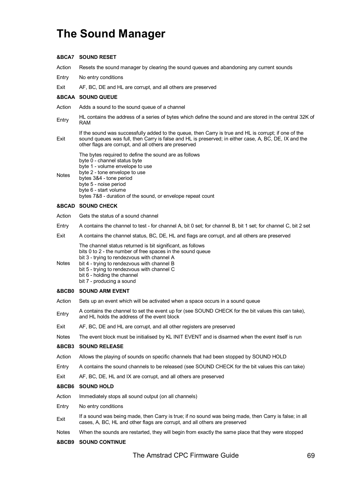# **The Sound Manager**

# **&BCA7 SOUND RESET**

Action Resets the sound manager by clearing the sound queues and abandoning any current sounds

Entry No entry conditions

Exit AF, BC, DE and HL are corrupt, and all others are preserved

# **&BCAA SOUND QUEUE**

- Action Adds a sound to the sound queue of a channel
- Entry HL contains the address of a series of bytes which define the sound and are stored in the central 32K of RAM
- Exit If the sound was successfully added to the queue, then Carry is true and HL is corrupt; if one of the sound queues was full, then Carry is false and HL is preserved; in either case, A, BC, DE, IX and the other flags are corrupt, and all others are preserved
- Notes The bytes required to define the sound are as follows byte 0 - channel status byte byte 1 - volume envelope to use byte 2 - tone envelope to use bytes 3&4 - tone period byte 5 - noise period byte 6 - start volume bytes 7&8 - duration of the sound, or envelope repeat count

# **&BCAD SOUND CHECK**

- Action Gets the status of a sound channel
- Entry A contains the channel to test for channel A, bit 0 set; for channel B, bit 1 set; for channel C, bit 2 set
- Exit A contains the channel status, BC, DE, HL and flags are corrupt, and all others are preserved
	- The channel status returned is bit significant, as follows bits 0 to 2 - the number of free spaces in the sound queue bit 3 - trying to rendezvous with channel A
- Notes bit 4 - trying to rendezvous with channel B
	- bit 5 trying to rendezvous with channel C
		- bit 6 holding the channel
			- bit 7 producing a sound

# **&BCB0 SOUND ARM EVENT**

- Action Sets up an event which will be activated when a space occurs in a sound queue
- Entry A contains the channel to set the event up for (see SOUND CHECK for the bit values this can take), and HL holds the address of the event block
- Exit AF, BC, DE and HL are corrupt, and all other registers are preserved

Notes The event block must be initialised by KL INIT EVENT and is disarmed when the event itself is run

# **&BCB3 SOUND RELEASE**

- Action Allows the playing of sounds on specific channels that had been stopped by SOUND HOLD
- Entry A contains the sound channels to be released (see SOUND CHECK for the bit values this can take)
- Exit AF, BC, DE, HL and IX are corrupt, and all others are preserved

# **&BCB6 SOUND HOLD**

- Action Immediately stops all sound output (on all channels)
- Entry No entry conditions
- Exit If a sound was being made, then Carry is true; if no sound was being made, then Carry is false; in all cases, A, BC, HL and other flags are corrupt, and all others are preserved
- Notes When the sounds are restarted, they will begin from exactly the same place that they were stopped

# **&BCB9 SOUND CONTINUE**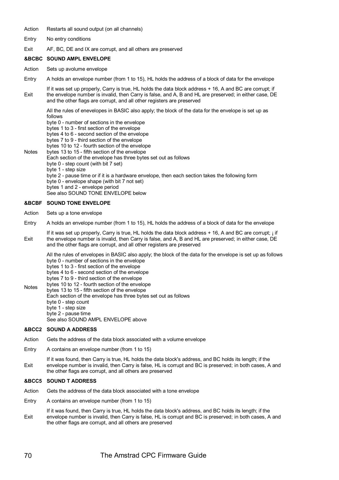### Action Restarts all sound output (on all channels)

- Entry No entry conditions
- Exit AF, BC, DE and IX are corrupt, and all others are preserved

# **&BCBC SOUND AMPL ENVELOPE**

- Action Sets up avolume envelope
- Entry A holds an envelope number (from 1 to 15), HL holds the address of a block of data for the envelope
- Exit If it was set up properly, Carry is true, HL holds the data block address + 16, A and BC are corrupt; if the envelope number is invalid, then Carry is false, and A, B and HL are preserved; in either case, DE and the other flags are corrupt, and all other registers are preserved

All the rules of enevelopes in BASIC also apply; the block of the data for the envelope is set up as follows

byte 0 - number of sections in the envelope bytes 1 to 3 - first section of the envelope

bytes 4 to 6 - second section of the envelope

bytes 7 to 9 - third section of the envelope

- bytes 10 to 12 fourth section of the envelope
- **Notes** bytes 13 to 15 - fifth section of the envelope

Each section of the envelope has three bytes set out as follows

- byte 0 step count (with bit 7 set)
- byte 1 step size

byte 2 - pause time or if it is a hardware envelope, then each section takes the following form byte 0 - envelope shape (with bit 7 not set)

bytes 1 and 2 - envelope period

See also SOUND TONE ENVELOPE below

# **&BCBF SOUND TONE ENVELOPE**

- Action Sets up a tone envelope
- Entry A holds an envelope number (from 1 to 15), HL holds the address of a block of data for the envelope
- Exit If it was set up properly, Carry is true, HL holds the data block address + 16, A and BC are corrupt; i if the envelope number is invalid, then Carry is false, and A, B and HL are preserved; in either case, DE and the other flags are corrupt, and all other registers are preserved

All the rules of envelopes in BASIC also apply; the block of the data for the envelope is set up as follows byte 0 - number of sections in the envelope

bytes 1 to 3 - first section of the envelope

bytes 4 to 6 - second section of the envelope

- bytes 7 to 9 third section of the envelope
- Notes bytes 10 to 12 - fourth section of the envelope

bytes 13 to 15 - fifth section of the envelope Each section of the envelope has three bytes set out as follows

- byte 0 step count
	- byte 1 step size

byte 2 - pause time

See also SOUND AMPL ENVELOPE above

# **&BCC2 SOUND A ADDRESS**

- Action Gets the address of the data block associated with a volume envelope
- Entry A contains an envelope number (from 1 to 15)
- Exit If it was found, then Carry is true, HL holds the data block's address, and BC holds its length; if the envelope number is invalid, then Carry is false, HL is corrupt and BC is preserved; in both cases, A and the other flags are corrupt, and all others are preserved

# **&BCC5 SOUND T ADDRESS**

- Action Gets the address of the data block associated with a tone envelope
- Entry A contains an envelope number (from 1 to 15)
- Exit If it was found, then Carry is true, HL holds the data block's address, and BC holds its length; if the envelope number is invalid, then Carry is false, HL is corrupt and BC is preserved; in both cases, A and the other flags are corrupt, and all others are preserved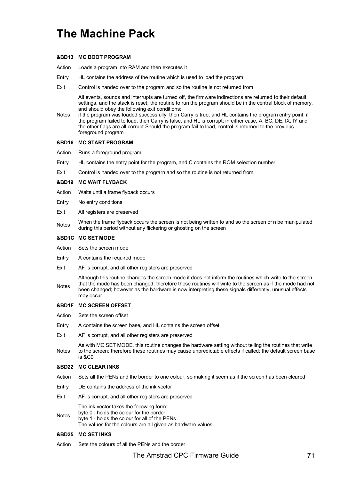# **The Machine Pack**

# **&BD13 MC BOOT PROGRAM**

- Action Loads a program into RAM and then executes it
- Entry HL contains the address of the routine which is used to load the program
- Exit Control is handed over to the program and so the routine is not returned from

All events, sounds and interrupts are turned off, the firmware indirections are returned to their default settings, and the stack is reset; the routine to run the program should be in the central block of memory, and should obey the following exit conditions:

Notes if the program was loaded successfully, then Carry is true, and HL contains the prograrn entry point; if the program failed to load, then Carry is false, and HL is corrupt; in either case, A, BC, DE, IX, IY and the other flags are all corrupt Should the program fail to load, control is returned to the previous foreground program

# **&BD16 MC START PROGRAM**

- Action Runs a foreground program
- Entry HL contains the entry point for the program, and C contains the ROM selection number
- Exit Control is handed over to the prograrn and so the routine is not returned from

### **&BD19 MC WAIT FLYBACK**

- Action Waits until a frame flyback occurs
- Entry No entry conditions
- Exit All registers are preserved
- When the frame flyback occurs the screen is not being written to and so the screen c~n be manipulated<br>Notes during this period without any flickering or ghosting on the screen

# **&BD1C MC SET MODE**

- Action Sets the screen mode
- Entry A contains the required mode
- Exit AF is corrupt, and all other registers are preserved
- Notes Although this routine changes the screen mode it does not inform the routines which write to the screen that the mode has been changed; therefore these routines will write to the screen as if the mode had not been changed; however as the hardware is now interpreting these signals differently, unusual effects may occur

### **&BD1F MC SCREEN OFFSET**

- Action Sets the screen offset
- Entry A contains the screen base, and HL contains the screen offset
- Exit AF is corrupt, and all other registers are preserved

**Notes** As with MC SET MODE, this routine changes the hardware setting without telling the routines that write to the screen; therefore these routines may cause unpredictable effects if called; the default screen base is &C0

# **&BD22 MC CLEAR INKS**

- Action Sets all the PENs and the border to one colour, so making it seem as if the screen has been cleared
- Entry DE contains the address of the ink vector
- Exit AF is corrupt, and all other registers are preserved

The ink vector takes the following form:

byte 0 - holds the colour for the border

**Notes** byte 1 - holds the colour for all of the PENs

The values for the colours are all given as hardware values

### **&BD25 MC SET INKS**

Action Sets the colours of all the PENs and the border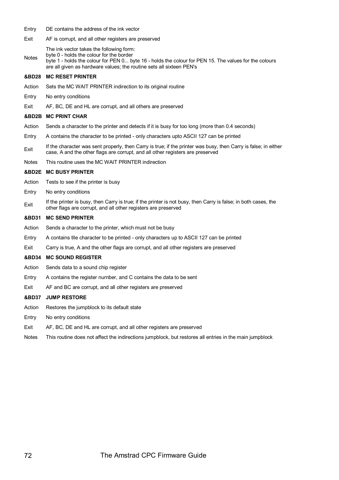- Entry DE contains the address of the ink vector
- Exit AF is corrupt, and all other registers are preserved Notes The ink vector takes the following form: byte 0 - holds the colour for the border byte 1 - holds the colour for PEN 0... byte 16 - holds the colour for PEN 15. The values for the colours

### **&BD28 MC RESET PRINTER**

Action Sets the MC WAIT PRINTER indirection to its original routine

are all given as hardware values; the routine sets all sixteen PEN's

- Entry No entry conditions
- Exit AF, BC, DE and HL are corrupt, and all others are preserved

#### **&BD2B MC PRINT CHAR**

- Action Sends a character to the printer and detects if it is busy for too long (more than 0.4 seconds)
- Entry A contains the character to be printed only characters upto ASCII 127 can be printed
- Exit If the character was sent properly, then Carry is true; if the printer was busy, then Carry is false; in either case, A and the other flags are corrupt, and all other registers are preserved
- Notes This routine uses the MC WAIT PRINTER indirection

# **&BD2E MC BUSY PRINTER**

- Action Tests to see if the printer is busy
- Entry No entry conditions
- Exit If the printer is busy, then Carry is true; if the printer is not busy, then Carry is false; in both cases, the other flags are corrupt, and all other registers are preserved

#### **&BD31 MC SEND PRINTER**

- Action Sends a character to the printer, which must not be busy
- Entry A contains tlle character to be printed only characters up to ASCII 127 can be printed
- Exit Carry is true, A and the other flags are corrupt, and all other registers are preserved

### **&BD34 MC SOUND REGISTER**

- Action Sends data to a sound chip register
- Entry A contains the register nurnber, and C contains the data to be sent
- Exit AF and BC are corrupt, and all other registers are preserved

#### **&BD37 JUMP RESTORE**

- Action Restores the jumpblock to its default state
- Entry No entry conditions
- Exit AF, BC, DE and HL are corrupt, and all other registers are preserved
- Notes This routine does not affect the indirections jumpblock, but restores all entries in the main jumpblock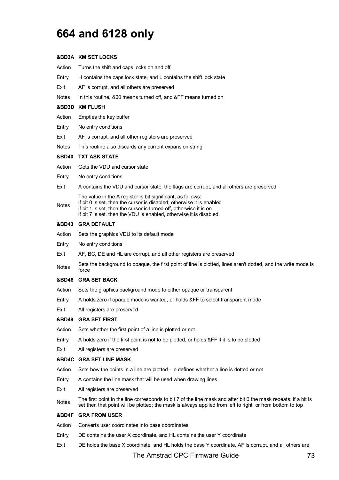## **664 and 6128 only**

#### **&BD3A KM SET LOCKS**

Action Turns the shift and caps locks on and off

Entry H contains the caps lock state, and L contains the shift lock state

Exit AF is corrupt, and all others are preserved

Notes In this routine, &00 means turned off, and &FF means turned on

#### **&BD3D KM FLUSH**

- Action Empties the key buffer
- Entry No entry conditions
- Exit AF is corrupt, and all other registers are preserved
- Notes This routine also discards any current expansion string

#### **&BD40 TXT ASK STATE**

- Action Gets the VDU and cursor state
- Entry No entry conditions
- Exit A contains the VDU and cursor state, the flags are corrupt, and all others are preserved

The value in the A register is bit significant, as follows:

**Notes** if bit 0 is set, then the cursor is disabled, otherwise it is enabled if bit 1 is set, then the cursor is turned off, otherwise it is on if bit 7 is set, then the VDU is enabled, otherwise it is disabled

#### **&BD43 GRA DEFAULT**

- Action Sets the graphics VDU to its default mode
- Entry No entry conditions
- Exit AF, BC, DE and HL are corrupt, and all other registers are preserved
- Notes Sets the background to opaque, the first point of line is plotted, lines aren't dotted, and the write mode is force

#### **&BD46 GRA SET BACK**

- Action Sets the graphics background mode to either opaque or transparent
- Entry A holds zero if opaque mode is wanted, or holds &FF to select transparent mode
- Exit All registers are preserved

#### **&BD49 GRA SET FIRST**

- Action Sets whether the first point of a line is plotted or not
- Entry A holds zero if the first point is not to be plotted, or holds &FF if it is to be plotted
- Exit All registers are preserved

#### **&BD4C GRA SET LINE MASK**

- Action Sets how the points in a line are plotted ie defines whether a line is dotted or not
- Entry A contains the line mask that will be used when drawing lines
- Exit All registers are preserved
- Notes The first point in the line corresponds to bit 7 of the line mask and after bit 0 the mask repeats; if a bit is set then that point will be plotted; the mask is always applied from left to right, or from bottom to top

#### **&BD4F GRA FROM USER**

- Action Converts user coordinates into base coordinates
- Entry DE contains the user X coordinate, and HL contains the user Y coordinate
- Exit DE holds the base X coordinate, and HL holds the base Y coordinate, AF is corrupt, and all others are

#### The Amstrad CPC Firmware Guide 73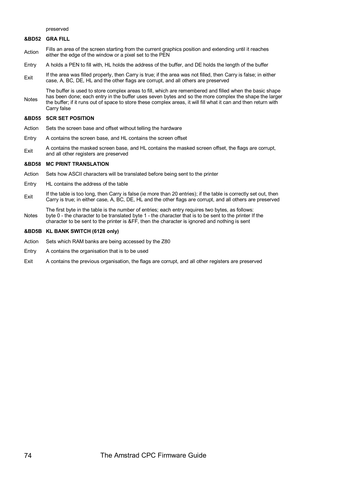preserved

#### **&BD52 GRA FILL**

- Action Fills an area of the screen starting from the current graphics position and extending until it reaches either the edge of the window or a pixel set to the PEN
- Entry A holds a PEN to fill with, HL holds the address of the buffer, and DE holds the length of the buffer
- $E_{\text{Xit}}$  If the area was filled properly, then Carry is true; if the area was not filled, then Carry is false; in either case, A, BC, DE, HL and the other flags are corrupt, and all others are preserved

Notes The buffer is used to store complex areas to fill, which are remembered and filled when the basic shape has been done; each entry in the buffer uses seven bytes and so the more complex the shape the larger the buffer; if it runs out of space to store these complex areas, it will fill what it can and then return with Carry false

#### **&BD55 SCR SET POSITION**

- Action Sets the screen base and offset without telling the hardware
- Entry A contains the screen base, and HL contains the screen offset
- Exit A contains the masked screen base, and HL contains the masked screen offset, the flags are corrupt, and all other registers are preserved

#### **&BD58 MC PRINT TRANSLATION**

- Action Sets how ASCII characters will be translated before being sent to the printer
- Entry HL contains the address of the table
- Exit If the table is too long, then Carry is false (ie more than 20 entries); if the table is correctly set out, then Carry is true; in either case, A, BC, DE, HL and the other flags are corrupt, and all others are preserved
- Notes The first byte in the table is the number of entries; each entry requires two bytes, as follows: byte 0 - the character to be translated byte 1 - the character that is to be sent to the printer If the character to be sent to the printer is &FF, then the character is ignored and nothing is sent

#### **&BD5B KL BANK SWITCH (6128 only)**

- Action Sets which RAM banks are being accessed by the Z80
- Entry A contains the organisation that is to be used
- Exit A contains the previous organisation, the flags are corrupt, and all other registers are preserved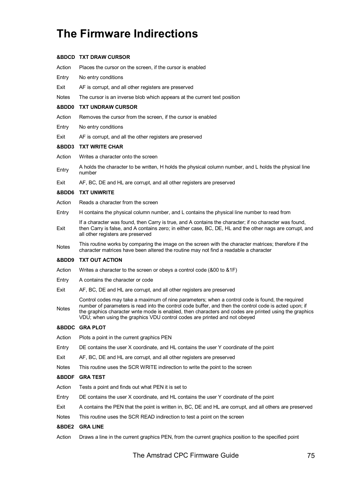# **The Firmware Indirections**

#### **&BDCD TXT DRAW CURSOR**

- Action Places the cursor on the screen, if the cursor is enabled Entry No entry conditions Exit AF is corrupt, and all other registers are preserved Notes The cursor is an inverse blob which appears at the current text position **&BDD0 TXT UNDRAW CURSOR** Action Removes the cursor from the screen, if the cursor is enabled Entry No entry conditions Exit AF is corrupt, and all the other registers are preserved **&BDD3 TXT WRITE CHAR** Action Writes a character onto the screen Entry A holds the character to be wntten, H holds the physical column number, and L holds the physical line number Exit AF, BC, DE and HL are corrupt, and all other registers are preserved **&BDD6 TXT UNWRITE** Action Reads a character from the screen Entry H contains the physical column number, and L contains the physical line number to read from Exit If a character was found, then Carry is true, and A contains the character; if no character was found, then Carry is false, and A contains zero; in either case, BC, DE, HL and the other nags are corrupt, and all other registers are preserved Notes This routine works by comparing the image on the screen with the character matrices; therefore if the character matrices have been altered the routine may not find a readable a character **&BDD9 TXT OUT ACTION** Action Writes a character to the screen or obeys a control code (&00 to &1F)
- Entry A contains the character or code
- Exit AF, BC, DE and HL are corrupt, and all other registers are preserved

**Notes** Control codes may take a maximum of nine parameters; when a control code is found, the required number of parameters is read into the control code buffer, and then the control code is acted upon; if the graphics character wnte mode is enabled, then characters and codes are printed using the graphics VDU; when using the graphics VDU control codes are printed and not obeyed

#### **&BDDC GRA PLOT**

- Action Plots a point in the current graphics PEN
- Entry DE contains the user X coordinate, and HL contains the user Y coordinate of the point
- Exit AF, BC, DE and HL are corrupt, and all other registers are preserved
- Notes This routine uses the SCR WRITE indirection to write the point to the screen

#### **&BDDF GRA TEST**

- Action Tests a point and finds out what PEN it is set to
- Entry DE contains the user X coordinate, and HL contains the user Y coordinate of the point
- Exit A contains the PEN that the point is written in, BC, DE and HL are corrupt, and all others are preserved
- Notes This routine uses the SCR READ indirection to test a point on the screen

#### **&BDE2 GRA LINE**

Action Draws a line in the current graphics PEN, from the current graphics position to the specified point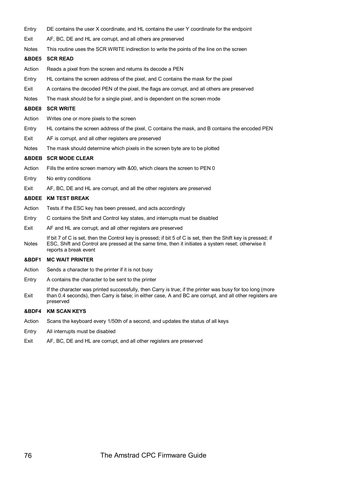- Entry DE contains the user X coordinate, and HL contains the user Y coordinate for the endpoint
- Exit AF, BC, DE and HL are corrupt, and all others are preserved
- Notes This routine uses the SCR WRITE indirection to write the points of the line on the screen

#### **&BDE5 SCR READ**

- Action Reads a pixel from the screen and returns its decode a PEN
- Entry HL contains the screen address of the pixel, and C contains the mask for the pixel
- Exit A contains the decoded PEN of the pixel, the flags are corrupt, and all others are preserved
- Notes The mask should be for a single pixel, and is dependent on the screen mode

#### **&BDE8 SCR WRITE**

- Action Writes one or more pixels to the screen
- Entry HL contains the screen address of the pixel, C contains the mask, and B contains the encoded PEN
- Exit AF is corrupt, and all other registers are preserved
- Notes The mask should determine which pixels in the screen byte are to be plotted

#### **&BDEB SCR MODE CLEAR**

- Action Fills the entire screen memory with &00, which clears the screen to PEN 0
- Entry No entry conditions
- Exit AF, BC, DE and HL are corrupt, and all the other registers are preserved

#### **&BDEE KM TEST BREAK**

- Action Tests if the ESC key has been pressed, and acts accordingly
- Entry C contains the Shift and Control key states, and interrupts must be disabled
- Exit AF and HL are corrupt, and all other registers are preserved
- Notes If bit 7 of C is set, then the Control key is pressed; if bit 5 of C is set, then the Shift key is pressed; if ESC, Shift and Control are pressed at the sarne time, then it initiates a system reset; otherwise it reports a break event

#### **&BDF1 MC WAIT PRINTER**

- Action Sends a character to the printer if it is not busy
- Entry A contains the character to be sent to the printer
- Exit If the character was printed successfully, then Carry is true; if the printer was busy for too long (more than 0.4 seconds), then Carry is false; in either case, A and BC are corrupt, and all other registers are preserved

#### **&BDF4 KM SCAN KEYS**

- Action Scans the keyboard every 1/50th of a second, and updates the status of all keys
- Entry All interrupts must be disabled
- Exit AF, BC, DE and HL are corrupt, and all other registers are preserved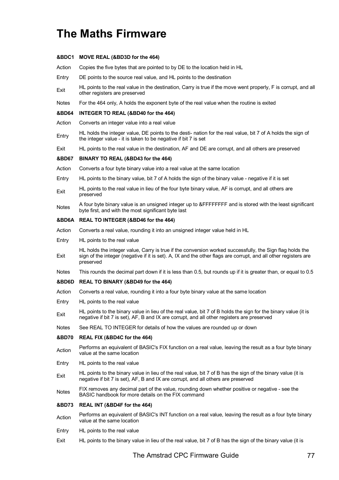## **The Maths Firmware**

#### **&BDC1 MOVE REAL (&BD3D for the 464)**

Action Copies the five bytes that are pointed to by DE to the location held in HL

- Entry DE points to the source real value, and HL points to the destination
- Exit HL points to the real value in the destination, Carry is true if the move went properly, F is corrupt, and all other registers are preserved
- Notes For the 464 only, A holds the exponent byte of the real value when the routine is exited

#### **&BD64 INTEGER TO REAL (&BD40 for the 464)**

- Action Converts an integer value into a real value
- Entry HL holds the integer value, DE points to the desti- nation for the real value, bit 7 of A holds the sign of the integer value - it is taken to be negative if bit 7 is set
- Exit HL points to the real value in the destination, AF and DE are corrupt, and all others are preserved

#### **&BD67 BINARY TO REAL (&BD43 for the 464)**

- Action Converts a four byte binary value into a real value at the same location
- Entry HL points to the binary value, bit 7 of A holds the sign of the binary value negative if it is set
- Exit HL points to the real value in lieu of the four byte binary value, AF is corrupt, and all others are preserved
- Notes A four byte binary value is an unsigned integer up to &FFFFFFFF and is stored with the least significant byte first, and with the most significant byte last

#### **&BD6A REAL TO INTEGER (&BD46 for the 464)**

- Action Converts a real value, rounding it into an unsigned integer value held in HL
- Entry HL points to the real value
- Exit HL holds the integer value, Carry is true if the conversion worked successfully, the Sign flag holds the sign of the integer (negative if it is set). A, IX and the other flags are corrupt, and all other registers are preserved
- Notes This rounds the decimal part down if it is less than 0.5, but rounds up if it is greater than, or equal to 0.5

#### **&BD6D REAL TO BINARY (&BD49 for the 464)**

- Action Converts a real value, rounding it into a four byte binary value at the same location
- Entry HL points to the real value
- Exit HL points to the binary value in lieu of the real value, bit 7 of B holds the sign for the binary value (it is negative if bit 7 is set), AF, B and IX are corrupt, and all other registers are preserved
- Notes See REAL TO INTEGER for details of how the values are rounded up or down

#### **&BD70 REAL FIX (&BD4C for the 464)**

- Action Performs an equivalent of BASIC's FIX function on a real value, leaving the result as a four byte binary value at the same location
- Entry HL points to the real value
- Exit HL points to the binary value in lieu of the real value, bit 7 of B has the sign of the binary value (it is negative if bit 7 is set), AF, B and IX are corrupt, and all others are preserved
- Notes FIX removes any decimal part of the value, rounding down whether positive or negative see the BASIC handbook for more details on the FIX command

#### **&BD73 REAL INT (&BD4F for the 464)**

- Action Performs an equivalent of BASIC's INT function on a real value, leaving the result as a four byte binary value at the same location
- Entry HL points to the real value
- Exit HL points to the binary value in lieu of the real value, bit 7 of B has the sign of the binary value (it is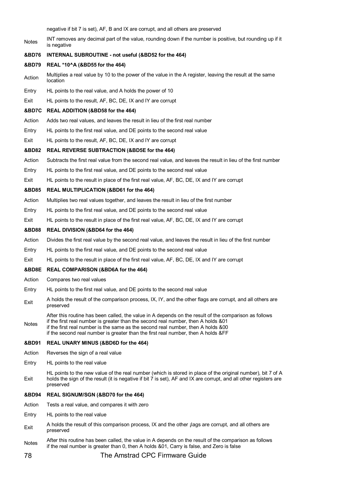negative if bit 7 is set), AF, B and IX are corrupt, and all others are preserved

| Notes            | INT removes any decimal part of the value, rounding down if the nurnber is positive, but rounding up if it<br>is negative                                                                                                                                                                                                                                           |
|------------------|---------------------------------------------------------------------------------------------------------------------------------------------------------------------------------------------------------------------------------------------------------------------------------------------------------------------------------------------------------------------|
| &BD76            | INTERNAL SUBROUTINE - not useful (&BD52 for the 464)                                                                                                                                                                                                                                                                                                                |
| <b>&amp;BD79</b> | REAL *10^A (&BD55 for the 464)                                                                                                                                                                                                                                                                                                                                      |
| Action           | Multiplies a real value by 10 to the power of the value in the A register, leaving the result at the same<br>location                                                                                                                                                                                                                                               |
| Entry            | HL points to the real value, and A holds the power of 10                                                                                                                                                                                                                                                                                                            |
| Exit             | HL points to the result, AF, BC, DE, IX and IY are corrupt                                                                                                                                                                                                                                                                                                          |
| &BD7C            | <b>REAL ADDITION (&amp;BD58 for the 464)</b>                                                                                                                                                                                                                                                                                                                        |
| Action           | Adds two real values, and leaves the result in lieu of the first real number                                                                                                                                                                                                                                                                                        |
| Entry            | HL points to the first real value, and DE points to the second real value                                                                                                                                                                                                                                                                                           |
| Exit             | HL points to the result, AF, BC, DE, IX and IY are corrupt                                                                                                                                                                                                                                                                                                          |
| <b>&amp;BD82</b> | REAL REVERSE SUBTRACTION (&BD5E for the 464)                                                                                                                                                                                                                                                                                                                        |
| Action           | Subtracts the first real value from the second real value, and leaves the result in lieu of the first number                                                                                                                                                                                                                                                        |
| Entry            | HL points to the first real value, and DE points to the second real value                                                                                                                                                                                                                                                                                           |
| Exit             | HL points to the result in place of the first real value, AF, BC, DE, IX and IY are corrupt                                                                                                                                                                                                                                                                         |
| <b>&amp;BD85</b> | <b>REAL MULTIPLICATION (&amp;BD61 for the 464)</b>                                                                                                                                                                                                                                                                                                                  |
| Action           | Multiplies two real values together, and leaves the result in lieu of the first number                                                                                                                                                                                                                                                                              |
| Entry            | HL points to the first real value, and DE points to the second real value                                                                                                                                                                                                                                                                                           |
| Exit             | HL points to the result in place of the first real value, AF, BC, DE, IX and IY are corrupt                                                                                                                                                                                                                                                                         |
| &BD88            | <b>REAL DIVISION (&amp;BD64 for the 464)</b>                                                                                                                                                                                                                                                                                                                        |
| Action           | Divides the first real value by the second real value, and leaves the result in lieu of the first number                                                                                                                                                                                                                                                            |
| Entry            | HL points to the first real value, and DE points to the second real value                                                                                                                                                                                                                                                                                           |
| Exit             | HL points to the result in place of the first real value, AF, BC, DE, IX and IY are corrupt                                                                                                                                                                                                                                                                         |
| &BD8E            | <b>REAL COMPARISON (&amp;BD6A for the 464)</b>                                                                                                                                                                                                                                                                                                                      |
| Action           | Compares two real values                                                                                                                                                                                                                                                                                                                                            |
| Entry            | HL points to the first real value, and DE points to the second real value                                                                                                                                                                                                                                                                                           |
| Exit             | A holds the result of the comparison process, IX, IY, and the other flags are corrupt, and all others are<br>preserved                                                                                                                                                                                                                                              |
| Notes            | After this routine has been called, the value in A depends on the result of the comparison as follows<br>if the first real number is greater than the second real number, then A holds &01<br>if the first real number is the same as the second real number, then A holds &00<br>if the second real number is greater than the first real number, then A holds &FF |
| &BD91            | REAL UNARY MINUS (&BD6D for the 464)                                                                                                                                                                                                                                                                                                                                |
| Action           | Reverses the sign of a real value                                                                                                                                                                                                                                                                                                                                   |
| Entry            | HL points to the real value                                                                                                                                                                                                                                                                                                                                         |
| Exit             | HL points to the new value of the real number (which is stored in place of the original number), bit 7 of A<br>holds the sign of the result (it is negative if bit 7 is set), AF and IX are corrupt, and all other registers are<br>preserved                                                                                                                       |
| <b>&amp;BD94</b> | REAL SIGNUM/SGN (&BD70 for the 464)                                                                                                                                                                                                                                                                                                                                 |
| Action           | Tests a real value, and compares it with zero                                                                                                                                                                                                                                                                                                                       |
| Entry            | HL points to the real value                                                                                                                                                                                                                                                                                                                                         |
| Exit             | A holds the result of this comparison process, IX and the other jlags are corrupt, and all others are<br>preserved                                                                                                                                                                                                                                                  |
| Notes            | After this routine has been called, the value in A depends on the result of the comparison as follows<br>if the real number is greater than 0, then A holds &01, Carry is false, and Zero is false                                                                                                                                                                  |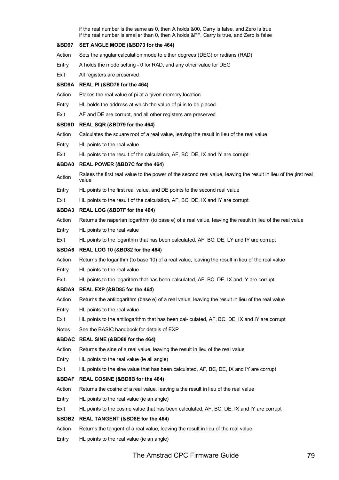if the real number is the same as 0, then A holds &00, Carry is false, and Zero is true if the real number is smaller than 0, then A holds &FF, Carry is true, and Zero is false **&BD97 SET ANGLE MODE (&BD73 for the 464)** Action Sets the angular calculation mode to either degrees (DEG) or radians (RAD) Entry A holds the mode setting - 0 for RAD, and any other value for DEG Exit All registers are preserved **&BD9A REAL PI (&BD76 for the 464)** Action Places the real value of pi at a given memory location Entry HL holds the address at which the value of pi is to be placed Exit AF and DE are corrupt, and all other registers are preserved **&BD9D REAL SQR (&BD79 for the 464)** Action Calculates the square root of a real value, leaving the result in lieu of the real value Entry HL points to the real value Exit HL points to the result of the calculation, AF, BC, DE, IX and IY are corrupt **&BDA0 REAL POWER (&BD7C for the 464)** Action Raises the first real value to the power of the second real value, leaving the result in lieu of the jirst real value Entry HL points to the first real value, and DE points to the second real value Exit HL points to the result of the calculation, AF, BC, DE, IX and IY are corrupt **&BDA3 REAL LOG (&BD7F for the 464)** Action Returns the naperian logarithm (to base e) of a real value, leaving the result in lieu of the real value Entry HL points to the real value Exit HL points to the logarithrn that has been calculated, AF, BC, DE, LY and IY are corrupt **&BDA6 REAL LOG 10 (&BD82 for the 464)** Action Returns the logarithm (to base 10) of a real value, leaving the result in lieu of the real value Entry HL points to the real value Exit HL points to the logarithrn that has been calculated, AF, BC, DE, IX and IY are corrupt **&BDA9 REAL EXP (&BD85 for the 464)** Action Returns the antilogarithm (base e) of a real value, leaving the result in lieu of the real value Entry HL points to the real value Exit HL points to the antilogarithm that has been cal- culated, AF, BC, DE, IX and IY are corrupt Notes See the BASIC handbook for details of EXP **&BDAC REAL SINE (&BD88 for the 464)** Action Returns the sine of a real value, leaving the result in lieu of the real value Entry HL points to the real value (ie all angle) Exit HL points to the sine value that has been calculated, AF, BC, DE, IX and IY are corrupt **&BDAF REAL COSINE (&BD8B for the 464)** Action Returns the cosine of a real value, leaving a the result in lieu of the real value Entry HL points to the real value (ie an angle) Exit HL points to the cosine value that has been calculated, AF, BC, DE, IX and IY are corrupt **&BDB2 REAL TANGENT (&BD8E for the 464)** Action Returns the tangent of a real value, leaving the result in lieu of the real value Entry HL points to the real value (ie an angle)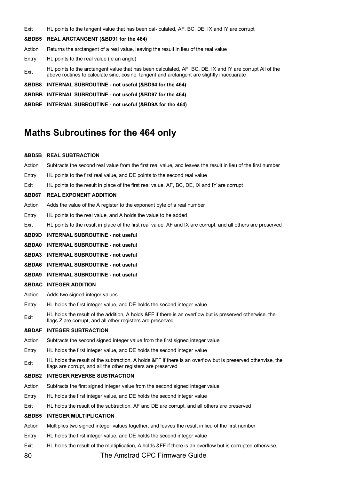Exit HL points to the tangent value that has been cal- culated, AF, BC, DE, IX and IY are corrupt

#### **&BDB5 REAL ARCTANGENT (&BD91 for the 464)**

- Action Returns the arctangent of a real value, leaving the result in lieu of the real value
- Entry HL points to the real value (ie an angle)
- Exit HL points to the arctangent value that has been calculated, AF, BC, DE, IX and IY are corrupt All of the above routines to calculate sine, cosine, tangent and arctangent are slightly inaccuarate
- **&BDB8 INTERNAL SUBROUTINE not useful (&BD94 for the 464)**
- **&BDBB INTERNAL SUBROUTINE not useful (&BD97 for the 464)**
- **&BDBE INTERNAL SUBROUTINE not useful (&BD9A for the 464)**

### **Maths Subroutines for the 464 only**

#### **&BD5B REAL SUBTRACTION**

80 The Amstrad CPC Firmware Guide Action Subtracts the second real value from the first real value, and leaves the result in lieu of the first number Entry HL points to the first real value, and DE points to the second real value Exit HL points to the result in place of the first real value, AF, BC, DE, IX and IY are corrupt **&BD67 REAL EXPONENT ADDITION** Action Adds the value of the A register to the exponent byte of a real number Entry HL points to the real value, and A holds the value to he added Exit HL points to the result in place of the first real value, AF and IX are corrupt, and all others are preserved **&BD9D INTERNAL SUBROUTINE - not useful &BDA0 INTERNAL SUBROUTINE - not useful &BDA3 INTERNAL SUBROUTINE - not useful &BDA6 INTERNAL SUBROUTINE - not useful &BDA9 INTERNAL SUBROUTINE - not useful &BDAC INTEGER ADDITION** Action Adds two signed integer values Entry HL holds the first integer value, and DE holds the second integer value  $E_{\text{crit}}$  HL holds the result of the addition, A holds &FF if there is an overflow but is preserved otherwise, the flags Z are corrupt, and all other registers are preserved **&BDAF INTEGER SUBTRACTION** Action Subtracts the second signed integer value from the first signed integer value Entry HL holds the first integer value, and DE holds the second integer value Exit HL holds the result of the subtraction, A holds &FF if there is an overflow but is preserved othenvise, the flags are corrupt, and all the other registers are preserved **&BDB2 INTEGER REVERSE SUBTRACTION** Action Subtracts the first signed integer value from the second signed integer value Entry HL holds the first integer value, and DE holds the second integer value Exit HL holds the result of the subtraction, AF and DE are corrupt, and all others are preserved **&BDB5 INTEGER MULTIPLICATION** Action Multiplies two signed integer values together, and leaves the result in lieu of the first number Entry HL holds the first integer value, and DE holds the second integer value Exit HL holds the result of the multiplication, A holds &FF if there is an overflow but is corrupted otherwise,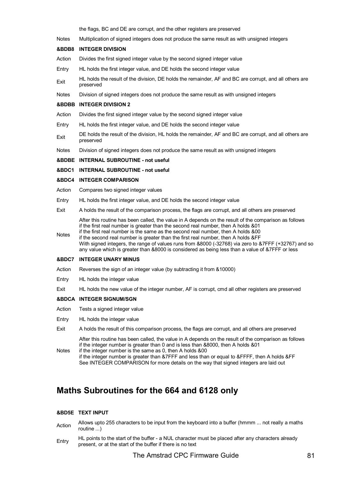the flags, BC and DE are corrupt, and the other registers are preserved

Notes Multiplication of signed integers does not produce the sarne result as with unsigned integers

#### **&BDB8 INTEGER DIVISION**

Action Divides the first signed integer value by the second signed integer value

Entry HL holds the first integer value, and DE holds the second integer value

- Exit HL holds the result of the division, DE holds the remainder, AF and BC are corrupt, and all others are preserved
- Notes Division of signed integers does not produce the same result as with unsigned integers

#### **&BDBB INTEGER DIVISION 2**

- Action Divides the first signed integer value by the second signed integer value
- Entry HL holds the first integer value, and DE holds the second integer value
- Exit DE holds the result of the division, HL holds the remainder, AF and BC are corrupt, and all others are preserved
- Notes Division of signed integers does not produce the same result as with unsigned integers

#### **&BDBE INTERNAL SUBROUTINE - not useful**

#### **&BDC1 INTERNAL SUBROUTINE - not useful**

#### **&BDC4 INTEGER COMPARISON**

- Action Compares two signed integer values
- Entry HL holds the first integer value, and DE holds the second integer value
- Exit A holds the result of the comparison process, the flags are corrupt, and all others are preserved

After this routine has been called, the value in A depends on the result of the comparison as follows if the first real number is greater than the second real number, then A holds &01

Notes if the first real number is the same as the second real number, then A holds &00 if the second real number is greater than the first real number, then A holds &FF With signed integers, the range of values runs from &8000 (-32768) via zero to &7FFF (+32767) and so any value which is greater than &8000 is considered as being less than a value of &7FFF or less

#### **&BDC7 INTEGER UNARY MINUS**

- Action Reverses the sign of an integer value (by subtracting it from &10000)
- Entry HL holds the integer value
- Exit HL holds the new value of the integer number, AF is corrupt, cmd all other registers are preserved

#### **&BDCA INTEGER SIGNUM/SGN**

- Action Tests a signed integer value
- Entry HL holds the integer value
- Exit A holds the result of this comparison process, the flags are corrupt, and all others are preserved

After this routine has been called, the value in A depends on the result of the comparison as follows if the integer number is greater than 0 and is less than &8000, then A holds &01

Notes if the integer number is the same as 0, then A holds &00 if the integer number is greater than &7FFF and less than or equal to &FFFF, then A holds &FF See INTEGER COMPARISON for more details on the way that signed integers are laid out

### **Maths Subroutines for the 664 and 6128 only**

#### **&BD5E TEXT INPUT**

- Action Allows upto 255 characters to be input from the keyboard into a buffer (hmmm ... not really a maths routine ...)
- Entry HL points to the start of the buffer a NUL character must be placed after any characters already present, or at the start of the buffer if there is no text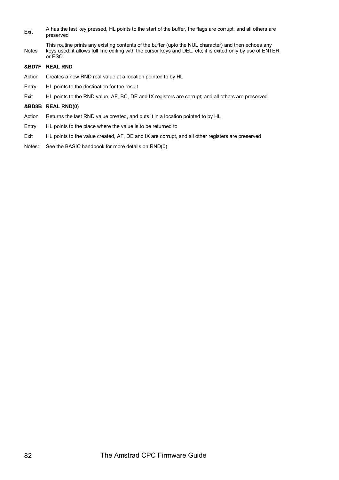Exit A has the last key pressed, HL points to the start of the buffer, the flags are corrupt, and all others are preserved

Notes This routine prints any existing contents of the buffer (upto the NUL character) and then echoes any keys used; it allows full line editing with the cursor keys and DEL, etc; it is exited only by use of ENTER or ESC

#### **&BD7F REAL RND**

- Action Creates a new RND real value at a location pointed to by HL
- Entry HL points to the destination for the result
- Exit HL points to the RND value, AF, BC, DE and IX registers are corrupt; and all others are preserved

#### **&BD8B REAL RND(0)**

- Action Returns the last RND value created, and puts it in a location pointed to by HL
- Entry HL points to the place where the value is to be returned to
- Exit HL points to the value created, AF, DE and IX are corrupt, and all other registers are preserved
- Notes: See the BASIC handbook for more details on RND(0)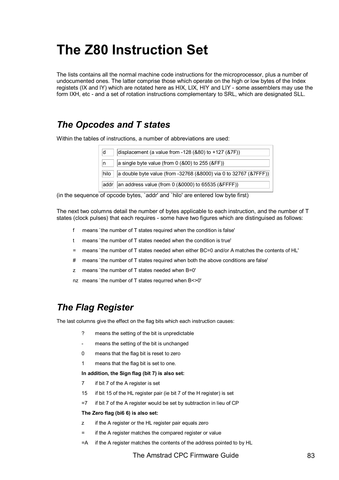# **The Z80 Instruction Set**

The lists contains all the normal machine code instructions for the microprocessor, plus a number of undocumented ones. The latter comprise those which operate on the high or low bytes of the Index registets (IX and lY) which are notated here as HIX, LIX, HIY and LIY - some assemblers may use the form IXH, etc - and a set of rotation instructions complementary to SRL, which are designated SLL.

### *The Opcodes and T states*

Within the tables of instructions, a number of abbreviations are used:

| ld   | displacement (a value from -128 (&80) to +127 (&7F))             |
|------|------------------------------------------------------------------|
| In   | a single byte value (from 0 (&00) to 255 (&FF))                  |
| hilo | a double byte value (from -32768 (&8000) via 0 to 32767 (&7FFF)) |
| addr | an address value (from 0 ( $&0000$ ) to 65535 ( $&$ FFFF))       |

(in the sequence of opcode bytes, `addr' and `hilo' are entered low byte first)

The next two columns detail the number of bytes applicable to each instruction, and the number of T states (clock pulses) that each requires - some have two figures which are distinguised as follows:

- f means `the number of T states required when the condition is false'
- t means `the number of T states needed when the condition is true'
- = means `the number of T states needed when either BC=0 and/or A matches the contents of HL'
- # means `the number of T states required when both the above conditions are false'
- z means `the number of T states needed when B=0'
- nz means `the number of T states requrred when B<>0'

### *The Flag Register*

The last columns give the effect on the flag bits which each instruction causes:

- ? means the setting of the bit is unpredictable
- means the setting of the bit is unchanged
- 0 means that the flag bit is reset to zero
- 1 means that the flag bit is set to one.

#### **In addition, the Sign flag (bit 7) is also set:**

- 7 if bit 7 of the A register is set
- 15 if bit 15 of the HL register pair (ie bit 7 of the H register) is set
- =7 if bit 7 of the A register would be set by subtraction in lieu of CP

#### **The Zero flag (bi6 6) is also set:**

- z if the A register or the HL register pair equals zero
- = if the A register matches the compared register or value
- =A if the A register matches the contents of the address pointed to by HL

#### The Amstrad CPC Firmware Guide 83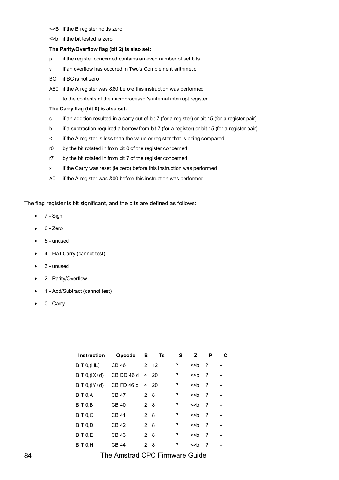- <>B if the B register holds zero
- <>b if the bit tested is zero

#### **The Parity/Overflow flag (bit 2) is also set:**

- p if the register concemed contains an even number of set bits
- v if an overflow has occured in Two's Complement arithmetic
- BC if BC is not zero
- A80 if the A register was &80 before this instruction was performed
- i to the contents of the microprocessor's internal interrupt register

#### **The Carry flag (bit 0) is also set:**

- c if an addition resulted in a carry out of bit 7 (for a register) or bit 15 (for a register pair)
- b if a subtraction required a borrow from bit 7 (for a register) or bit 15 (for a register pair)
- < if the A register is less than the value or register that is being compared
- r0 by the bit rotated in from bit 0 of the register concerned
- r7 by the bit rotated in from bit 7 of the register concerned
- x if the Carry was reset (ie zero) before this instruction was performed
- A0 if tbe A register was &00 before this instruction was performed

The flag register is bit significant, and the bits are defined as follows:

- 7 Sign
- 6 Zero
- 5 unused
- 4 Half Carry (cannot test)
- 3 unused
- 2 Parity/Overflow
- 1 Add/Subtract (cannot test)
- 0 Carry

| <b>Instruction</b> | Opcode       | в              | Ts   | S | z                                        | P                        | C |
|--------------------|--------------|----------------|------|---|------------------------------------------|--------------------------|---|
| BIT 0, (HL)        | <b>CB 46</b> |                | 2 12 | ? | $>$ b ?                                  |                          |   |
| $BIT 0, (IX+d)$    | CB DD 46 d   |                | 4 20 | ? | <>b                                      | ?                        |   |
| $BIT 0, (IY+d)$    | CB FD 46 d   |                | 4 20 | ? | $>$ b ?                                  |                          |   |
| BIT 0,A            | CB 47        | 2 8            |      | ? | $\left\langle \text{>h} \right\rangle$ ? |                          |   |
| BIT 0.B            | CB 40        | 2 8            |      | ? | $\left\langle \gt{b} \right\rangle$ ?    |                          |   |
| BIT 0,C            | <b>CB41</b>  | 28             |      | ? | $>$ b ?                                  |                          |   |
| BIT 0,D            | <b>CB42</b>  | 2 <sub>8</sub> |      | ? | >                                        | ?                        |   |
| BIT 0,E            | CB 43        | $\overline{2}$ | 8    | ? | >                                        | $\overline{\phantom{a}}$ |   |
| BIT 0.H            | CB 44        | 2              | 8    | ? | <>b                                      | ?                        |   |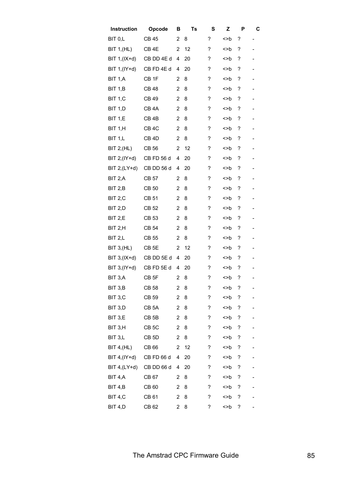| Instruction        | Opcode            | в              | Ts | S | Z   | P | C                        |
|--------------------|-------------------|----------------|----|---|-----|---|--------------------------|
| BIT 0,L            | CB 45             | 2              | 8  | ? | <>b | ? | -                        |
| <b>BIT 1, (HL)</b> | CB 4E             | 2              | 12 | ? | <>b | ? | -                        |
| BIT $1,(IX+d)$     | CB DD 4E d        | 4              | 20 | ? | <>b | ? |                          |
| BIT 1, (IY+d)      | CB FD 4E d        | 4              | 20 | ? | <>b | ? |                          |
| BIT 1,A            | CB <sub>1F</sub>  | 2              | 8  | ? | <>b | ? | $\overline{\phantom{0}}$ |
| <b>BIT 1,B</b>     | CB 48             | 2              | 8  | ? | <>b | ? | -                        |
| <b>BIT 1, C</b>    | <b>CB 49</b>      | 2              | 8  | ? | <>b | ? | -                        |
| BIT 1,D            | CB 4A             | 2              | 8  | ? | <>b | ? |                          |
| <b>BIT 1,E</b>     | CB <sub>4B</sub>  | 2              | 8  | ? | <>b | ? |                          |
| BIT 1,H            | CB <sub>4</sub> C | $\overline{c}$ | 8  | ? | >   | ? | -                        |
| <b>BIT 1,L</b>     | CB <sub>4D</sub>  | 2              | 8  | ? | <>b | ? | -                        |
| BIT 2,(HL)         | CB 56             | 2              | 12 | ? | <>b | ? | -                        |
| BIT 2, (IY+d)      | CB FD 56 d        | 4              | 20 | ? | <>b | ? | -                        |
| BIT 2, (LY+d)      | CB DD 56 d        | 4              | 20 | ? | <>b | ? |                          |
| BIT 2,A            | CB 57             | 2              | 8  | ? | <>b | ? |                          |
| BIT 2,B            | CB 50             | $\overline{2}$ | 8  | ? | <>b | ? | -                        |
| BIT 2,C            | CB 51             | 2              | 8  | ? | <>b | ? | -                        |
| BIT 2,D            | <b>CB 52</b>      | 2              | 8  | ? | <>b | ? | -                        |
| BIT 2,E            | CB 53             | 2              | 8  | ? | <>b | ? |                          |
| BIT 2,H            | CB 54             | 2              | 8  | ? | <>b | ? |                          |
| BIT 2,L            | CB 55             | 2              | 8  | ? | <>b | ? | -                        |
| <b>BIT 3, (HL)</b> | CB <sub>5E</sub>  | 2              | 12 | ? | <>b | ? | -                        |
| BIT 3, (IX+d)      | CB DD 5E d        | 4              | 20 | ? | <>b | ? | -                        |
| BIT 3, (IY+d)      | CB FD 5E d        | 4              | 20 | ? | >   | ? | -                        |
| BIT 3.A            | CB <sub>5F</sub>  | 2              | 8  | ? | <>b | ? |                          |
| BIT 3,B            | CB 58             | 2              | 8  | ? | <>b | ? |                          |
| BIT 3,C            | CB 59             | 2              | 8  | ? | <>b | ? |                          |
| BIT 3,D            | CB <sub>5</sub> A | 2              | 8  | ? | >   | ? |                          |
| BIT 3,E            | CB <sub>5B</sub>  | 2              | 8  | ? | <>b | ? |                          |
| BIT 3,H            | CB <sub>5</sub> C | 2              | 8  | ? | >   | ? |                          |
| BIT 3,L            | CB <sub>5D</sub>  | 2              | 8  | ? | >>b | ? |                          |
| <b>BIT 4, (HL)</b> | CB 66             | 2              | 12 | ? | >>b | ? |                          |
| BIT 4, $(IV+d)$    | CB FD 66 d        | 4              | 20 | ? | <>b | ? |                          |
| BIT $4,(LY+d)$     | CB DD 66 d        | 4              | 20 | ? | <>b | ? |                          |
| BIT 4,A            | CB 67             | 2              | 8  | ? | <>b | ? |                          |
| <b>BIT 4,B</b>     | CB 60             | 2              | 8  | ? | <>b | ? |                          |
| BIT 4,C            | <b>CB 61</b>      | 2              | 8  | ? | <>b | ? |                          |
| BIT 4,D            | CB 62             | 2              | 8  | ? | <>b | ? |                          |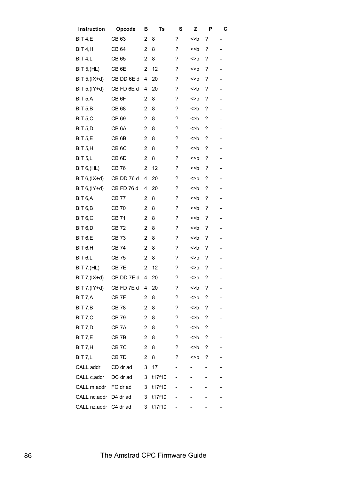| Instruction            | Opcode            | в              | Ts     | S | Z   | P | С                        |
|------------------------|-------------------|----------------|--------|---|-----|---|--------------------------|
| BIT 4,E                | CB 63             | 2              | 8      | ? | <>b | ? | $\overline{a}$           |
| BIT 4,H                | CB 64             | 2              | 8      | ? | <>b | ? | $\overline{\phantom{0}}$ |
| BIT 4,L                | CB 65             | $\overline{2}$ | 8      | ? | <>b | ? | -                        |
| <b>BIT 5, (HL)</b>     | CB <sub>6</sub> E | 2              | 12     | ? | >   | ? | -                        |
| BIT 5, (IX+d)          | CB DD 6E d        | 4              | 20     | ? | <>b | ? |                          |
| BIT 5, (IY+d)          | CB FD 6E d        | 4              | 20     | ? | <>b | ? |                          |
| BIT 5,A                | CB <sub>6F</sub>  | $\overline{2}$ | 8      | ? | <>b | ? | $\overline{\phantom{0}}$ |
| BIT 5,B                | CB 68             | $\overline{2}$ | 8      | ? | <>b | ? | -                        |
| BIT <sub>5,C</sub>     | CB 69             | 2              | 8      | ? | <>b | ? | -                        |
| BIT 5,D                | CB 6A             | 2              | 8      | ? | <>b | ? | -                        |
| BIT 5,E                | CB <sub>6B</sub>  | 2              | 8      | ? | <>b | ? | -                        |
| BIT 5,H                | CB <sub>6</sub> C | $\overline{2}$ | 8      | ? | <>b | ? | -                        |
| <b>BIT 5,L</b>         | CB <sub>6D</sub>  | 2              | 8      | ? | <>b | ? | -                        |
| BIT 6, (HL)            | <b>CB76</b>       | 2              | 12     | ? | <>b | ? | -                        |
| BIT 6, (IX+d)          | CB DD 76 d        | 4              | 20     | ? | <>b | ? | -                        |
| BIT 6, (IY+d)          | CB FD 76 d        | 4              | 20     | ? | <>b | ? |                          |
| BIT 6,A                | CB 77             | 2              | 8      | ? | <>b | ? |                          |
| BIT 6,B                | <b>CB 70</b>      | $\overline{2}$ | 8      | ? | <>b | ? | $\overline{\phantom{0}}$ |
| BIT 6,C                | CB 71             | 2              | 8      | ? | <>b | ? | -                        |
| BIT <sub>6,</sub> D    | CB 72             | 2              | 8      | ? | <>b | ? | -                        |
| BIT 6,E                | CB 73             | 2              | 8      | ? | <>b | ? | -                        |
| BIT 6,H                | CB 74             | 2              | 8      | ? | <>b | ? |                          |
| BIT <sub>6,L</sub>     | <b>CB75</b>       | 2              | 8      | ? | <>b | ? |                          |
| <b>BIT 7, (HL)</b>     | CB <sub>7E</sub>  | 2              | 12     | ? | <>b | ? | $\overline{\phantom{0}}$ |
| BIT 7, (IX+d)          | CB DD 7E d        | 4              | 20     | ? | <>b | ? | -                        |
| BIT 7, (IY+d)          | CB FD 7E d        | 4              | 20     | ? | <>b | ? |                          |
| BIT 7,A                | CB 7F             | 2              | 8      | ? | <>b | ? |                          |
| BIT 7,B                | <b>CB 78</b>      | $\overline{2}$ | 8      | ? | <>b | ? |                          |
| BIT 7,C                | <b>CB79</b>       | $\overline{2}$ | 8      | ? | >   | ? |                          |
| BIT 7,D                | CB 7A             | $\overline{2}$ | 8      | ? | <>b | ? |                          |
| BIT 7,E                | CB <sub>7B</sub>  | 2              | 8      | ? | >   | ? |                          |
| BIT 7,H                | CB <sub>7</sub> C | 2              | 8      | ? | <>b | ? |                          |
| BIT 7,L                | CB <sub>7D</sub>  | $\overline{2}$ | 8      | ? | >   | ? |                          |
| CALL addr              | CD dr ad          | 3              | 17     |   |     | - |                          |
| CALL c, addr           | DC dr ad          | 3              | t17f10 |   |     |   |                          |
| CALL m,addr            | FC dr ad          | 3              | t17f10 |   |     |   |                          |
| CALL nc,addr           | D4 dr ad          | 3              | t17f10 |   |     |   |                          |
| CALL nz, addr C4 dr ad |                   | 3              | t17f10 |   |     |   |                          |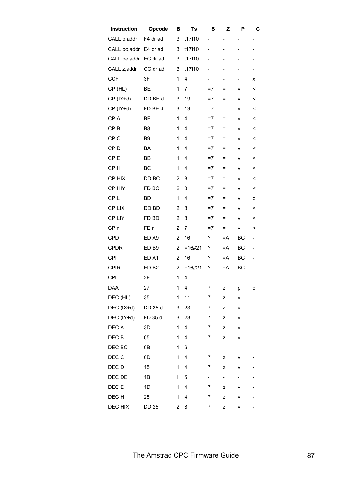| Instruction     | Opcode           | В              | Ts       | S                        | Z                        | P                        | C                        |
|-----------------|------------------|----------------|----------|--------------------------|--------------------------|--------------------------|--------------------------|
| CALL p, addr    | F4 dr ad         | 3              | t17f10   | $\qquad \qquad -$        | -                        |                          | -                        |
| CALL po, addr   | E4 dr ad         | 3              | t17f10   | $\overline{\phantom{0}}$ |                          |                          |                          |
| CALL pe, addr   | EC dr ad         | 3              | t17f10   | $\overline{\phantom{0}}$ |                          |                          |                          |
| CALL z, addr    | CC dr ad         | 3              | t17f10   | $\overline{\phantom{0}}$ | -                        | $\overline{\phantom{0}}$ | -                        |
| <b>CCF</b>      | 3F               | 1              | 4        | $\overline{\phantom{0}}$ | $\overline{\phantom{0}}$ | $\overline{\phantom{0}}$ | x                        |
| CP (HL)         | ВE               | 1              | 7        | =7                       | =                        | ۷                        | <                        |
| $CP$ ( $IX+d$ ) | DD BE d          | 3              | 19       | $=7$                     | $\equiv$                 | v                        | <                        |
| CP (IY+d)       | FD BE d          | 3              | 19       | $=7$                     | $\equiv$                 | v                        | <                        |
| CP A            | BF               | 1              | 4        | $=7$                     | $=$                      | ٧                        | <                        |
| CP <sub>B</sub> | B8               | 1              | 4        | $=7$                     | $=$                      | ٧                        | $\,<$                    |
| CP <sub>C</sub> | B <sub>9</sub>   | 1              | 4        | $=7$                     | $=$                      | ٧                        | <                        |
| CP <sub>D</sub> | <b>BA</b>        | 1              | 4        | $=7$                     | $=$                      | v                        | <                        |
| CP <sub>E</sub> | BB               | 1              | 4        | $=7$                     | $=$                      | v                        | $\,<$                    |
| CP <sub>H</sub> | BC               | 1              | 4        | $=7$                     | $=$                      | v                        | <                        |
| CP HIX          | DD BC            | 2              | 8        | $=7$                     | =                        | ٧                        | <                        |
| CP HIY          | FD BC            | $\overline{2}$ | 8        | $=7$                     | $=$                      | ٧                        | <                        |
| CP <sub>L</sub> | <b>BD</b>        | 1              | 4        | $=7$                     | $=$                      | ٧                        | с                        |
| CP LIX          | DD BD            | 2              | 8        | $=7$                     | $=$                      | v                        | $\,<$                    |
| CP LIY          | FD BD            | $\overline{2}$ | 8        | $=7$                     | $=$                      | v                        | $\,<$                    |
| CP <sub>n</sub> | FE n             | $\overline{2}$ | 7        | $=7$                     | $=$                      | ٧                        | <                        |
| <b>CPD</b>      | ED A9            | $\overline{2}$ | 16       | ?                        | =A                       | ВC                       | $\overline{\phantom{0}}$ |
| <b>CPDR</b>     | ED <sub>B9</sub> | $\overline{2}$ | $=16#21$ | ?                        | $=A$                     | BC                       | $\overline{\phantom{0}}$ |
| <b>CPI</b>      | ED <sub>A1</sub> | $\overline{2}$ | 16       | ?                        | $=A$                     | BC                       | $\overline{\phantom{0}}$ |
| <b>CPIR</b>     | ED <sub>B2</sub> | 2              | $=16#21$ | ?                        | $=A$                     | BC                       | -                        |
| <b>CPL</b>      | 2F               | 1              | 4        | -                        | $\sim$ 100 $\pm$         | mark of                  |                          |
| <b>DAA</b>      | 27               | 1              | 4        | 7                        | z                        | p                        | с                        |
| DEC (HL)        | 35               | 1              | 11       | 7                        | z                        | ۷                        |                          |
| DEC (IX+d)      | DD 35 d          | 3              | 23       | 7                        | z                        | ٧                        |                          |
| DEC (IY+d)      | FD 35 d          | 3              | 23       | 7                        | z                        | ۷                        |                          |
| DEC A           | 3D               | 1              | 4        | $\overline{7}$           | z                        | v                        |                          |
| DEC B           | 05               | 1              | 4        | 7                        | z                        | ۷                        |                          |
| DEC BC          | 0B               | 1              | 6        | $\overline{\phantom{0}}$ | ÷,                       | $\overline{\phantom{0}}$ |                          |
| DEC C           | 0D               | $\mathbf 1$    | 4        | 7                        | z                        | ۷                        |                          |
| DEC D           | 15               | 1              | 4        | 7                        | z                        | ۷                        |                          |
| DEC DE          | 1B               | L              | 6        | $\overline{\phantom{0}}$ | $\overline{\phantom{0}}$ | $\overline{\phantom{0}}$ |                          |
| DEC E           | 1D               | 1              | 4        | 7                        | z                        | v                        |                          |
| DEC H           | 25               | 1              | 4        | 7                        | z                        | ٧                        |                          |
| DEC HIX         | <b>DD 25</b>     | 2              | 8        | 7                        | z                        | ٧                        |                          |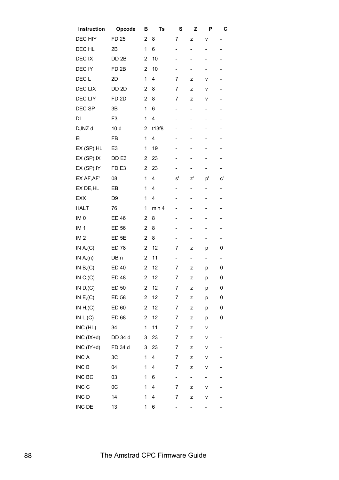| Instruction               | Opcode           | в              | Ts    | S                            | z                        | Р                        | С                        |
|---------------------------|------------------|----------------|-------|------------------------------|--------------------------|--------------------------|--------------------------|
| DEC HIY                   | <b>FD 25</b>     | 2              | 8     | 7                            | z                        | ٧                        | -                        |
| DEC HL                    | 2B               | 1              | 6     | $\overline{\phantom{0}}$     | -                        | -                        | -                        |
| DEC IX                    | DD <sub>2B</sub> | $\overline{2}$ | 10    | -                            | -                        | -                        | -                        |
| DEC IY                    | FD <sub>2B</sub> | $\overline{2}$ | 10    |                              | -                        | $\overline{\phantom{0}}$ |                          |
| DEC <sub>L</sub>          | 2D               | 1              | 4     | $\overline{7}$               | z                        | ٧                        |                          |
| DEC LIX                   | DD <sub>2D</sub> | $\overline{2}$ | 8     | 7                            | z                        | ٧                        | -                        |
| <b>DECLIY</b>             | FD <sub>2D</sub> | $\overline{2}$ | 8     | 7                            | z                        | ٧                        | -                        |
| DEC SP                    | 3B               | 1              | 6     | $\qquad \qquad \blacksquare$ | -                        | $\overline{\phantom{0}}$ | -                        |
| DI                        | F <sub>3</sub>   | 1              | 4     | -                            | -                        | -                        | -                        |
| DJNZ d                    | 10d              | $\overline{2}$ | t13f8 |                              | -                        | -                        | -                        |
| EI                        | FB               | 1              | 4     |                              | -                        | -                        |                          |
| EX (SP), HL               | E <sub>3</sub>   | 1              | 19    | -                            | -                        | -                        | -                        |
| EX (SP), IX               | DD <sub>E3</sub> | 2              | 23    | -                            | -                        | -                        | -                        |
| EX (SP), IY               | FD <sub>E3</sub> | $\overline{2}$ | 23    |                              | -                        | -                        | -                        |
| EX AF, AF'                | 08               | 1              | 4     | s'                           | z'                       | p'                       | c'                       |
| EX DE, HL                 | EB               | 1              | 4     | -                            | -                        | $\overline{\phantom{0}}$ | -                        |
| <b>EXX</b>                | D <sub>9</sub>   | 1              | 4     | -                            | -                        | $\overline{\phantom{0}}$ | -                        |
| <b>HALT</b>               | 76               | 1              | min 4 | -                            | -                        | $\overline{\phantom{0}}$ | -                        |
| IM <sub>0</sub>           | <b>ED 46</b>     | $\overline{2}$ | 8     | -                            | -                        | -                        | -                        |
| IM <sub>1</sub>           | ED 56            | $\overline{2}$ | 8     | -                            | -                        | -                        | -                        |
| IM2                       | ED <sub>5E</sub> | $\overline{2}$ | 8     | -                            | -                        | -                        | -                        |
| IN $A, (C)$               | <b>ED 78</b>     | $\overline{2}$ | 12    | 7                            | z                        | р                        | 0                        |
| IN A <sub>n</sub> (n)     | DB n             | $\overline{2}$ | 11    | $\overline{\phantom{0}}$     | $\overline{\phantom{0}}$ | $\overline{\phantom{0}}$ | $\overline{\phantom{0}}$ |
| IN $B1(C)$                | <b>ED 40</b>     | 2              | 12    | 7                            | z                        | p                        | 0                        |
| IN C, (C)                 | <b>ED 48</b>     | 2              | 12    | 7                            | z                        | р                        | 0                        |
| IN D, (C)                 | ED 50            | 2              | 12    | 7                            | z                        | p                        | 0                        |
| IN $E$ <sub>,</sub> $(C)$ | ED 58            | $\overline{c}$ | 12    | 7                            | z                        | р                        | 0                        |
| IN $H1(C)$                | ED 60            | $\overline{2}$ | 12    | 7                            | z                        | p                        | 0                        |
| IN $L, (C)$               | ED 68            | $\overline{c}$ | 12    | 7                            | z                        | p                        | 0                        |
| INC (HL)                  | 34               | 1              | 11    | 7                            | z                        | ٧                        | -                        |
| $INC (IX+d)$              | DD 34 d          | 3              | 23    | 7                            | z                        | ٧                        | -                        |
| INC (IY+d)                | FD 34 d          | 3              | 23    | 7                            | z                        | ٧                        |                          |
| <b>INC A</b>              | 3C               | 1              | 4     | 7                            | z                        | ٧                        |                          |
| INC <sub>B</sub>          | 04               | 1              | 4     | 7                            | z                        | ۷                        |                          |
| INC BC                    | 03               | 1              | 6     | $\overline{\phantom{a}}$     | -                        | -                        |                          |
| INC <sub>C</sub>          | $_{0C}$          | 1              | 4     | 7                            | z                        | ٧                        |                          |
| INC D                     | 14               | 1              | 4     | 7                            | z                        | ٧                        |                          |
| INC DE                    | 13               | 1              | 6     |                              |                          | -                        |                          |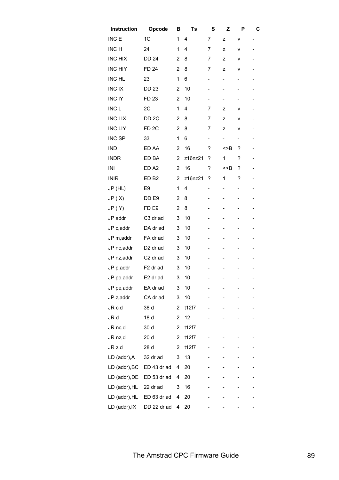| Instruction      | Opcode               | в                       | Ts      | S                        | Z                        | Ρ | С                        |
|------------------|----------------------|-------------------------|---------|--------------------------|--------------------------|---|--------------------------|
| INC <sub>E</sub> | 1C                   | 1                       | 4       | 7                        | z                        | ۷ | $\overline{\phantom{0}}$ |
| INC H            | 24                   | 1                       | 4       | 7                        | z                        | ٧ |                          |
| <b>INC HIX</b>   | <b>DD 24</b>         | 2                       | 8       | 7                        | z                        | ٧ |                          |
| <b>INC HIY</b>   | <b>FD 24</b>         | 2                       | 8       | 7                        | z                        | ۷ |                          |
| <b>INC HL</b>    | 23                   | 1                       | 6       | -                        | -                        |   |                          |
| <b>INCIX</b>     | <b>DD 23</b>         | 2                       | 10      | -                        |                          |   |                          |
| <b>INC IY</b>    | FD 23                | 2                       | 10      | -                        | -                        |   |                          |
| INC <sub>L</sub> | 2C                   | 1                       | 4       | 7                        | z                        | ٧ |                          |
| <b>INC LIX</b>   | DD <sub>2</sub> C    | 2                       | 8       | 7                        | z                        | ۷ |                          |
| <b>INC LIY</b>   | FD <sub>2C</sub>     | 2                       | 8       | 7                        | z                        | ۷ |                          |
| INC SP           | 33                   | 1                       | 6       | $\overline{\phantom{0}}$ | $\overline{\phantom{0}}$ |   |                          |
| <b>IND</b>       | ED AA                | $\overline{2}$          | 16      | ?                        | >>B                      | ? |                          |
| <b>INDR</b>      | ED BA                | 2                       | z16nz21 | ?                        | 1                        | ? |                          |
| INI              | ED <sub>A2</sub>     | 2                       | 16      | ?                        | >>B                      | ? |                          |
| <b>INIR</b>      | ED <sub>B2</sub>     | 2                       | z16nz21 | ?                        | 1                        | ? |                          |
| JP (HL)          | E <sub>9</sub>       | 1                       | 4       | -                        |                          |   |                          |
| JP (IX)          | DD <sub>E9</sub>     | 2                       | 8       | -                        |                          |   |                          |
| JP (IY)          | FD <sub>E9</sub>     | $\overline{2}$          | 8       | -                        |                          |   |                          |
| JP addr          | C3 dr ad             | 3                       | 10      | -                        |                          |   |                          |
| JP c,addr        | DA dr ad             | 3                       | 10      |                          |                          |   |                          |
| JP m, addr       | FA dr ad             | 3                       | 10      |                          |                          |   |                          |
| JP nc, addr      | D <sub>2</sub> dr ad | 3                       | 10      |                          |                          |   |                          |
| JP nz, addr      | C <sub>2</sub> dr ad | 3                       | 10      |                          |                          |   |                          |
| JP p,addr        | F <sub>2</sub> dr ad | 3                       | 10      |                          |                          |   |                          |
| JP po, addr      | E2 dr ad             | 3                       | 10      | -                        | Ξ.                       |   | -                        |
| JP pe, addr      | EA dr ad             | 3                       | 10      |                          |                          |   |                          |
| JP z, addr       | CA dr ad             | 3                       | 10      |                          |                          |   |                          |
| JR c,d           | 38 d                 | 2                       | t12f7   |                          |                          |   |                          |
| JR d             | 18 d                 | $\overline{\mathbf{c}}$ | 12      |                          |                          |   |                          |
| JR nc,d          | 30 d                 | 2                       | t12f7   |                          |                          |   |                          |
| JR nz,d          | 20 d                 | $\overline{\mathbf{c}}$ | t12f7   |                          |                          |   |                          |
| JR z,d           | 28 d                 | 2                       | t12f7   |                          |                          |   |                          |
| LD (addr), A     | 32 dr ad             | 3                       | 13      |                          |                          |   |                          |
| LD (addr), BC    | ED 43 dr ad          | 4                       | 20      |                          |                          |   |                          |
| LD (addr), DE    | ED 53 dr ad          | 4                       | 20      |                          |                          |   |                          |
| LD (addr), HL    | 22 dr ad             | 3                       | 16      |                          |                          |   |                          |
| LD (addr), HL    | ED 63 dr ad          | 4                       | 20      |                          |                          |   |                          |
| LD (addr), IX    | DD 22 dr ad          | 4                       | 20      |                          |                          |   |                          |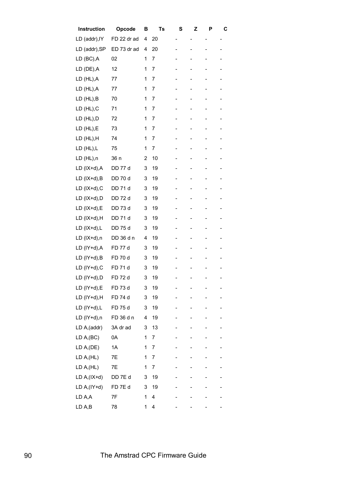| Instruction   | Opcode            | в | Ts | S | z | Р                        | С              |
|---------------|-------------------|---|----|---|---|--------------------------|----------------|
| LD (addr), IY | FD 22 dr ad       | 4 | 20 |   |   |                          | $\overline{a}$ |
| LD (addr), SP | ED 73 dr ad       | 4 | 20 |   |   | -                        |                |
| LD (BC),A     | 02                | 1 | 7  |   |   |                          |                |
| LD (DE),A     | 12                | 1 | 7  |   |   |                          |                |
| LD (HL),A     | 77                | 1 | 7  |   |   |                          |                |
| LD (HL),A     | 77                | 1 | 7  |   |   | $\overline{\phantom{0}}$ |                |
| LD (HL),B     | 70                | 1 | 7  |   |   | -                        |                |
| LD (HL), C    | 71                | 1 | 7  |   | - | -                        | -              |
| LD (HL),D     | 72                | 1 | 7  |   |   |                          |                |
| LD (HL),E     | 73                | 1 | 7  |   |   |                          |                |
| LD (HL),H     | 74                | 1 | 7  |   | - | -                        |                |
| LD (HL),L     | 75                | 1 | 7  |   |   |                          |                |
| LD (HL),n     | 36 n              | 2 | 10 |   | - | $\overline{\phantom{0}}$ |                |
| LD (IX+d),A   | DD 77 d           | 3 | 19 |   |   |                          |                |
| LD (IX+d),B   | DD 70 d           | 3 | 19 |   |   |                          |                |
| LD (IX+d),C   | DD 71 d           | 3 | 19 |   |   |                          |                |
| LD (IX+d),D   | DD 72 d           | 3 | 19 |   |   | $\overline{\phantom{0}}$ |                |
| LD (IX+d),E   | DD 73 d           | 3 | 19 |   |   |                          |                |
| LD (IX+d),H   | DD 71 d           | 3 | 19 |   | - | -                        |                |
| LD (IX+d),L   | DD 75 d           | 3 | 19 |   |   |                          |                |
| LD (IX+d),n   | DD 36 d n         | 4 | 19 |   |   |                          |                |
| LD (IY+d),A   | FD 77 d           | 3 | 19 |   | - | -                        |                |
| LD (IY+d), B  | FD 70 d           | 3 | 19 |   |   |                          |                |
| LD (IY+d), C  | FD 71 d           | 3 | 19 |   |   |                          |                |
| LD (IY+d),D   | FD 72 d           | 3 | 19 |   |   |                          |                |
| LD (IY+d),E   | FD 73 d           | 3 | 19 |   |   |                          |                |
| LD (IY+d),H   | FD 74 d           | 3 | 19 |   |   |                          |                |
| LD (IY+d),L   | FD 75 d           | 3 | 19 |   |   |                          |                |
| LD (IY+d),n   | FD 36 d n         | 4 | 19 |   |   |                          |                |
| LD A, (addr)  | 3A dr ad          | 3 | 13 |   |   |                          |                |
| LD A,(BC)     | 0A                | 1 | 7  |   |   |                          |                |
| LD A,(DE)     | 1A                | 1 | 7  |   |   |                          |                |
| LD A,(HL)     | 7E                | 1 | 7  |   |   |                          |                |
| LD A,(HL)     | 7E                | 1 | 7  |   |   |                          |                |
| LD A,(IX+d)   | DD 7E d           | 3 | 19 |   |   |                          |                |
| LD A,(IY+d)   | FD <sub>7Ed</sub> | 3 | 19 |   |   |                          |                |
| LD A,A        | 7F                | 1 | 4  |   |   |                          |                |
| LD A,B        | 78                | 1 | 4  |   |   |                          |                |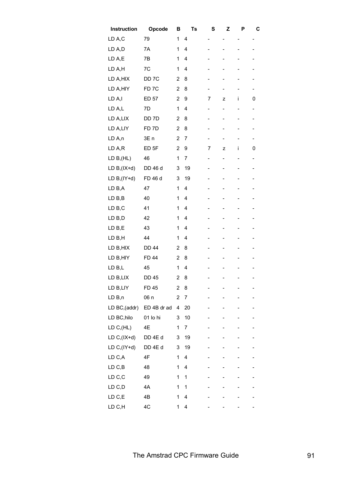| Instruction   | Opcode            | В              | Ts | S                        | Z              | Ρ              | С                        |
|---------------|-------------------|----------------|----|--------------------------|----------------|----------------|--------------------------|
| LD A,C        | 79                | 1              | 4  | -                        | -              | -              | -                        |
| LD A,D        | 7A                | 1              | 4  | -                        |                |                |                          |
| LD A,E        | 7B                | 1              | 4  | -                        | -              | -              |                          |
| LD A,H        | 7C                | 1              | 4  | -                        |                |                |                          |
| LD A, HIX     | DD <sub>7</sub> C | $\overline{2}$ | 8  | -                        |                |                |                          |
| LD A, HIY     | FD <sub>7C</sub>  | $\overline{2}$ | 8  | -                        |                |                |                          |
| LD A,I        | ED 57             | $\overline{2}$ | 9  | 7                        | z              | i              | 0                        |
| LD A,L        | 7D                | 1              | 4  | -                        | -              |                | -                        |
| LD A,LIX      | DD 7D             | 2              | 8  | -                        | $\overline{a}$ |                |                          |
| LD A,LIY      | FD <sub>7D</sub>  | $\overline{2}$ | 8  | -                        |                |                |                          |
| LD A,n        | 3E <sub>n</sub>   | 2              | 7  | -                        |                |                |                          |
| LD A,R        | ED <sub>5F</sub>  | $\overline{2}$ | 9  | 7                        | z              | i              | 0                        |
| LD B,(HL)     | 46                | 1              | 7  | $\overline{\phantom{0}}$ | $\overline{a}$ |                | $\overline{\phantom{0}}$ |
| LD $B(IX+d)$  | DD 46 d           | 3              | 19 | -                        | -              | -              |                          |
| LD $B(IV+d)$  | FD 46 d           | 3              | 19 | -                        |                | -              |                          |
| LD B,A        | 47                | 1              | 4  | -                        |                | -              |                          |
| LD B,B        | 40                | 1              | 4  | -                        |                |                |                          |
| LD B,C        | 41                | 1              | 4  | -                        | -              | $\overline{a}$ |                          |
| LD B,D        | 42                | 1              | 4  | -                        |                |                |                          |
| LD B,E        | 43                | 1              | 4  | -                        |                |                |                          |
| LD B,H        | 44                | 1              | 4  |                          |                |                |                          |
| LD B, HIX     | <b>DD 44</b>      | 2              | 8  |                          |                |                |                          |
| LD B, HIY     | <b>FD 44</b>      | $\overline{2}$ | 8  |                          |                |                |                          |
| LD B,L        | 45                | 1              | 4  |                          |                |                |                          |
| LD B,LIX      | <b>DD 45</b>      | $\overline{2}$ | 8  | $\overline{\phantom{0}}$ | -              |                | $\overline{\phantom{a}}$ |
| LD B,LIY      | FD 45             | 2              | 8  |                          |                |                |                          |
| LD B,n        | 06 n              | 2              | 7  |                          |                |                |                          |
| LD BC, (addr) | ED 4B dr ad       | 4              | 20 |                          |                |                |                          |
| LD BC, hilo   | 01 lo hi          | 3              | 10 |                          |                |                |                          |
| LD C,(HL)     | 4E                | 1              | 7  |                          |                |                |                          |
| LD $C,(IX+d)$ | DD 4E d           | 3              | 19 |                          |                |                |                          |
| LD $C,(IY+d)$ | DD 4E d           | 3              | 19 |                          |                |                |                          |
| LD C,A        | 4F                | 1              | 4  |                          |                |                |                          |
| LD C,B        | 48                | 1              | 4  |                          |                |                |                          |
| LD C,C        | 49                | 1              | 1  |                          |                |                |                          |
| LD C,D        | 4A                | 1              | 1  |                          |                |                |                          |
| LD C,E        | 4B                | 1              | 4  |                          |                |                |                          |
| LD C,H        | 4C                | 1              | 4  |                          |                |                |                          |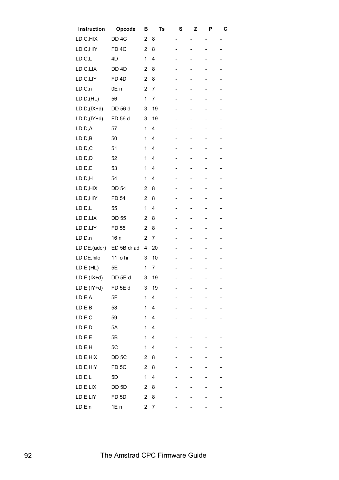| Opcode            | в              | Ts             | S | z | Р                        | С |
|-------------------|----------------|----------------|---|---|--------------------------|---|
| DD <sub>4C</sub>  | $\overline{2}$ | 8              | - |   | -                        | - |
| FD <sub>4C</sub>  | $\overline{c}$ | 8              |   |   | $\overline{\phantom{0}}$ |   |
| 4D                | 1              | 4              |   |   |                          |   |
| DD <sub>4D</sub>  | $\overline{2}$ | 8              |   | - | -                        |   |
| FD <sub>4D</sub>  | $\overline{2}$ | 8              |   |   |                          |   |
| 0E <sub>n</sub>   | $\overline{2}$ | 7              |   | - | -                        |   |
| 56                | 1              | $\overline{7}$ | - | - | -                        |   |
| DD 56 d           | 3              | 19             |   | - | -                        | - |
| FD 56 d           | 3              | 19             |   |   |                          |   |
| 57                | 1              | 4              |   |   |                          |   |
| 50                | 1              | 4              |   |   |                          |   |
| 51                | 1              | 4              |   | - |                          |   |
| 52                | 1              | 4              |   | - |                          |   |
| 53                | 1              | 4              | - | - |                          |   |
| 54                | 1              | 4              |   | - | $\overline{\phantom{0}}$ |   |
| <b>DD 54</b>      | $\overline{2}$ | 8              |   |   |                          |   |
| FD 54             | $\overline{2}$ | 8              |   |   | $\overline{\phantom{0}}$ |   |
| 55                | 1              | 4              | - | - |                          |   |
| <b>DD 55</b>      | $\overline{2}$ | 8              |   | - | -                        | - |
| FD 55             | $\overline{2}$ | 8              |   |   |                          |   |
| 16 n              | $\overline{2}$ | 7              |   |   |                          |   |
| ED 5B dr ad       | 4              | 20             |   |   |                          |   |
| 11 lo hi          | 3              | 10             |   |   |                          |   |
| 5E                | 1              | 7              |   |   |                          |   |
| DD 5E d           | 3              | 19             | - |   | -                        | - |
| FD 5E d           | 3              | 19             |   |   |                          |   |
| 5F                | 1              | 4              |   |   |                          |   |
| 58                | 1              | 4              |   |   |                          |   |
| 59                | 1              | 4              |   | - | -                        |   |
| 5A                | 1              | 4              |   |   |                          |   |
| 5B                | 1              | 4              |   | - | -                        |   |
| 5C                | 1              | 4              |   |   |                          |   |
| DD <sub>5</sub> C | $\overline{2}$ | 8              |   |   |                          |   |
| FD <sub>5C</sub>  | $\overline{2}$ | 8              |   |   |                          |   |
| 5D                | 1              | 4              |   |   |                          |   |
| DD 5D             | $\overline{2}$ | 8              |   |   |                          |   |
| FD <sub>5D</sub>  | $\overline{c}$ | 8              |   |   |                          |   |
| 1E n              | $\overline{c}$ | 7              |   |   |                          |   |
|                   |                |                |   |   |                          |   |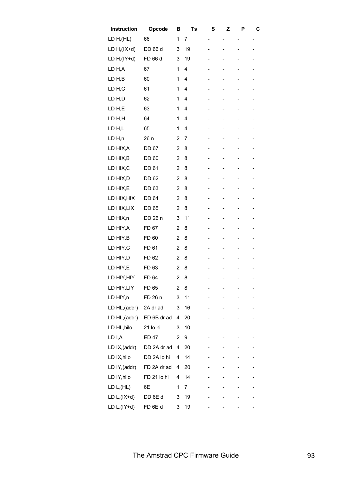| Instruction       | Opcode       | в              | Ts | S                        | z | P                        | C |
|-------------------|--------------|----------------|----|--------------------------|---|--------------------------|---|
| LD H, (HL)        | 66           | 1              | 7  | -                        | - |                          | - |
| LD $H$ , $(IX+d)$ | DD 66 d      | 3              | 19 | -                        |   |                          |   |
| LD $H$ , $(IV+d)$ | FD 66 d      | 3              | 19 | -                        |   |                          |   |
| LD H,A            | 67           | 1              | 4  | -                        |   |                          |   |
| LD H,B            | 60           | 1              | 4  | -                        | - | $\overline{a}$           |   |
| LD H,C            | 61           | 1              | 4  | -                        |   | $\overline{a}$           |   |
| LD H,D            | 62           | 1              | 4  | $\overline{\phantom{0}}$ |   |                          |   |
| LD H,E            | 63           | 1              | 4  |                          |   |                          |   |
| LD H,H            | 64           | 1              | 4  | -                        |   |                          |   |
| LD H,L            | 65           | 1              | 4  | -                        | - | $\overline{\phantom{0}}$ |   |
| LD H,n            | 26 n         | 2              | 7  | $\overline{\phantom{0}}$ |   |                          |   |
| LD HIX, A         | <b>DD 67</b> | 2              | 8  | -                        | - | -                        |   |
| LD HIX, B         | <b>DD 60</b> | 2              | 8  | -                        |   |                          |   |
| LD HIX,C          | <b>DD 61</b> | $\overline{2}$ | 8  | -                        |   |                          |   |
| LD HIX,D          | DD 62        | 2              | 8  | -                        |   |                          |   |
| LD HIX,E          | DD 63        | 2              | 8  | -                        | - | $\overline{a}$           |   |
| LD HIX, HIX       | DD 64        | 2              | 8  | -                        |   | $\overline{a}$           |   |
| LD HIX, LIX       | <b>DD 65</b> | 2              | 8  | -                        |   |                          |   |
| LD HIX,n          | DD 26 n      | 3              | 11 |                          |   |                          |   |
| LD HIY, A         | FD 67        | 2              | 8  |                          |   |                          |   |
| LD HIY, B         | FD 60        | $\overline{c}$ | 8  | -                        | - | $\overline{\phantom{0}}$ |   |
| LD HIY, C         | FD 61        | 2              | 8  |                          |   |                          |   |
| LD HIY, D         | FD 62        | 2              | 8  | -                        |   |                          |   |
| LD HIY,E          | FD 63        | $\overline{c}$ | 8  |                          |   |                          |   |
| LD HIY, HIY       | FD 64        | $\overline{2}$ | 8  |                          | - |                          |   |
| LD HIY, LIY       | FD 65        | 2              | 8  |                          |   |                          |   |
| LD HIY,n          | FD 26 n      | 3              | 11 | -                        |   |                          |   |
| LD HL, (addr)     | 2A dr ad     | 3              | 16 |                          |   |                          |   |
| LD HL, (addr)     | ED 6B dr ad  | 4              | 20 | -                        |   |                          |   |
| LD HL, hilo       | 21 lo hi     | 3              | 10 |                          |   |                          |   |
| LD I,A            | <b>ED 47</b> | 2              | 9  |                          |   |                          |   |
| LD IX, (addr)     | DD 2A dr ad  | 4              | 20 |                          |   |                          |   |
| LD IX, hilo       | DD 2A lo hi  | 4              | 14 | -                        |   | -                        |   |
| LD IY, (addr)     | FD 2A dr ad  | 4              | 20 |                          |   |                          |   |
| LD IY, hilo       | FD 21 lo hi  | 4              | 14 | -                        |   | -                        |   |
| LD $L,(HL)$       | 6E           | 1              | 7  |                          |   |                          |   |
| LD $L,(IX+d)$     | DD 6E d      | 3              | 19 |                          |   |                          |   |
| LD $L,(IY+d)$     | FD 6E d      | 3              | 19 |                          |   |                          |   |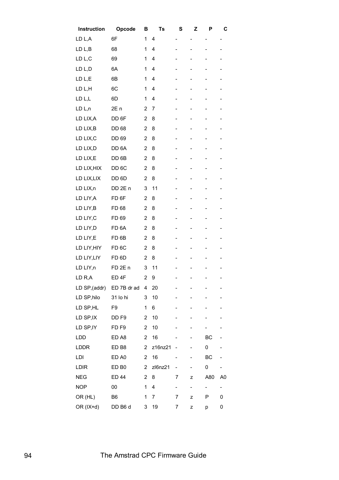| Instruction        | Opcode            | в              | Ts             | S                            | Z                            | Р                        | С                        |
|--------------------|-------------------|----------------|----------------|------------------------------|------------------------------|--------------------------|--------------------------|
| LD L,A             | 6F                | 1              | 4              | $\overline{a}$               |                              | -                        | -                        |
| LD <sub>L</sub> B  | 68                | 1              | 4              | $\overline{a}$               | -                            | -                        | -                        |
| LD L,C             | 69                | 1              | 4              |                              | $\qquad \qquad \blacksquare$ | -                        |                          |
| LD L,D             | 6A                | 1              | 4              |                              |                              |                          |                          |
| LD L,E             | 6B                | 1              | 4              |                              |                              | -                        |                          |
| LD L,H             | 6C                | 1              | 4              | $\overline{a}$               | $\overline{\phantom{0}}$     | $\overline{\phantom{0}}$ | -                        |
| LD L,L             | 6D                | 1              | 4              | $\overline{a}$               | $\qquad \qquad -$            | -                        |                          |
| LD <sub>L,n</sub>  | 2E <sub>n</sub>   | 2              | 7              | -                            | -                            | -                        | -                        |
| LD LIX, A          | DD 6F             | $\overline{2}$ | 8              | $\qquad \qquad \blacksquare$ | -                            | -                        |                          |
| LD LIX, B          | DD 68             | $\overline{2}$ | 8              |                              | -                            | -                        | -                        |
| LD LIX, C          | DD 69             | $\overline{2}$ | 8              |                              | -                            | -                        |                          |
| LD LIX, D          | DD 6A             | $\overline{2}$ | 8              | $\overline{a}$               | $\overline{\phantom{0}}$     | -                        | $\overline{a}$           |
| LD LIX,E           | DD 6B             | $\overline{2}$ | 8              | -                            | -                            | -                        |                          |
| LD LIX, HIX        | DD <sub>6</sub> C | $\overline{2}$ | 8              |                              | -                            | -                        | -                        |
| LD LIX, LIX        | DD 6D             | $\overline{2}$ | 8              |                              | $\qquad \qquad \blacksquare$ |                          |                          |
| LD LIX,n           | DD 2E n           | 3              | 11             |                              |                              | -                        |                          |
| LD LIY, A          | FD <sub>6F</sub>  | $\overline{2}$ | 8              | $\qquad \qquad \blacksquare$ | $\overline{\phantom{0}}$     | $\overline{\phantom{0}}$ | -                        |
| LD LIY, B          | FD 68             | $\overline{2}$ | 8              | $\overline{a}$               | $\qquad \qquad \blacksquare$ | -                        |                          |
| LD LIY, C          | FD 69             | $\overline{2}$ | 8              | -                            | -                            | -                        | -                        |
| LD LIY, D          | FD <sub>6A</sub>  | $\overline{2}$ | 8              | $\qquad \qquad \blacksquare$ | -                            | -                        | -                        |
| LD LIY,E           | FD <sub>6B</sub>  | $\overline{2}$ | 8              |                              | -                            | -                        |                          |
| LD LIY, HIY        | FD <sub>6C</sub>  | $\overline{2}$ | 8              |                              |                              |                          |                          |
| LD LIY, LIY        | FD <sub>6D</sub>  | $\overline{2}$ | 8              |                              | -                            | -                        |                          |
| LD LIY,n           | FD <sub>2En</sub> | 3              | 11             |                              |                              | -                        |                          |
| LD <sub>R</sub> ,A | ED <sub>4F</sub>  | $\overline{2}$ | 9              | $\overline{\phantom{0}}$     |                              | $\overline{\phantom{0}}$ | -                        |
| LD SP,(addr)       | ED 7B dr ad       | 4              | 20             |                              |                              |                          |                          |
| LD SP, hilo        | 31 lo hi          | 3              | 10             |                              |                              |                          |                          |
| LD SP, HL          | F9                | 1              | 6              |                              |                              |                          |                          |
| LD SP, IX          | DD <sub>F9</sub>  | 2              | 10             |                              | -                            | -                        |                          |
| LD SP, IY          | FD <sub>F9</sub>  | 2              | 10             |                              |                              | -                        |                          |
| <b>LDD</b>         | ED A8             | $\overline{2}$ | 16             |                              | -                            | ВC                       |                          |
| <b>LDDR</b>        | ED <sub>B8</sub>  | $\overline{2}$ | z16nz21        |                              |                              | 0                        |                          |
| LDI                | ED A0             | 2              | 16             |                              | -                            | BC                       |                          |
| <b>LDIR</b>        | ED B <sub>0</sub> | 2              | zl6nz21        |                              |                              | 0                        | $\overline{\phantom{0}}$ |
| <b>NEG</b>         | <b>ED 44</b>      | $\overline{2}$ | 8              | 7                            | z                            | A80                      | A0                       |
| <b>NOP</b>         | 00                | 1              | 4              | -                            | $\overline{\phantom{a}}$     | $\overline{\phantom{0}}$ | -                        |
| OR (HL)            | B6                | 1              | $\overline{7}$ | 7                            | z                            | Ρ                        | 0                        |
| OR (IX+d)          | DD B6 d           | 3              | 19             | 7                            | z                            | р                        | 0                        |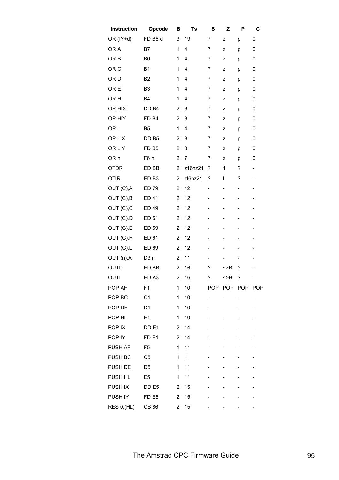| Instruction     | Opcode           | В                       | Ts      | S                        | Z   | P                        | C                            |
|-----------------|------------------|-------------------------|---------|--------------------------|-----|--------------------------|------------------------------|
| OR (IY+d)       | FD B6 d          | 3                       | 19      | 7                        | z   | р                        | 0                            |
| OR A            | B7               | 1                       | 4       | 7                        | Z   | р                        | 0                            |
| OR <sub>B</sub> | B <sub>0</sub>   | 1                       | 4       | 7                        | z   | р                        | 0                            |
| OR <sub>C</sub> | <b>B1</b>        | 1                       | 4       | 7                        | z   | р                        | 0                            |
| OR <sub>D</sub> | B <sub>2</sub>   | 1                       | 4       | 7                        | Z   | р                        | 0                            |
| OR E            | B <sub>3</sub>   | 1                       | 4       | 7                        | Z   | p                        | 0                            |
| OR <sub>H</sub> | B4               | 1                       | 4       | 7                        | z   | p                        | 0                            |
| OR HIX          | DD B4            | $\overline{2}$          | 8       | 7                        | z   | р                        | 0                            |
| OR HIY          | FD <sub>B4</sub> | $\overline{2}$          | 8       | 7                        | z   | р                        | 0                            |
| OR L            | B <sub>5</sub>   | 1                       | 4       | 7                        | z   | р                        | 0                            |
| OR LIX          | DD B5            | $\overline{2}$          | 8       | 7                        | z   | р                        | 0                            |
| OR LIY          | FD <sub>B5</sub> | $\overline{2}$          | 8       | 7                        | z   | р                        | 0                            |
| OR <sub>n</sub> | F6 n             | $\overline{2}$          | 7       | 7                        | z   | р                        | 0                            |
| <b>OTDR</b>     | ED BB            | $\overline{2}$          | z16nz21 | ?                        | 1   | ?                        | -                            |
| <b>OTIR</b>     | ED <sub>B3</sub> | $\overline{2}$          | zl6nz21 | ?                        | L   | ?                        | $\qquad \qquad \blacksquare$ |
| OUT (C), A      | ED 79            | $\overline{2}$          | 12      | -                        | -   | -                        | -                            |
| OUT (C), B      | <b>ED 41</b>     | $\overline{2}$          | 12      | -                        | -   | -                        | -                            |
| OUT (C), C      | ED 49            | $\overline{2}$          | 12      | $\overline{\phantom{0}}$ |     |                          | $\overline{\phantom{0}}$     |
| OUT (C), D      | ED 51            | $\overline{2}$          | 12      | -                        | -   |                          | -                            |
| OUT (C),E       | ED 59            | $\overline{2}$          | 12      | -                        |     |                          |                              |
| OUT (C), H      | ED 61            | $\overline{2}$          | 12      |                          |     |                          | -                            |
| OUT (C),L       | ED 69            | $\overline{2}$          | 12      |                          |     |                          |                              |
| OUT (n), A      | D <sub>3</sub> n | $\overline{2}$          | 11      | -                        |     | $\overline{\phantom{0}}$ | -                            |
| OUTD            | ED AB            | $\overline{2}$          | 16      | ?                        | >B  | ?                        | -                            |
| OUTI            | ED A3            | $\overline{2}$          | 16      | ?                        | <>B | ?                        | -                            |
| POP AF          | F <sub>1</sub>   | 1                       | 10      |                          |     | POP POP POP POP          |                              |
| POP BC          | C <sub>1</sub>   | 1                       | 10      |                          |     |                          | -                            |
| POP DE          | D <sub>1</sub>   | 1                       | 10      | -                        |     |                          | -                            |
| POP HL          | E1               | 1                       | 10      |                          |     |                          | -                            |
| POP IX          | DD <sub>E1</sub> | 2                       | 14      |                          |     |                          |                              |
| POP IY          | FD <sub>E1</sub> | $\overline{2}$          | 14      |                          |     |                          | -                            |
| PUSH AF         | F <sub>5</sub>   | 1                       | 11      |                          |     |                          |                              |
| PUSH BC         | C <sub>5</sub>   | $\mathbf 1$             | 11      |                          |     |                          | -                            |
| PUSH DE         | D <sub>5</sub>   | $\mathbf 1$             | 11      |                          |     |                          | -                            |
| PUSH HL         | E <sub>5</sub>   | 1                       | 11      | -                        | -   |                          | -                            |
| PUSH IX         | DD <sub>E5</sub> | 2                       | 15      |                          |     |                          |                              |
| PUSH IY         | FD <sub>E5</sub> | $\overline{\mathbf{c}}$ | 15      |                          |     |                          |                              |
| RES 0, (HL)     | <b>CB 86</b>     | 2                       | 15      |                          |     |                          | -                            |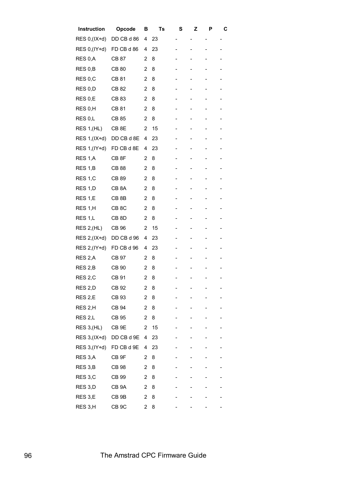| Instruction        | Opcode            | в              | Ts | S | z | Р | С |
|--------------------|-------------------|----------------|----|---|---|---|---|
| RES 0, (IX+d)      | DD CB d 86        | 4              | 23 |   |   |   | - |
| RES 0, (IY+d)      | FD CB d 86        | 4              | 23 | - | - | - | - |
| RES 0,A            | CB 87             | 2              | 8  |   |   |   |   |
| RES 0,B            | CB 80             | 2              | 8  |   |   |   |   |
| RES 0,C            | CB 81             | $\overline{2}$ | 8  |   |   |   |   |
| RES 0,D            | CB 82             | $\overline{c}$ | 8  | - | - | - | - |
| RES 0,E            | CB 83             | $\overline{c}$ | 8  |   |   |   |   |
| RES 0,H            | CB 81             | $\overline{c}$ | 8  |   |   | - |   |
| RES 0,L            | CB 85             | 2              | 8  | - | - | - |   |
| RES 1, (HL)        | CB <sub>8E</sub>  | $\overline{2}$ | 15 |   |   |   |   |
| RES 1, (IX+d)      | DD CB d 8E        | 4              | 23 |   |   |   |   |
| RES 1, (IY+d)      | FD CB d 8E        | 4              | 23 |   | - | - |   |
| RES 1,A            | CB <sub>8F</sub>  | 2              | 8  |   |   | - |   |
| RES 1,B            | CB 88             | $\overline{2}$ | 8  |   |   |   |   |
| RES 1,C            | CB 89             | 2              | 8  |   |   |   |   |
| RES 1,D            | CB <sub>8</sub> A | $\overline{2}$ | 8  |   |   |   |   |
| RES 1,E            | CB 8B             | $\overline{2}$ | 8  | - | - | - |   |
| RES 1,H            | CB <sub>8C</sub>  | $\overline{c}$ | 8  |   |   |   |   |
| RES 1,L            | CB <sub>8</sub> D | $\overline{c}$ | 8  |   |   | - |   |
| <b>RES 2, (HL)</b> | CB 96             | $\overline{c}$ | 15 |   |   |   |   |
| RES 2, (IX+d)      | DD CB d 96        | 4              | 23 |   |   |   |   |
| RES 2, (IY+d)      | FD CB d 96        | 4              | 23 |   |   |   |   |
| RES <sub>2,A</sub> | CB 97             | 2              | 8  |   |   |   |   |
| RES 2,B            | CB 90             | 2              | 8  |   |   |   |   |
| RES <sub>2,C</sub> | CB 91             | 2              | 8  |   |   | - | - |
| RES 2,D            | CB 92             | 2              | 8  |   |   |   |   |
| RES 2,E            | CB 93             | $\overline{c}$ | 8  |   |   |   |   |
| RES <sub>2,H</sub> | CB 94             | 2              | 8  |   |   |   |   |
| RES <sub>2,L</sub> | <b>CB 95</b>      | $\overline{c}$ | 8  |   | - | - |   |
| RES 3, (HL)        | CB <sub>9E</sub>  | 2              | 15 |   |   |   |   |
| RES 3, (IX+d)      | DD CB d 9E        | 4              | 23 |   | - | - |   |
| RES 3, (IY+d)      | FD CB d 9E        | 4              | 23 |   |   |   |   |
| RES 3,A            | CB <sub>9F</sub>  | 2              | 8  |   |   |   |   |
| RES 3,B            | <b>CB 98</b>      | 2              | 8  |   |   |   |   |
| RES 3,C            | CB 99             | 2              | 8  |   |   |   |   |
| RES 3,D            | CB <sub>9</sub> A | $\overline{2}$ | 8  |   |   |   |   |
| RES 3,E            | CB <sub>9B</sub>  | 2              | 8  |   |   |   |   |
| RES 3,H            | CB <sub>9</sub> C | 2              | 8  |   |   |   |   |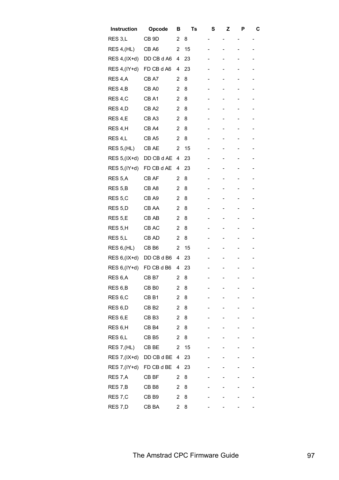| Instruction         | Opcode           | в              | Ts | S | Z | Ρ                        | С |
|---------------------|------------------|----------------|----|---|---|--------------------------|---|
| RES 3,L             | CB <sub>9D</sub> | 2              | 8  | - |   |                          | - |
| RES 4, (HL)         | CB A6            | 2              | 15 | - |   |                          |   |
| RES 4, (IX+d)       | DD CB d A6       | 4              | 23 | - |   |                          |   |
| RES 4, (IY+d)       | FD CB d A6       | 4              | 23 | - |   |                          |   |
| RES 4,A             | CB A7            | 2              | 8  | - | - |                          |   |
| RES 4,B             | CB A0            | 2              | 8  | - |   |                          |   |
| RES 4,C             | CB <sub>A1</sub> | 2              | 8  |   |   |                          |   |
| RES 4,D             | CB <sub>A2</sub> | 2              | 8  |   |   |                          |   |
| RES 4,E             | CB A3            | 2              | 8  | - | - |                          |   |
| RES 4,H             | CB <sub>A4</sub> | 2              | 8  | - | - | -                        |   |
| RES 4,L             | CB A5            | 2              | 8  | - |   |                          |   |
| <b>RES 5, (HL)</b>  | CB AE            | 2              | 15 | - | - | -                        |   |
| RES 5, (IX+d)       | DD CB d AE       | 4              | 23 | - |   |                          |   |
| RES 5, (IY+d)       | FD CB d AE       | 4              | 23 | - |   |                          |   |
| RES 5,A             | CB AF            | 2              | 8  | - |   |                          |   |
| RES 5,B             | CB A8            | 2              | 8  | - | - |                          |   |
| RES 5,C             | CB A9            | 2              | 8  | - |   |                          |   |
| RES <sub>5,D</sub>  | CB AA            | 2              | 8  |   |   |                          |   |
| RES 5,E             | CB AB            | 2              | 8  |   |   |                          |   |
| RES 5,H             | CB AC            | 2              | 8  | - |   |                          |   |
| RES 5,L             | CB AD            | 2              | 8  | - | - | -                        |   |
| RES 6, (HL)         | CB B6            | 2              | 15 | - |   |                          |   |
| RES 6, (IX+d)       | DD CB d B6       | 4              | 23 | - |   |                          |   |
| RES 6, (IY+d)       | FD CB d B6       | 4              | 23 |   |   |                          |   |
| RES 6,A             | CB <sub>B7</sub> | 2              | 8  |   | - |                          |   |
| RES 6,B             | CB <sub>B0</sub> | 2              | 8  | - |   |                          |   |
| RES <sub>6,C</sub>  | CB B1            | $\overline{c}$ | 8  | - |   | $\overline{\phantom{0}}$ |   |
| RES 6,D             | CB <sub>B2</sub> | 2              | 8  |   |   |                          |   |
| RES 6,E             | CB <sub>B3</sub> | 2              | 8  |   |   |                          |   |
| RES 6,H             | CB <sub>B4</sub> | 2              | 8  |   |   |                          |   |
| RES <sub>6</sub> ,L | CB <sub>B5</sub> | 2              | 8  | - | - | -                        |   |
| RES 7, (HL)         | CB BE            | 2              | 15 |   |   |                          |   |
| RES 7, (IX+d)       | DD CB d BE       | 4              | 23 |   |   | -                        |   |
| RES 7, (IY+d)       | FD CB d BE       | 4              | 23 |   |   |                          |   |
| RES 7,A             | CB BF            | 2              | 8  |   |   |                          |   |
| RES 7,B             | CB <sub>B8</sub> | 2              | 8  |   |   |                          |   |
| RES 7,C             | CB <sub>B9</sub> | 2              | 8  |   |   |                          |   |
| RES 7,D             | CB BA            | 2              | 8  |   |   |                          |   |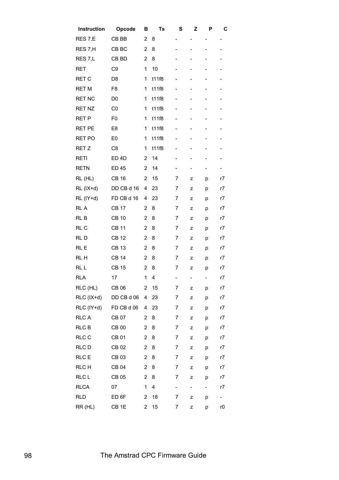| Instruction        | Opcode           | в              | Ts                      | s                        | z                            | Ρ | С  |
|--------------------|------------------|----------------|-------------------------|--------------------------|------------------------------|---|----|
| RES <sub>7,E</sub> | CB BB            | 2              | 8                       | $\overline{\phantom{0}}$ | -                            |   |    |
| RES 7,H            | CB BC            | $\overline{2}$ | 8                       | -                        | -                            | - | -  |
| RES <sub>7,L</sub> | CB BD            | $\overline{2}$ | 8                       | -                        |                              |   | -  |
| RET                | C <sub>9</sub>   | 1              | 10                      |                          |                              |   | -  |
| <b>RET C</b>       | D <sub>8</sub>   | 1              | t11f8                   | $\overline{\phantom{0}}$ |                              |   |    |
| <b>RET M</b>       | F <sub>8</sub>   | 1              | t11f8                   | $\overline{\phantom{0}}$ | -                            | - | -  |
| <b>RET NC</b>      | D <sub>0</sub>   | 1              | t11f8                   | $\overline{a}$           | $\qquad \qquad -$            |   | -  |
| <b>RET NZ</b>      | C <sub>0</sub>   | 1              | t11f8                   | -                        | -                            |   | -  |
| <b>RET P</b>       | F <sub>0</sub>   | 1              | t11f8                   | -                        | -                            |   | -  |
| <b>RET PE</b>      | E <sub>8</sub>   | 1              | t11f8                   | -                        | -                            |   | -  |
| <b>RET PO</b>      | E <sub>0</sub>   | 1              | t11f8                   | -                        | -                            |   | -  |
| RET Z              | C <sub>8</sub>   | 1              | t11f8                   | $\overline{\phantom{0}}$ | -                            |   | -  |
| <b>RETI</b>        | ED <sub>4D</sub> | 2              | 14                      | -                        | -                            | - | -  |
| <b>RETN</b>        | <b>ED 45</b>     | $\overline{2}$ | 14                      | $\overline{\phantom{0}}$ | -                            |   | -  |
| RL (HL)            | <b>CB 16</b>     | 2              | 15                      | 7                        | z                            | р | r7 |
| $RL (IX+d)$        | DD CB d 16       | 4              | 23                      | 7                        | z                            | p | r7 |
| RL (IY+d)          | FD CB d 16       | 4              | 23                      | 7                        | z                            | p | r7 |
| RL A               | <b>CB 17</b>     | $\overline{2}$ | 8                       | 7                        | z                            | p | r7 |
| RL B               | <b>CB 10</b>     | 2              | 8                       | 7                        | z                            | р | r7 |
| RL C               | <b>CB 11</b>     | $\overline{2}$ | 8                       | 7                        | z                            | p | r7 |
| RLD                | <b>CB 12</b>     | 2              | 8                       | 7                        | z                            | p | r7 |
| RL E               | <b>CB 13</b>     | 2              | 8                       | 7                        | z                            | p | r7 |
| RL H               | <b>CB 14</b>     | $\overline{2}$ | 8                       | 7                        | z                            | p | r7 |
| RL L               | <b>CB 15</b>     | $\overline{2}$ | 8                       | 7                        | z                            | p | r7 |
| <b>RLA</b>         | 17               | 1              | 4                       | -                        | $\qquad \qquad \blacksquare$ | - | r7 |
| RLC (HL)           | CB 06            | 2              | 15                      | 7                        | z                            | р | r7 |
| RLC (IX+d)         | DD CB d 06       | 4              | 23                      | 7                        | z                            | р | r7 |
| RLC (IY+d)         | FD CB d 06       | 4              | 23                      | 7                        | z                            | р | r7 |
| <b>RLCA</b>        | <b>CB 07</b>     | $\overline{2}$ | 8                       | 7                        | z                            | р | r7 |
| <b>RLC B</b>       | <b>CB 00</b>     | $\overline{2}$ | 8                       | 7                        | z                            | р | r7 |
| RLC C              | <b>CB 01</b>     | $\overline{c}$ | 8                       | 7                        | z                            | р | r7 |
| RLC D              | CB 02            | $\overline{2}$ | 8                       | 7                        | z                            | p | r7 |
| RLC E              | CB 03            | $\overline{2}$ | 8                       | 7                        | z                            | р | r7 |
| RLC H              | CB 04            | $\overline{2}$ | 8                       | 7                        | z                            | р | r7 |
| RLC L              | CB 05            | $\overline{2}$ | 8                       | 7                        | z                            | р | r7 |
| <b>RLCA</b>        | 07               | 1              | $\overline{\mathbf{4}}$ | $\overline{\phantom{0}}$ | $\overline{\phantom{a}}$     |   | r7 |
| <b>RLD</b>         | ED <sub>6F</sub> | 2              | 18                      | 7                        | z                            | р | Ξ. |
| RR (HL)            | CB <sub>1E</sub> | 2              | 15                      | 7                        | z                            | р | r0 |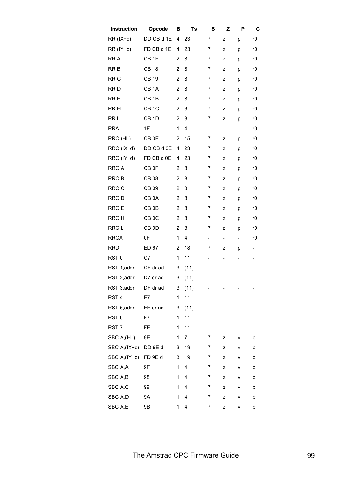| Instruction      | Opcode            | В              | Ts   | S                        | z                        | P                        | C  |
|------------------|-------------------|----------------|------|--------------------------|--------------------------|--------------------------|----|
| RR (IX+d)        | DD CB d 1E        | 4              | 23   | 7                        | z                        | p                        | r0 |
| RR (IY+d)        | FD CB d 1E        | 4              | 23   | 7                        | z                        | р                        | r0 |
| RR A             | CB <sub>1F</sub>  | 2              | 8    | 7                        | z                        | p                        | r0 |
| RR B             | <b>CB 18</b>      | $\overline{2}$ | 8    | 7                        | z                        | p                        | r0 |
| RR <sub>C</sub>  | <b>CB 19</b>      | 2              | 8    | 7                        | z                        | p                        | r0 |
| RR D             | CB <sub>1</sub> A | 2              | 8    | 7                        | z                        | р                        | r0 |
| RR E             | CB <sub>1B</sub>  | 2              | 8    | 7                        | z                        | p                        | r0 |
| RR H             | CB <sub>1C</sub>  | 2              | 8    | 7                        | z                        | p                        | r0 |
| RR L             | CB <sub>1D</sub>  | 2              | 8    | 7                        | z                        | p                        | r0 |
| <b>RRA</b>       | 1F                | 1              | 4    | $\overline{\phantom{0}}$ | $\overline{\phantom{0}}$ | -                        | r0 |
| RRC (HL)         | CB <sub>OE</sub>  | 2              | 15   | 7                        | z                        | p                        | r0 |
| RRC (IX+d)       | DD CB d 0E        | 4              | 23   | 7                        | z                        | р                        | r0 |
| RRC (IY+d)       | FD CB d 0E        | 4              | 23   | 7                        | z                        | p                        | r0 |
| <b>RRC A</b>     | CB <sub>OF</sub>  | 2              | 8    | 7                        | z                        | р                        | r0 |
| <b>RRCB</b>      | <b>CB 08</b>      | 2              | 8    | 7                        | z                        | p                        | r0 |
| RRC C            | CB 09             | 2              | 8    | 7                        | z                        | p                        | r0 |
| RRC D            | CB <sub>0</sub> A | 2              | 8    | 7                        | z                        | р                        | r0 |
| RRC E            | CB <sub>0B</sub>  | 2              | 8    | 7                        | z                        | p                        | r0 |
| RRC H            | CB <sub>0</sub> C | 2              | 8    | 7                        | z                        | p                        | r0 |
| RRC L            | CB <sub>0</sub> D | 2              | 8    | 7                        | z                        | p                        | r0 |
| <b>RRCA</b>      | 0F                | 1              | 4    | $\overline{\phantom{0}}$ | $\overline{\phantom{0}}$ | $\overline{\phantom{0}}$ | r0 |
| <b>RRD</b>       | ED 67             | 2              | 18   | 7                        | z                        | p                        | -  |
| RST <sub>0</sub> | C7                | 1              | 11   | $\overline{\phantom{0}}$ | -                        | -                        | -  |
| RST 1,addr       | CF dr ad          | 3              | (11) | $\overline{\phantom{0}}$ |                          |                          |    |
| RST 2,addr       | D7 dr ad          | 3              | (11) | -                        | ۳                        |                          |    |
| RST 3,addr       | DF dr ad          | 3              | (11) | -                        |                          |                          |    |
| RST <sub>4</sub> | E7                | 1              | 11   | $\overline{\phantom{0}}$ |                          |                          |    |
| RST 5,addr       | EF dr ad          | 3              | (11) | -                        |                          |                          |    |
| RST <sub>6</sub> | F7                | 1              | 11   | -                        |                          |                          |    |
| RST <sub>7</sub> | FF                | 1              | 11   |                          |                          |                          |    |
| SBC A, (HL)      | 9E                | 1              | 7    | 7                        | z                        | ۷                        | b  |
| SBC A,(IX+d)     | DD 9E d           | 3              | 19   | 7                        | z                        | ۷                        | b  |
| SBC A,(IY+d)     | FD 9E d           | 3              | 19   | 7                        | z                        | ۷                        | b  |
| SBC A,A          | 9F                | 1              | 4    | 7                        | z                        | ۷                        | b  |
| SBC A,B          | 98                | 1              | 4    | 7                        | z                        | ۷                        | b  |
| SBC A,C          | 99                | 1              | 4    | 7                        | z                        | ۷                        | b  |
| SBC A,D          | <b>9A</b>         | 1              | 4    | 7                        | z                        | ۷                        | b  |
| SBC A,E          | 9Β                | 1              | 4    | 7                        | z                        | ۷                        | b  |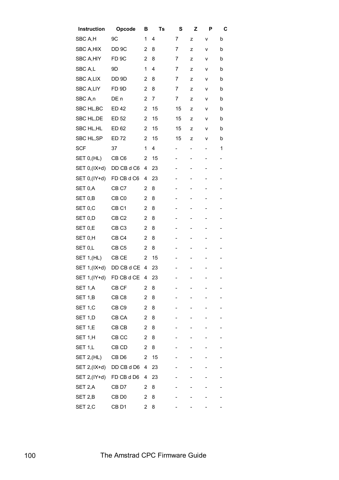| Instruction         | Opcode            | в              | Ts | S  | z | Р | С                            |
|---------------------|-------------------|----------------|----|----|---|---|------------------------------|
| SBC A,H             | 9C                | 1              | 4  | 7  | z | ٧ | b                            |
| SBC A,HIX           | DD <sub>9</sub> C | 2              | 8  | 7  | z | ٧ | b                            |
| SBC A,HIY           | FD <sub>9C</sub>  | 2              | 8  | 7  | z | ٧ | b                            |
| SBC A,L             | 9D                | 1              | 4  | 7  | z | ٧ | b                            |
| SBC A,LIX           | DD 9D             | 2              | 8  | 7  | z | ٧ | b                            |
| SBC A,LIY           | FD <sub>9D</sub>  | 2              | 8  | 7  | z | ٧ | b                            |
| SBC A,n             | DE n              | $\overline{2}$ | 7  | 7  | z | ٧ | b                            |
| SBC HL, BC          | ED 42             | 2              | 15 | 15 | z | ٧ | b                            |
| SBC HL, DE          | ED 52             | 2              | 15 | 15 | z | ٧ | b                            |
| SBC HL,HL           | ED 62             | 2              | 15 | 15 | z | ۷ | b                            |
| SBC HL,SP           | <b>ED 72</b>      | 2              | 15 | 15 | z | ٧ | b                            |
| <b>SCF</b>          | 37                | 1              | 4  | -  | - | - | 1                            |
| SET 0, (HL)         | CB <sub>C6</sub>  | 2              | 15 |    | - | - | $\qquad \qquad \blacksquare$ |
| SET 0,(IX+d)        | DD CB d C6        | 4              | 23 | -  | - | - | -                            |
| SET 0,(IY+d)        | FD CB d C6        | 4              | 23 |    | - | - |                              |
| SET <sub>0,</sub> A | CB <sub>C7</sub>  | 2              | 8  |    |   |   |                              |
| SET 0,B             | CB C <sub>0</sub> | $\overline{2}$ | 8  |    |   | - |                              |
| SET 0,C             | CB <sub>C1</sub>  | $\overline{2}$ | 8  | -  | - | - | $\overline{\phantom{a}}$     |
| SET 0,D             | CB <sub>C2</sub>  | 2              | 8  | -  | - | - | -                            |
| SET 0,E             | CB <sub>C3</sub>  | $\overline{2}$ | 8  | -  |   | - |                              |
| SET 0,H             | CB <sub>C4</sub>  | 2              | 8  |    |   |   |                              |
| SET 0,L             | CB <sub>C5</sub>  | 2              | 8  |    |   | - |                              |
| <b>SET 1, (HL)</b>  | CB CE             | 2              | 15 |    |   |   |                              |
| SET 1,(IX+d)        | DD CB d CE        | 4              | 23 |    |   |   | $\overline{\phantom{0}}$     |
| SET 1,(IY+d)        | FD CB d CE        | 4              | 23 |    |   |   | -                            |
| SET 1,A             | CB CF             | 2              | 8  |    |   |   |                              |
| SET 1,B             | CB <sub>C</sub> 8 | 2              | 8  |    |   |   |                              |
| SET 1,C             | CB <sub>C9</sub>  | 2              | 8  |    |   |   |                              |
| SET 1,D             | CB CA             | 2              | 8  |    | - |   |                              |
| SET 1,E             | CB CB             | 2              | 8  |    |   |   |                              |
| SET 1,H             | CB CC             | 2              | 8  |    |   |   |                              |
| SET 1,L             | CB CD             | 2              | 8  |    |   |   |                              |
| SET 2, (HL)         | CB D6             | 2              | 15 |    |   |   |                              |
| SET 2,(IX+d)        | DD CB d D6        | 4              | 23 |    |   |   |                              |
| SET 2, (IY+d)       | FD CB d D6        | 4              | 23 |    |   |   |                              |
| SET 2,A             | CB D7             | 2              | 8  |    |   |   |                              |
| SET 2,B             | CB D <sub>0</sub> | 2              | 8  |    |   |   |                              |
| SET 2,C             | CB <sub>D1</sub>  | 2              | 8  |    |   |   |                              |
|                     |                   |                |    |    |   |   |                              |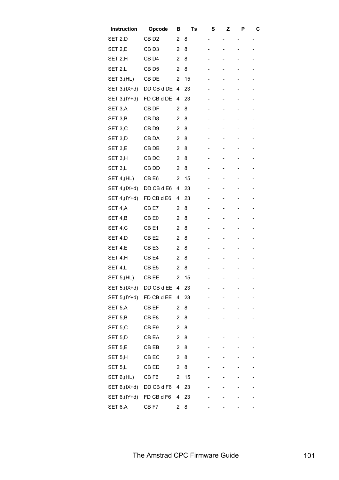| Instruction   | Opcode            | в              | Ts | S | Z | P              | C |
|---------------|-------------------|----------------|----|---|---|----------------|---|
| SET 2,D       | CB <sub>D2</sub>  | $\overline{2}$ | 8  | - | - |                | - |
| SET 2,E       | CB <sub>D3</sub>  | 2              | 8  | - |   |                |   |
| SET 2,H       | CB <sub>D4</sub>  | 2              | 8  | - |   |                |   |
| SET 2,L       | CB D <sub>5</sub> | 2              | 8  |   |   |                |   |
| SET 3, (HL)   | CB DE             | 2              | 15 | - | - | $\overline{a}$ |   |
| SET 3, (IX+d) | DD CB d DE        | 4              | 23 | - |   | $\overline{a}$ |   |
| SET 3, (IY+d) | FD CB d DE        | 4              | 23 | - |   |                |   |
| SET 3,A       | CB DF             | 2              | 8  | - |   |                |   |
| SET 3,B       | CB <sub>D8</sub>  | 2              | 8  |   |   |                |   |
| SET 3,C       | CB <sub>D9</sub>  | $\overline{2}$ | 8  | - | - | $\overline{a}$ |   |
| SET 3,D       | CB DA             | 2              | 8  | - |   |                |   |
| SET 3,E       | CB DB             | $\overline{2}$ | 8  | - | - |                |   |
| SET 3,H       | CB DC             | 2              | 8  | - |   |                |   |
| SET 3,L       | CB DD             | 2              | 8  | - |   |                |   |
| SET 4, (HL)   | CB <sub>E6</sub>  | 2              | 15 |   |   |                |   |
| SET 4, (IX+d) | DD CB d E6        | 4              | 23 | - | - |                |   |
| SET 4, (IY+d) | FD CB d E6        | 4              | 23 | - |   |                |   |
| SET 4,A       | CB E7             | 2              | 8  | - |   |                |   |
| SET 4,B       | CB E0             | 2              | 8  | - |   |                |   |
| SET 4,C       | CB <sub>E1</sub>  | 2              | 8  |   |   |                |   |
| SET 4,D       | CB <sub>E2</sub>  | 2              | 8  | - | - | $\overline{a}$ |   |
| SET 4,E       | CB <sub>E3</sub>  | 2              | 8  |   |   |                |   |
| SET 4,H       | CB <sub>E4</sub>  | 2              | 8  | - |   |                |   |
| SET 4,L       | CB <sub>E5</sub>  | 2              | 8  |   |   |                |   |
| SET 5, (HL)   | CB EE             | $\mathbf{2}$   | 15 |   | ۳ |                |   |
| SET 5, (IX+d) | DD CB d EE        | 4              | 23 |   |   |                |   |
| SET 5,(IY+d)  | FD CB d EE        | 4              | 23 |   |   |                |   |
| SET 5,A       | CB EF             | 2              | 8  |   |   |                |   |
| SET 5,B       | CB <sub>E8</sub>  | $\overline{2}$ | 8  | - |   |                |   |
| SET 5,C       | CB <sub>E9</sub>  | 2              | 8  |   |   |                |   |
| SET 5,D       | CB EA             | 2              | 8  |   |   |                |   |
| SET 5,E       | CB EB             | $\overline{2}$ | 8  |   |   |                |   |
| SET 5,H       | CB EC             | 2              | 8  |   |   |                |   |
| SET 5,L       | CB ED             | 2              | 8  |   |   |                |   |
| SET 6, (HL)   | CB <sub>F6</sub>  | 2              | 15 |   |   |                |   |
| SET 6, (IX+d) | DD CB d F6        | 4              | 23 |   |   |                |   |
| SET 6, (IY+d) | FD CB d F6        | 4              | 23 |   |   |                |   |
| SET 6,A       | CB <sub>F7</sub>  | 2              | 8  |   |   |                |   |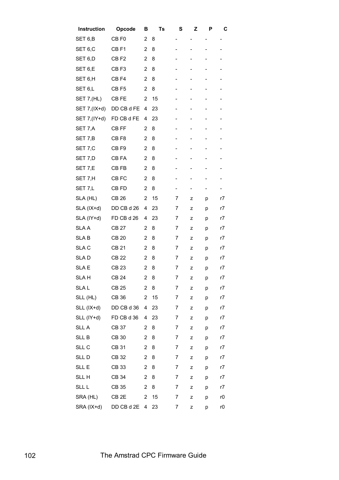| Instruction   | Opcode           | в              | Ts | S                            | z                        | Р | С  |
|---------------|------------------|----------------|----|------------------------------|--------------------------|---|----|
| SET 6,B       | CB F0            | 2              | 8  | -                            | -                        |   |    |
| SET 6,C       | CB F1            | 2              | 8  | -                            | -                        | - | -  |
| SET 6,D       | CB <sub>F2</sub> | $\overline{2}$ | 8  | -                            |                          |   |    |
| SET 6,E       | CB <sub>F3</sub> | 2              | 8  |                              |                          |   |    |
| SET 6,H       | CB <sub>F4</sub> | $\overline{2}$ | 8  | -                            |                          |   |    |
| SET 6,L       | CB <sub>F5</sub> | $\overline{2}$ | 8  | -                            | -                        |   | -  |
| SET 7, (HL)   | CB FE            | 2              | 15 | $\overline{\phantom{a}}$     |                          |   |    |
| SET 7,(IX+d)  | DD CB d FE       | 4              | 23 | -                            | -                        |   |    |
| SET 7, (IY+d) | FD CB d FE       | 4              | 23 | $\qquad \qquad \blacksquare$ | -                        |   |    |
| SET 7,A       | CB FF            | 2              | 8  |                              | -                        |   |    |
| SET 7,B       | CB <sub>F8</sub> | $\overline{2}$ | 8  |                              | -                        |   |    |
| SET 7,C       | CB <sub>F9</sub> | $\overline{2}$ | 8  | $\overline{\phantom{0}}$     | -                        |   | -  |
| SET 7,D       | CB FA            | $\overline{2}$ | 8  | -                            | -                        |   | -  |
| SET 7,E       | CB FB            | $\overline{2}$ | 8  | -                            | -                        |   | -  |
| SET 7,H       | CB FC            | 2              | 8  | $\overline{\phantom{a}}$     | $\overline{\phantom{a}}$ |   | -  |
| SET 7,L       | CB FD            | $\overline{2}$ | 8  | -                            |                          |   | -  |
| SLA (HL)      | CB 26            | $\overline{2}$ | 15 | 7                            | z                        | р | r7 |
| SLA (IX+d)    | DD CB d 26       | 4              | 23 | 7                            | z                        | р | r7 |
| SLA (IY+d)    | FD CB d 26       | 4              | 23 | 7                            | z                        | р | r7 |
| SLA A         | <b>CB 27</b>     | 2              | 8  | 7                            | z                        | р | r7 |
| SLA B         | CB 20            | 2              | 8  | 7                            | z                        | р | r7 |
| SLA C         | <b>CB 21</b>     | $\overline{2}$ | 8  | 7                            | z                        | р | r7 |
| SLA D         | <b>CB 22</b>     | $\overline{2}$ | 8  | 7                            | z                        | p | r7 |
| SLA E         | CB 23            | $\overline{2}$ | 8  | 7                            | z                        | р | r7 |
| SLA H         | <b>CB 24</b>     | $\overline{2}$ | 8  | 7                            | z                        | р | r7 |
| SLA L         | <b>CB 25</b>     | 2              | 8  | 7                            | z                        | p | r7 |
| SLL (HL)      | CB 36            | 2              | 15 | 7                            | z                        | p | r7 |
| SLL (IX+d)    | DD CB d 36       | 4              | 23 | 7                            | z                        | р | r7 |
| SLL (IY+d)    | FD CB d 36       | 4              | 23 | 7                            | z                        | p | r7 |
| SLL A         | <b>CB 37</b>     | $\overline{2}$ | 8  | 7                            | z                        | р | r7 |
| SLL B         | <b>CB 30</b>     | $\overline{2}$ | 8  | 7                            | z                        | р | r7 |
| SLL C         | <b>CB 31</b>     | $\overline{2}$ | 8  | 7                            | z                        | p | r7 |
| SLL D         | <b>CB 32</b>     | $\overline{2}$ | 8  | 7                            | z                        | p | r7 |
| SLL E         | CB 33            | $\overline{2}$ | 8  | 7                            | z                        | p | r7 |
| SLL H         | <b>CB 34</b>     | 2              | 8  | 7                            | z                        | p | r7 |
| SLL L         | CB 35            | $\overline{2}$ | 8  | 7                            | z                        | р | r7 |
| SRA (HL)      | CB <sub>2E</sub> | $\overline{2}$ | 15 | 7                            | z                        | р | r0 |
| SRA (IX+d)    | DD CB d 2E       | 4              | 23 | 7                            | z                        | р | r0 |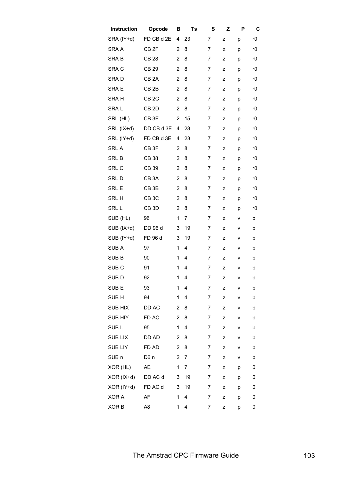| Instruction      | Opcode            | в              | Ts | S              | z | P | C  |
|------------------|-------------------|----------------|----|----------------|---|---|----|
| SRA (IY+d)       | FD CB d 2E        | 4              | 23 | 7              | z | p | r0 |
| SRA A            | CB <sub>2F</sub>  | 2              | 8  | 7              | z | р | r0 |
| <b>SRAB</b>      | <b>CB 28</b>      | 2              | 8  | 7              | z | p | r0 |
| SRA C            | <b>CB 29</b>      | $\overline{2}$ | 8  | 7              | z | p | r0 |
| SRAD             | CB <sub>2</sub> A | 2              | 8  | 7              | z | p | r0 |
| SRA E            | CB <sub>2B</sub>  | 2              | 8  | 7              | z | р | r0 |
| SRA H            | CB <sub>2C</sub>  | 2              | 8  | 7              | z | p | r0 |
| SRAL             | CB <sub>2D</sub>  | $\overline{2}$ | 8  | 7              | z | р | r0 |
| SRL (HL)         | CB <sub>3E</sub>  | $\overline{2}$ | 15 | 7              | z | р | r0 |
| SRL (IX+d)       | DD CB d 3E        | 4              | 23 | 7              | z | p | r0 |
| SRL (IY+d)       | FD CB d 3E        | 4              | 23 | 7              | z | p | r0 |
| SRL A            | CB <sub>3F</sub>  | $\overline{2}$ | 8  | 7              | z | р | r0 |
| SRL B            | <b>CB 38</b>      | 2              | 8  | 7              | z | p | r0 |
| SRL C            | CB 39             | 2              | 8  | 7              | z | p | r0 |
| SRL D            | CB <sub>3</sub> A | $\overline{2}$ | 8  | 7              | z | p | r0 |
| SRL E            | CB <sub>3B</sub>  | $\overline{2}$ | 8  | 7              | z | p | r0 |
| SRL H            | CB <sub>3</sub> C | 2              | 8  | 7              | z | р | r0 |
| SRL L            | CB <sub>3D</sub>  | $\overline{2}$ | 8  | 7              | z | р | r0 |
| SUB (HL)         | 96                | 1              | 7  | 7              | z | ۷ | b  |
| SUB (IX+d)       | DD 96 d           | 3              | 19 | 7              | Z | ٧ | b  |
| SUB (IY+d)       | FD 96 d           | 3              | 19 | 7              | z | ٧ | b  |
| SUB A            | 97                | 1              | 4  | 7              | z | ٧ | b  |
| SUB <sub>B</sub> | 90                | 1              | 4  | 7              | z | ٧ | b  |
| SUB <sub>C</sub> | 91                | 1              | 4  | 7              | z | ٧ | b  |
| SUB D            | 92                | 1              | 4  | 7              | z | v | b  |
| SUB <sub>E</sub> | 93                | 1              | 4  | 7              | z | ٧ | b  |
| SUB <sub>H</sub> | 94                | 1              | 4  | 7              | z | ٧ | b  |
| SUB HIX          | DD AC             | 2              | 8  | 7              | z | ٧ | b  |
| SUB HIY          | FD AC             | $\overline{2}$ | 8  | 7              | z | ٧ | b  |
| SUB <sub>L</sub> | 95                | 1              | 4  | $\overline{7}$ | z | ٧ | b  |
| <b>SUB LIX</b>   | DD AD             | $\overline{2}$ | 8  | 7              | z | ٧ | b  |
| <b>SUB LIY</b>   | FD AD             | $\overline{2}$ | 8  | 7              | z | ٧ | b  |
| SUB <sub>n</sub> | D6 n              | 2              | 7  | 7              | z | ۷ | b  |
| XOR (HL)         | AE                | 1              | 7  | 7              | z | р | 0  |
| XOR (IX+d)       | DD AC d           | 3              | 19 | 7              | z | p | 0  |
| XOR (IY+d)       | FD AC d           | 3              | 19 | 7              | z | p | 0  |
| XOR A            | AF                | 1              | 4  | 7              | z | р | 0  |
| XOR B            | A <sub>8</sub>    | 1              | 4  | 7              | z | р | 0  |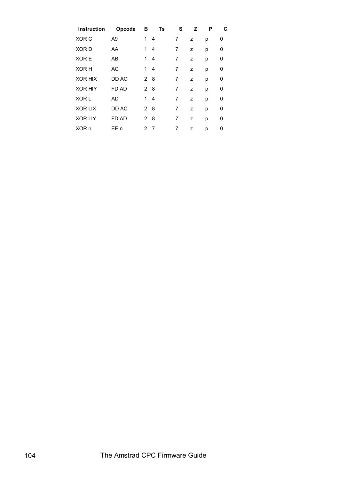| Instruction    | Opcode         | в           | Ts  | S | z | P | С |
|----------------|----------------|-------------|-----|---|---|---|---|
| XOR C          | A <sub>9</sub> | 1           | 4   | 7 | z | р | 0 |
| XOR D          | AA             | 1           | 4   | 7 | z | р | 0 |
| XOR E          | AB             | 1           | 4   | 7 | z | р | 0 |
| XOR H          | AC             | 1           | 4   | 7 | z | р | 0 |
| <b>XOR HIX</b> | DD AC          | 2           | - 8 | 7 | z | р | 0 |
| <b>XOR HIY</b> | FD AD          | $2^{\circ}$ | 8   | 7 | z | р | 0 |
| XOR L          | AD             | 1           | 4   | 7 | z | р | 0 |
| <b>XOR LIX</b> | DD AC          | 2 8         |     | 7 | z | р | 0 |
| <b>XOR LIY</b> | FD AD          | 2           | 8   | 7 | z | р | 0 |
| XOR n          | EE n           | 2           | 7   | 7 | z | р | 0 |